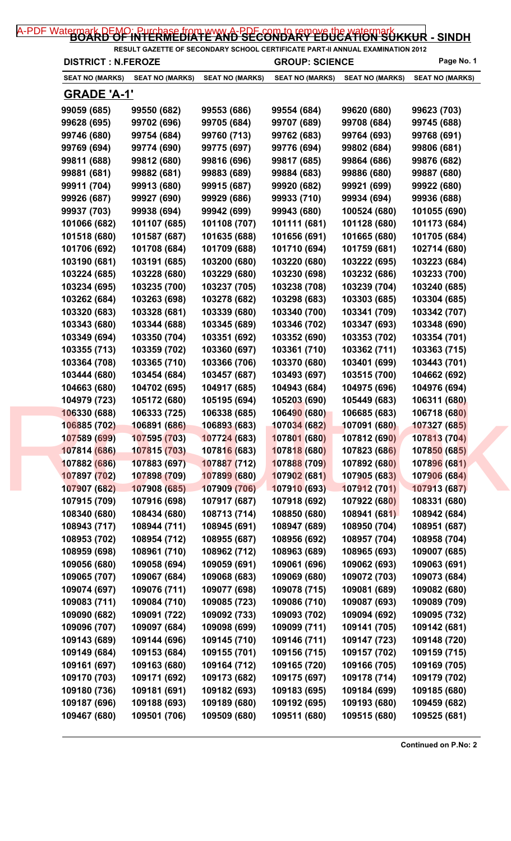| <b>DISTRICT : N.FEROZE</b> |                        |                        | <b>GROUP: SCIENCE</b>  |                        | Page No. 1                   |
|----------------------------|------------------------|------------------------|------------------------|------------------------|------------------------------|
| <b>SEAT NO (MARKS)</b>     | <b>SEAT NO (MARKS)</b> | <b>SEAT NO (MARKS)</b> | <b>SEAT NO (MARKS)</b> | <b>SEAT NO (MARKS)</b> | <b>SEAT NO (MARKS)</b>       |
| <u>GRADE 'A-1'</u>         |                        |                        |                        |                        |                              |
| 99059 (685)                | 99550 (682)            | 99553 (686)            | 99554 (684)            | 99620 (680)            | 99623 (703)                  |
| 99628 (695)                | 99702 (696)            | 99705 (684)            | 99707 (689)            | 99708 (684)            | 99745 (688)                  |
| 99746 (680)                | 99754 (684)            | 99760 (713)            | 99762 (683)            | 99764 (693)            | 99768 (691)                  |
| 99769 (694)                | 99774 (690)            | 99775 (697)            | 99776 (694)            | 99802 (684)            | 99806 (681)                  |
| 99811 (688)                | 99812 (680)            | 99816 (696)            | 99817 (685)            | 99864 (686)            | 99876 (682)                  |
| 99881 (681)                | 99882 (681)            | 99883 (689)            | 99884 (683)            | 99886 (680)            | 99887 (680)                  |
| 99911 (704)                | 99913 (680)            | 99915 (687)            | 99920 (682)            | 99921 (699)            | 99922 (680)                  |
| 99926 (687)                | 99927 (690)            | 99929 (686)            | 99933 (710)            | 99934 (694)            | 99936 (688)                  |
| 99937 (703)                | 99938 (694)            | 99942 (699)            | 99943 (680)            | 100524 (680)           | 101055 (690)                 |
| 101066 (682)               | 101107 (685)           | 101108 (707)           | 101111 (681)           | 101128 (680)           | 101173 (684)                 |
| 101518 (680)               | 101587 (687)           | 101635 (688)           | 101656 (691)           | 101665 (680)           | 101705 (684)                 |
| 101706 (692)               | 101708 (684)           | 101709 (688)           | 101710 (694)           | 101759 (681)           | 102714 (680)                 |
| 103190 (681)               | 103191 (685)           | 103200 (680)           | 103220 (680)           | 103222 (695)           | 103223 (684)                 |
| 103224 (685)               | 103228 (680)           | 103229 (680)           | 103230 (698)           | 103232 (686)           | 103233 (700)                 |
| 103234 (695)               | 103235 (700)           | 103237 (705)           | 103238 (708)           | 103239 (704)           | 103240 (685)                 |
| 103262 (684)               | 103263 (698)           | 103278 (682)           | 103298 (683)           | 103303 (685)           | 103304 (685)                 |
| 103320 (683)               | 103328 (681)           | 103339 (680)           | 103340 (700)           | 103341 (709)           | 103342 (707)                 |
| 103343 (680)               | 103344 (688)           | 103345 (689)           | 103346 (702)           | 103347 (693)           | 103348 (690)                 |
| 103349 (694)               | 103350 (704)           | 103351 (692)           | 103352 (690)           | 103353 (702)           | 103354 (701)                 |
| 103355 (713)               | 103359 (702)           | 103360 (697)           | 103361 (710)           | 103362 (711)           | 103363 (715)                 |
| 103364 (708)               | 103365 (710)           | 103366 (706)           | 103370 (680)           | 103401 (699)           | 103443 (701)                 |
| 103444 (680)               | 103454 (684)           | 103457 (687)           | 103493 (697)           | 103515 (700)           | 104662 (692)                 |
| 104663 (680)               | 104702 (695)           | 104917 (685)           | 104943 (684)           | 104975 (696)           | 104976 (694)                 |
| 104979 (723)               | 105172 (680)           | 105195 (694)           | 105203 (690)           | 105449 (683)           | 106311 (680)                 |
| 106330 (688)               | 106333 (725)           | 106338 (685)           | 106490 (680)           | 106685 (683)           | 106718 (680)                 |
| 106885 (702)               | 106891 (686)           | 106893 (683)           | 107034 (682)           | 107091 (680)           | 107327 (685)                 |
| 107589 (699)               | 107595 (703)           | 107724 (683)           | 107801 (680)           | 107812 (690)           | 107813 (704)                 |
| 107814 (686)               | 107815 (703)           | 107816 (683)           | 107818 (680)           | 107823 (686)           | 107850 (685)                 |
| 107882 (686)               | 107883 (697)           | 107887 (712)           | 107888 (709)           | 107892 (680)           | 107896 (681)                 |
| 107897 (702)               | 107898 (709)           | 107899 (680)           | 107902 (681)           | 107905 (683)           | 107906 (684)                 |
| 107907 (682)               | 107908 (685)           | 107909 (706)           | 107910 (693)           | 107912 (701)           | 107913 (687)                 |
| 107915 (709)               | 107916 (698)           | 107917 (687)           | 107918 (692)           | 107922 (680)           | 108331 (680)                 |
| 108340 (680)               | 108434 (680)           | 108713 (714)           | 108850 (680)           | 108941 (681)           | 108942 (684)                 |
| 108943 (717)               | 108944 (711)           | 108945 (691)           | 108947 (689)           | 108950 (704)           | 108951 (687)                 |
| 108953 (702)               | 108954 (712)           | 108955 (687)           | 108956 (692)           | 108957 (704)           | 108958 (704)                 |
| 108959 (698)               | 108961 (710)           |                        | 108963 (689)           | 108965 (693)           |                              |
|                            |                        | 108962 (712)           |                        |                        | 109007 (685)<br>109063 (691) |
| 109056 (680)               | 109058 (694)           | 109059 (691)           | 109061 (696)           | 109062 (693)           |                              |
| 109065 (707)               | 109067 (684)           | 109068 (683)           | 109069 (680)           | 109072 (703)           | 109073 (684)                 |
| 109074 (697)               | 109076 (711)           | 109077 (698)           | 109078 (715)           | 109081 (689)           | 109082 (680)                 |
| 109083 (711)               | 109084 (710)           | 109085 (723)           | 109086 (710)           | 109087 (693)           | 109089 (709)                 |
| 109090 (682)               | 109091 (722)           | 109092 (733)           | 109093 (702)           | 109094 (692)           | 109095 (732)                 |
| 109096 (707)               | 109097 (684)           | 109098 (699)           | 109099 (711)           | 109141 (705)           | 109142 (681)                 |
| 109143 (689)               | 109144 (696)           | 109145 (710)           | 109146 (711)           | 109147 (723)           | 109148 (720)                 |
| 109149 (684)               | 109153 (684)           | 109155 (701)           | 109156 (715)           | 109157 (702)           | 109159 (715)                 |
| 109161 (697)               | 109163 (680)           | 109164 (712)           | 109165 (720)           | 109166 (705)           | 109169 (705)                 |
| 109170 (703)               | 109171 (692)           | 109173 (682)           | 109175 (697)           | 109178 (714)           | 109179 (702)                 |
| 109180 (736)               | 109181 (691)           | 109182 (693)           | 109183 (695)           | 109184 (699)           | 109185 (680)                 |
| 109187 (696)               | 109188 (693)           | 109189 (680)           | 109192 (695)           | 109193 (680)           | 109459 (682)                 |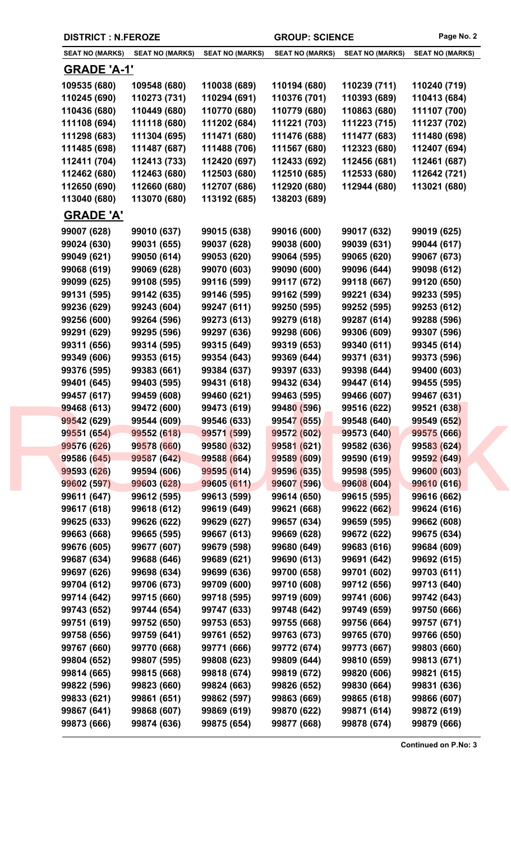| <b>DISTRICT : N.FEROZE</b> |                        |                        | <b>GROUP: SCIENCE</b>  |                        | Page No. 2             |
|----------------------------|------------------------|------------------------|------------------------|------------------------|------------------------|
| <b>SEAT NO (MARKS)</b>     | <b>SEAT NO (MARKS)</b> | <b>SEAT NO (MARKS)</b> | <b>SEAT NO (MARKS)</b> | <b>SEAT NO (MARKS)</b> | <b>SEAT NO (MARKS)</b> |
| <u>GRADE 'A-1'</u>         |                        |                        |                        |                        |                        |
| 109535 (680)               | 109548 (680)           | 110038 (689)           | 110194 (680)           | 110239 (711)           | 110240 (719)           |
| 110245 (690)               | 110273 (731)           | 110294 (691)           | 110376 (701)           | 110393 (689)           | 110413 (684)           |
| 110436 (680)               | 110449 (680)           | 110770 (680)           | 110779 (680)           | 110863 (680)           | 111107 (700)           |
| 111108 (694)               | 111118 (680)           | 111202 (684)           | 111221 (703)           | 111223 (715)           | 111237 (702)           |
| 111298 (683)               | 111304 (695)           | 111471 (680)           | 111476 (688)           | 111477 (683)           | 111480 (698)           |
| 111485 (698)               | 111487 (687)           | 111488 (706)           | 111567 (680)           | 112323 (680)           | 112407 (694)           |
| 112411 (704)               | 112413 (733)           | 112420 (697)           | 112433 (692)           | 112456 (681)           | 112461 (687)           |
| 112462 (680)               | 112463 (680)           | 112503 (680)           | 112510 (685)           | 112533 (680)           | 112642 (721)           |
| 112650 (690)               | 112660 (680)           | 112707 (686)           | 112920 (680)           | 112944 (680)           | 113021 (680)           |
| 113040 (680)               | 113070 (680)           | 113192 (685)           | 138203 (689)           |                        |                        |
| <b>GRADE 'A'</b>           |                        |                        |                        |                        |                        |
| 99007 (628)                |                        |                        |                        |                        | 99019 (625)            |
|                            | 99010 (637)            | 99015 (638)            | 99016 (600)            | 99017 (632)            |                        |
| 99024 (630)                | 99031 (655)            | 99037 (628)            | 99038 (600)            | 99039 (631)            | 99044 (617)            |
| 99049 (621)                | 99050 (614)            | 99053 (620)            | 99064 (595)            | 99065 (620)            | 99067 (673)            |
| 99068 (619)                | 99069 (628)            | 99070 (603)            | 99090 (600)            | 99096 (644)            | 99098 (612)            |
| 99099 (625)                | 99108 (595)            | 99116 (599)            | 99117 (672)            | 99118 (667)            | 99120 (650)            |
| 99131 (595)                | 99142 (635)            | 99146 (595)            | 99162 (599)            | 99221 (634)            | 99233 (595)            |
| 99236 (629)                | 99243 (604)            | 99247 (611)            | 99250 (595)            | 99252 (595)            | 99253 (612)            |
| 99256 (600)                | 99264 (596)            | 99273 (613)            | 99279 (618)            | 99287 (614)            | 99288 (596)            |
| 99291 (629)                | 99295 (596)            | 99297 (636)            | 99298 (606)            | 99306 (609)            | 99307 (596)            |
| 99311 (656)                | 99314 (595)            | 99315 (649)            | 99319 (653)            | 99340 (611)            | 99345 (614)            |
| 99349 (606)                | 99353 (615)            | 99354 (643)            | 99369 (644)            | 99371 (631)            | 99373 (596)            |
| 99376 (595)                | 99383 (661)            | 99384 (637)            | 99397 (633)            | 99398 (644)            | 99400 (603)            |
| 99401 (645)                | 99403 (595)            | 99431 (618)            | 99432 (634)            | 99447 (614)            | 99455 (595)            |
| 99457 (617)                | 99459 (608)            | 99460 (621)            | 99463 (595)            | 99466 (607)            | 99467 (631)            |
| 99468 (613)                | 99472 (600)            | 99473 (619)            | 99480 (596)            | 99516 (622)            | 99521 (638)            |
| 99542 (629)                | 99544 (609)            | 99546 (633)            | 99547 (655)            | 99548 (640)            | 99549 (652)            |
| 99551 (654)                | 99552 (618)            | 99571 (599)            | 99572 (602)            | 99573 (640)            | 99575 (666)            |
| 99576 (626)                | 99578 (660)            | 99580 (632)            | 99581 (621)            | 99582 (636)            | 99583 (624)            |
| 99586 (645)                | 99587 (642)            | 99588 (664)            | 99589 (609)            | 99590 (619)            | 99592 (649)            |
| 99593 (626)                | 99594 (606)            | 99595 (614)            | 99596 (635)            | 99598 (595)            | 99600 (603)            |
| 99602 (597)                | 99603 (628)            | 99605 (611)            | 99607 (596)            | 99608 (604)            | 99610 (616)            |
| 99611 (647)                | 99612 (595)            | 99613 (599)            | 99614 (650)            | 99615 (595)            | 99616 (662)            |
| 99617 (618)                | 99618 (612)            | 99619 (649)            | 99621 (668)            | 99622 (662)            | 99624 (616)            |
| 99625 (633)                | 99626 (622)            | 99629 (627)            | 99657 (634)            | 99659 (595)            | 99662 (608)            |
| 99663 (668)                | 99665 (595)            | 99667 (613)            | 99669 (628)            | 99672 (622)            | 99675 (634)            |
| 99676 (605)                | 99677 (607)            | 99679 (598)            | 99680 (649)            | 99683 (616)            | 99684 (609)            |
| 99687 (634)                | 99688 (646)            | 99689 (621)            | 99690 (613)            | 99691 (642)            | 99692 (615)            |
| 99697 (626)                | 99698 (634)            | 99699 (636)            | 99700 (658)            | 99701 (602)            | 99703 (611)            |
| 99704 (612)                | 99706 (673)            | 99709 (600)            | 99710 (608)            | 99712 (656)            | 99713 (640)            |
| 99714 (642)                | 99715 (660)            | 99718 (595)            | 99719 (609)            | 99741 (606)            | 99742 (643)            |
| 99743 (652)                | 99744 (654)            | 99747 (633)            | 99748 (642)            | 99749 (659)            | 99750 (666)            |
| 99751 (619)                | 99752 (650)            | 99753 (653)            | 99755 (668)            | 99756 (664)            | 99757 (671)            |
| 99758 (656)                | 99759 (641)            | 99761 (652)            | 99763 (673)            | 99765 (670)            | 99766 (650)            |
| 99767 (660)                | 99770 (668)            | 99771 (666)            | 99772 (674)            | 99773 (667)            | 99803 (660)            |
| 99804 (652)                | 99807 (595)            | 99808 (623)            | 99809 (644)            | 99810 (659)            | 99813 (671)            |
| 99814 (665)                | 99815 (668)            | 99818 (674)            | 99819 (672)            | 99820 (606)            | 99821 (615)            |
|                            | 99823 (660)            | 99824 (663)            | 99826 (652)            | 99830 (664)            | 99831 (636)            |
| 99822 (596)                |                        |                        |                        |                        |                        |
| 99833 (621)                | 99861 (651)            | 99862 (597)            | 99863 (669)            | 99865 (618)            | 99866 (607)            |
| 99867 (641)                | 99868 (607)            | 99869 (619)            | 99870 (622)            | 99871 (614)            | 99872 (619)            |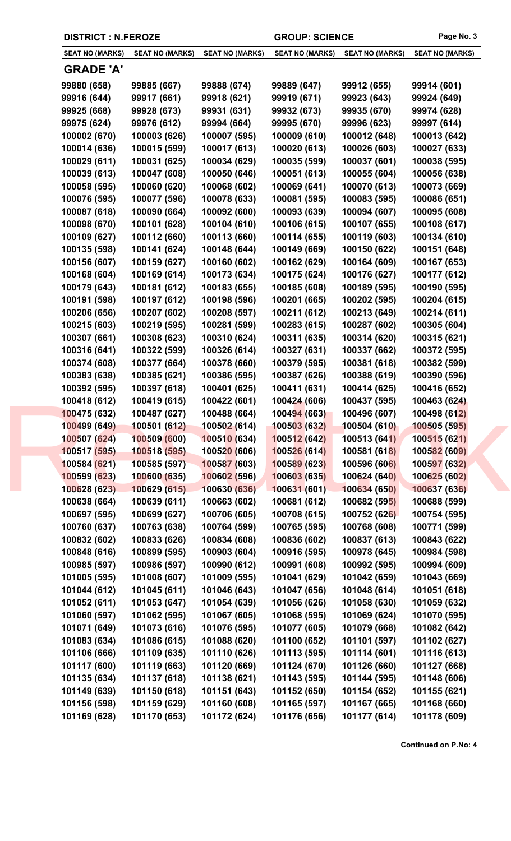| <b>SEAT NO (MARKS)</b> | <b>SEAT NO (MARKS)</b> | <b>SEAT NO (MARKS)</b> | <b>SEAT NO (MARKS)</b> | <b>SEAT NO (MARKS)</b> | <b>SEAT NO (MARKS)</b> |
|------------------------|------------------------|------------------------|------------------------|------------------------|------------------------|
| <u>GRADE 'A'</u>       |                        |                        |                        |                        |                        |
| 99880 (658)            | 99885 (667)            | 99888 (674)            | 99889 (647)            | 99912 (655)            | 99914 (601)            |
| 99916 (644)            | 99917 (661)            | 99918 (621)            | 99919 (671)            | 99923 (643)            | 99924 (649)            |
| 99925 (668)            | 99928 (673)            | 99931 (631)            | 99932 (673)            | 99935 (670)            | 99974 (628)            |
| 99975 (624)            | 99976 (612)            | 99994 (664)            | 99995 (670)            | 99996 (623)            | 99997 (614)            |
| 100002 (670)           | 100003 (626)           | 100007 (595)           | 100009 (610)           | 100012 (648)           | 100013 (642)           |
| 100014 (636)           | 100015 (599)           | 100017 (613)           | 100020 (613)           | 100026 (603)           | 100027 (633)           |
| 100029 (611)           | 100031 (625)           | 100034 (629)           | 100035 (599)           | 100037 (601)           | 100038 (595)           |
| 100039 (613)           | 100047 (608)           | 100050 (646)           | 100051 (613)           | 100055 (604)           | 100056 (638)           |
| 100058 (595)           | 100060 (620)           | 100068 (602)           | 100069 (641)           | 100070 (613)           | 100073 (669)           |
| 100076 (595)           | 100077 (596)           | 100078 (633)           | 100081 (595)           | 100083 (595)           | 100086 (651)           |
| 100087 (618)           | 100090 (664)           | 100092 (600)           | 100093 (639)           | 100094 (607)           | 100095 (608)           |
| 100098 (670)           | 100101 (628)           | 100104 (610)           | 100106 (615)           | 100107 (655)           | 100108 (617)           |
| 100109 (627)           | 100112 (660)           | 100113 (660)           | 100114 (655)           | 100119 (603)           | 100134 (610)           |
| 100135 (598)           | 100141 (624)           | 100148 (644)           | 100149 (669)           | 100150 (622)           | 100151 (648)           |
| 100156 (607)           | 100159 (627)           | 100160 (602)           | 100162 (629)           | 100164 (609)           | 100167 (653)           |
| 100168 (604)           | 100169 (614)           | 100173 (634)           | 100175 (624)           | 100176 (627)           | 100177 (612)           |
| 100179 (643)           | 100181 (612)           | 100183 (655)           | 100185 (608)           | 100189 (595)           | 100190 (595)           |
| 100191 (598)           | 100197 (612)           | 100198 (596)           | 100201 (665)           | 100202 (595)           | 100204 (615)           |
| 100206 (656)           | 100207 (602)           | 100208 (597)           | 100211 (612)           | 100213 (649)           | 100214 (611)           |
| 100215 (603)           | 100219 (595)           | 100281 (599)           | 100283 (615)           | 100287 (602)           | 100305 (604)           |
| 100307 (661)           | 100308 (623)           | 100310 (624)           | 100311 (635)           | 100314 (620)           | 100315 (621)           |
| 100316 (641)           | 100322 (599)           | 100326 (614)           | 100327 (631)           | 100337 (662)           | 100372 (595)           |
| 100374 (608)           | 100377 (664)           | 100378 (660)           | 100379 (595)           | 100381 (618)           | 100382 (599)           |
| 100383 (638)           | 100385 (621)           | 100386 (595)           | 100387 (626)           | 100388 (619)           | 100390 (596)           |
| 100392 (595)           | 100397 (618)           | 100401 (625)           | 100411 (631)           | 100414 (625)           | 100416 (652)           |
| 100418 (612)           | 100419 (615)           | 100422 (601)           | 100424 (606)           | 100437 (595)           | 100463 (624)           |
| 100475 (632)           | 100487 (627)           | 100488 (664)           | 100494 (663)           | 100496 (607)           | 100498 (612)           |
| 100499 (649)           | 100501 (612)           | 100502 (614)           | 100503 (632)           | 100504 (610)           | 100505 (595)           |
| 100507 (624)           | 100509 (600)           | 100510 (634)           | 100512 (642)           | 100513 (641)           | 100515 (621)           |
| 100517 (595)           | 100518 (595)           | 100520 (606)           | 100526(614)            | 100581 (618)           | 100582 (609)           |
| 100584 (621)           | 100585 (597)           | 100587 (603)           | 100589 (623)           | 100596 (606)           | 100597 (632)           |
| 100599 (623)           | 100600 (635)           | 100602 (596)           | 100603 (635)           | 100624 (640)           | 100625 (602)           |
| 100628 (623)           | 100629 (615)           | 100630 (636)           | 100631(601)            | 100634 (650)           | 100637 (636)           |
| 100638 (664)           | 100639 (611)           | 100663 (602)           | 100681 (612)           | 100682 (595)           | 100688 (599)           |
| 100697 (595)           | 100699 (627)           | 100706 (605)           | 100708 (615)           | 100752 (626)           | 100754 (595)           |
| 100760 (637)           | 100763 (638)           | 100764 (599)           | 100765 (595)           | 100768 (608)           | 100771 (599)           |
| 100832 (602)           | 100833 (626)           | 100834 (608)           | 100836 (602)           | 100837 (613)           | 100843 (622)           |
| 100848 (616)           | 100899 (595)           | 100903 (604)           | 100916 (595)           | 100978 (645)           | 100984 (598)           |
| 100985 (597)           | 100986 (597)           | 100990 (612)           | 100991 (608)           | 100992 (595)           | 100994 (609)           |
| 101005 (595)           | 101008 (607)           | 101009 (595)           | 101041 (629)           | 101042 (659)           | 101043 (669)           |
| 101044 (612)           | 101045 (611)           | 101046 (643)           | 101047 (656)           | 101048 (614)           | 101051 (618)           |
| 101052 (611)           | 101053 (647)           | 101054 (639)           | 101056 (626)           | 101058 (630)           | 101059 (632)           |
| 101060 (597)           | 101062 (595)           | 101067 (605)           | 101068 (595)           | 101069 (624)           | 101070 (595)           |
| 101071 (649)           | 101073 (616)           | 101076 (595)           | 101077 (605)           | 101079 (668)           | 101082 (642)           |
| 101083 (634)           | 101086 (615)           | 101088 (620)           | 101100 (652)           | 101101 (597)           | 101102 (627)           |
| 101106 (666)           | 101109 (635)           | 101110 (626)           | 101113 (595)           | 101114 (601)           | 101116 (613)           |
| 101117 (600)           | 101119 (663)           | 101120 (669)           | 101124 (670)           | 101126 (660)           | 101127 (668)           |
| 101135 (634)           | 101137 (618)           | 101138 (621)           | 101143 (595)           | 101144 (595)           | 101148 (606)           |
| 101149 (639)           | 101150 (618)           | 101151 (643)           | 101152 (650)           | 101154 (652)           | 101155 (621)           |
| 101156 (598)           | 101159 (629)           | 101160 (608)           | 101165 (597)           | 101167 (665)           | 101168 (660)           |
| 101169 (628)           | 101170 (653)           | 101172 (624)           | 101176 (656)           | 101177 (614)           | 101178 (609)           |

**DISTRICT : N.FEROZE GROUP: SCIENCE Page No. 3**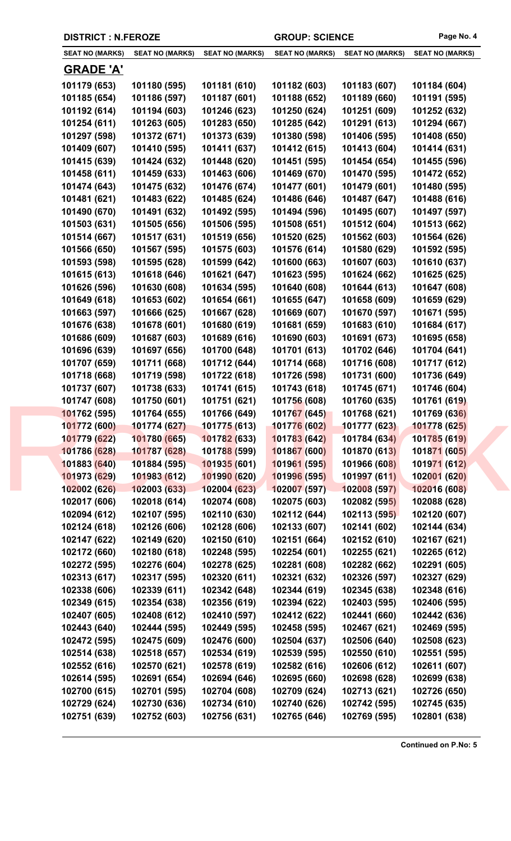| <b>DISTRICT : N.FEROZE</b> |                        |                        | <b>GROUP: SCIENCE</b>  | Page No. 4             |                        |
|----------------------------|------------------------|------------------------|------------------------|------------------------|------------------------|
| <b>SEAT NO (MARKS)</b>     | <b>SEAT NO (MARKS)</b> | <b>SEAT NO (MARKS)</b> | <b>SEAT NO (MARKS)</b> | <b>SEAT NO (MARKS)</b> | <b>SEAT NO (MARKS)</b> |
| <b>GRADE 'A'</b>           |                        |                        |                        |                        |                        |
| 101179 (653)               | 101180 (595)           | 101181 (610)           | 101182 (603)           | 101183 (607)           | 101184 (604)           |
| 101185 (654)               | 101186 (597)           | 101187 (601)           | 101188 (652)           | 101189 (660)           | 101191 (595)           |
| 101192 (614)               | 101194 (603)           | 101246 (623)           | 101250 (624)           | 101251 (609)           | 101252 (632)           |
| 101254 (611)               | 101263 (605)           | 101283 (650)           | 101285 (642)           | 101291 (613)           | 101294 (667)           |
| 101297 (598)               | 101372 (671)           | 101373 (639)           | 101380 (598)           | 101406 (595)           | 101408 (650)           |
| 101409 (607)               | 101410 (595)           | 101411 (637)           | 101412 (615)           | 101413 (604)           | 101414 (631)           |
| 101415 (639)               | 101424 (632)           | 101448 (620)           | 101451 (595)           | 101454 (654)           | 101455 (596)           |
| 101458 (611)               | 101459 (633)           | 101463 (606)           | 101469 (670)           | 101470 (595)           | 101472 (652)           |
| 101474 (643)               | 101475 (632)           | 101476 (674)           | 101477 (601)           | 101479 (601)           | 101480 (595)           |
| 101481 (621)               | 101483 (622)           | 101485 (624)           | 101486 (646)           | 101487 (647)           | 101488 (616)           |
| 101490 (670)               | 101491 (632)           | 101492 (595)           | 101494 (596)           | 101495 (607)           | 101497 (597)           |
| 101503 (631)               | 101505 (656)           | 101506 (595)           | 101508 (651)           | 101512 (604)           | 101513 (662)           |
| 101514 (667)               | 101517 (631)           | 101519 (656)           | 101520 (625)           | 101562 (603)           | 101564 (626)           |
| 101566 (650)               | 101567 (595)           | 101575 (603)           | 101576 (614)           | 101580 (629)           | 101592 (595)           |
| 101593 (598)               | 101595 (628)           | 101599 (642)           | 101600 (663)           | 101607 (603)           | 101610 (637)           |
| 101615 (613)               | 101618 (646)           | 101621 (647)           | 101623 (595)           | 101624 (662)           | 101625 (625)           |
| 101626 (596)               | 101630 (608)           | 101634 (595)           | 101640 (608)           | 101644 (613)           | 101647 (608)           |
| 101649 (618)               | 101653 (602)           | 101654 (661)           | 101655 (647)           | 101658 (609)           | 101659 (629)           |
| 101663 (597)               | 101666 (625)           | 101667 (628)           | 101669 (607)           | 101670 (597)           | 101671 (595)           |
| 101676 (638)               | 101678 (601)           | 101680 (619)           | 101681 (659)           | 101683 (610)           | 101684 (617)           |
| 101686 (609)               | 101687 (603)           | 101689 (616)           | 101690 (603)           | 101691 (673)           | 101695 (658)           |
| 101696 (639)               | 101697 (656)           | 101700 (648)           | 101701 (613)           | 101702 (646)           | 101704 (641)           |
| 101707 (659)               | 101711 (668)           | 101712 (644)           | 101714 (668)           | 101716 (608)           | 101717 (612)           |
| 101718 (668)               | 101719 (598)           | 101722 (618)           | 101726 (598)           | 101731 (600)           | 101736 (649)           |
| 101737 (607)               | 101738 (633)           | 101741 (615)           | 101743 (618)           | 101745 (671)           | 101746 (604)           |
| 101747 (608)               | 101750 (601)           | 101751 (621)           | 101756 (608)           | 101760 (635)           | 101761 (619)           |
| 101762 (595)               | 101764 (655)           | 101766 (649)           | 101767 (645)           | 101768 (621)           | 101769 (636)           |
| 101772 (600)               | 101774 (627)           | 101775 (613)           | 101776 (602)           | 101777 (623)           | 101778 (625)           |
| 101779 (622)               | 101780 (665)           | 101782 (633)           | 101783 (642)           | 101784 (634)           | 101785 (619)           |
| 101786 (628)               | 101787 (628)           | 101788 (599)           | 101867 (600)           | 101870 (613)           | 101871 (605)           |
| 101883 (640)               | 101884 (595)           | 101935 (601)           | 101961 (595)           | 101966 (608)           | 101971 (612)           |
| 101973 (629)               | 101983 (612)           | 101990 (620)           | 101996 (595)           | 101997 (611)           | 102001 (620)           |
| 102002 (626)               | 102003 (633)           | 102004 (623)           | 102007 (597)           | 102008 (597)           | 102016 (608)           |
| 102017 (606)               | 102018 (614)           | 102074 (608)           | 102075 (603)           | 102082 (595)           | 102088 (628)           |
| 102094 (612)               | 102107 (595)           | 102110 (630)           | 102112 (644)           | 102113 (595)           | 102120 (607)           |
| 102124 (618)               | 102126 (606)           | 102128 (606)           | 102133 (607)           | 102141 (602)           | 102144 (634)           |
| 102147 (622)               | 102149 (620)           | 102150 (610)           | 102151 (664)           | 102152 (610)           | 102167 (621)           |
| 102172 (660)               | 102180 (618)           | 102248 (595)           | 102254 (601)           | 102255 (621)           | 102265 (612)           |
| 102272 (595)               | 102276 (604)           | 102278 (625)           | 102281 (608)           | 102282 (662)           | 102291 (605)           |
| 102313 (617)               | 102317 (595)           | 102320 (611)           | 102321 (632)           | 102326 (597)           | 102327 (629)           |
| 102338 (606)               | 102339 (611)           | 102342 (648)           | 102344 (619)           | 102345 (638)           | 102348 (616)           |
| 102349 (615)               | 102354 (638)           | 102356 (619)           | 102394 (622)           | 102403 (595)           | 102406 (595)           |
| 102407 (605)               | 102408 (612)           | 102410 (597)           | 102412 (622)           | 102441 (660)           | 102442 (636)           |
| 102443 (640)               | 102444 (595)           | 102449 (595)           | 102458 (595)           | 102467 (621)           | 102469 (595)           |
| 102472 (595)               | 102475 (609)           | 102476 (600)           | 102504 (637)           | 102506 (640)           | 102508 (623)           |
| 102514 (638)               | 102518 (657)           | 102534 (619)           | 102539 (595)           | 102550 (610)           | 102551 (595)           |
| 102552 (616)               | 102570 (621)           | 102578 (619)           | 102582 (616)           | 102606 (612)           | 102611 (607)           |
| 102614 (595)               | 102691 (654)           | 102694 (646)           | 102695 (660)           | 102698 (628)           | 102699 (638)           |
| 102700 (615)               | 102701 (595)           | 102704 (608)           | 102709 (624)           | 102713 (621)           | 102726 (650)           |
| 102729 (624)               | 102730 (636)           | 102734 (610)           | 102740 (626)           | 102742 (595)           | 102745 (635)           |
| 102751 (639)               | 102752 (603)           | 102756 (631)           | 102765 (646)           | 102769 (595)           | 102801 (638)           |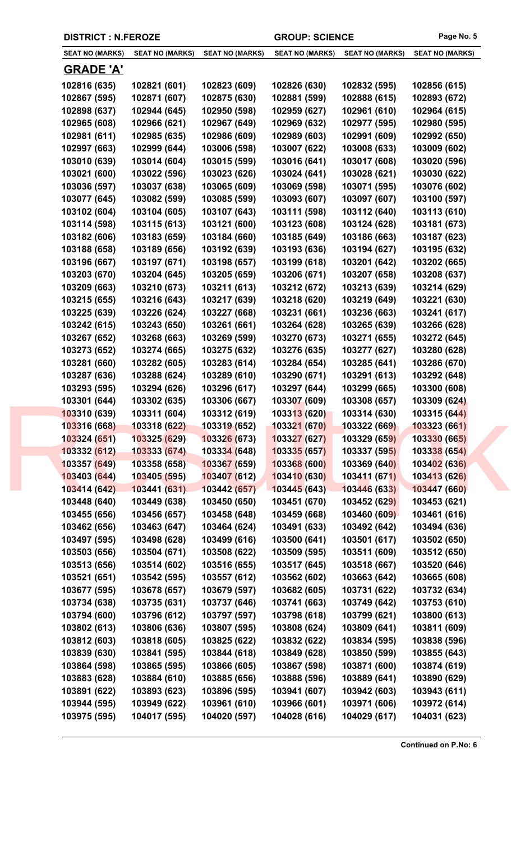| <b>SEAT NO (MARKS)</b> | <b>SEAT NO (MARKS)</b> | <b>SEAT NO (MARKS)</b>      | <b>SEAT NO (MARKS)</b> | <b>SEAT NO (MARKS)</b> | <b>SEAT NO (MARKS)</b> |
|------------------------|------------------------|-----------------------------|------------------------|------------------------|------------------------|
| <u>GRADE 'A'</u>       |                        |                             |                        |                        |                        |
| 102816 (635)           | 102821 (601)           | 102823 (609)                | 102826 (630)           | 102832 (595)           | 102856 (615)           |
| 102867 (595)           | 102871 (607)           | 102875 (630)                | 102881 (599)           | 102888 (615)           | 102893 (672)           |
| 102898 (637)           | 102944 (645)           | 102950 (598)                | 102959 (627)           | 102961 (610)           | 102964 (615)           |
| 102965 (608)           | 102966 (621)           | 102967 (649)                | 102969 (632)           | 102977 (595)           | 102980 (595)           |
| 102981 (611)           | 102985 (635)           | 102986 (609)                | 102989 (603)           | 102991 (609)           | 102992 (650)           |
| 102997 (663)           | 102999 (644)           | 103006 (598)                | 103007 (622)           | 103008 (633)           | 103009 (602)           |
| 103010 (639)           | 103014 (604)           | 103015 (599)                | 103016 (641)           | 103017 (608)           | 103020 (596)           |
| 103021 (600)           | 103022 (596)           | 103023 (626)                | 103024 (641)           | 103028 (621)           | 103030 (622)           |
| 103036 (597)           | 103037 (638)           | 103065 (609)                | 103069 (598)           | 103071 (595)           | 103076 (602)           |
| 103077 (645)           | 103082 (599)           | 103085 (599)                | 103093 (607)           | 103097 (607)           | 103100 (597)           |
| 103102 (604)           | 103104 (605)           | 103107 (643)                | 103111 (598)           | 103112 (640)           | 103113 (610)           |
| 103114 (598)           | 103115 (613)           | 103121 (600)                | 103123 (608)           | 103124 (628)           | 103181 (673)           |
| 103182 (606)           | 103183 (659)           | 103184 (660)                | 103185 (649)           | 103186 (663)           | 103187 (623)           |
| 103188 (658)           | 103189 (656)           | 103192 (639)                | 103193 (636)           | 103194 (627)           | 103195 (632)           |
| 103196 (667)           | 103197 (671)           | 103198 (657)                | 103199 (618)           | 103201 (642)           | 103202 (665)           |
| 103203 (670)           | 103204 (645)           | 103205 (659)                | 103206 (671)           | 103207 (658)           | 103208 (637)           |
| 103209 (663)           | 103210 (673)           | 103211 (613)                | 103212 (672)           | 103213 (639)           | 103214 (629)           |
| 103215 (655)           | 103216 (643)           | 103217 (639)                | 103218 (620)           | 103219 (649)           | 103221 (630)           |
| 103225 (639)           | 103226 (624)           | 103227 (668)                | 103231 (661)           | 103236 (663)           | 103241 (617)           |
| 103242 (615)           | 103243 (650)           | 103261 (661)                | 103264 (628)           | 103265 (639)           | 103266 (628)           |
| 103267 (652)           | 103268 (663)           | 103269 (599)                | 103270 (673)           | 103271 (655)           | 103272 (645)           |
| 103273 (652)           | 103274 (665)           | 103275 (632)                | 103276 (635)           | 103277 (627)           | 103280 (628)           |
| 103281 (660)           | 103282 (605)           | 103283 (614)                | 103284 (654)           | 103285 (641)           | 103286 (670)           |
| 103287 (636)           | 103288 (624)           | 103289 (610)                | 103290 (671)           | 103291 (613)           | 103292 (648)           |
| 103293 (595)           | 103294 (626)           | 103296 (617)                | 103297 (644)           | 103299 (665)           | 103300 (608)           |
| 103301 (644)           | 103302 (635)           | 103306 (667)                | 103307 (609)           | 103308 (657)           | 103309 (624)           |
| 103310 (639)           | 103311 (604)           | 103312 (619)                | 103313 (620)           | 103314 (630)           | 103315 (644)           |
| 103316 (668)           | 103318 (622)           | 10331 <mark>9 (</mark> 652) | 103321 (670)           | 103322 (669)           | 103323 (661)           |
| 103324 (651)           | 103325 (629)           | 103326 (673)                | 103327 (627)           | 103329 (659)           | 103330 (665)           |
| 103332 (612)           | 103333 (674)           | 103334 (648)                | 103335(657)            | 103337 (595)           | 103338 (654)           |
| 103357 (649)           | 103358 (658)           | 103367 (659)                | 103368 (600)           | 103369 (640)           | 103402 (636)           |
| 103403 (644)           | 103405 (595)           | 103407 (612)                | 103410 (630)           | 103411 (671)           | 103413 (626)           |
| 103414 (642)           | 103441 (631)           | 103442 (657)                | 103445(643)            | 103446 (633)           | 103447 (660)           |
| 103448 (640)           | 103449 (638)           | 103450 (650)                | 103451 (670)           | 103452 (629)           | 103453 (621)           |
| 103455 (656)           | 103456 (657)           | 103458 (648)                | 103459 (668)           | 103460 (609)           | 103461 (616)           |
| 103462 (656)           | 103463 (647)           | 103464 (624)                | 103491 (633)           | 103492 (642)           | 103494 (636)           |
| 103497 (595)           | 103498 (628)           | 103499 (616)                | 103500 (641)           | 103501 (617)           | 103502 (650)           |
| 103503 (656)           | 103504 (671)           | 103508 (622)                | 103509 (595)           | 103511 (609)           | 103512 (650)           |
| 103513 (656)           | 103514 (602)           | 103516 (655)                | 103517 (645)           | 103518 (667)           | 103520 (646)           |
| 103521 (651)           | 103542 (595)           | 103557 (612)                | 103562 (602)           | 103663 (642)           | 103665 (608)           |
| 103677 (595)           | 103678 (657)           | 103679 (597)                | 103682 (605)           | 103731 (622)           | 103732 (634)           |
| 103734 (638)           | 103735 (631)           | 103737 (646)                | 103741 (663)           | 103749 (642)           | 103753 (610)           |
| 103794 (600)           | 103796 (612)           | 103797 (597)                | 103798 (618)           | 103799 (621)           | 103800 (613)           |
| 103802 (613)           | 103806 (636)           | 103807 (595)                | 103808 (624)           | 103809 (641)           | 103811 (609)           |
| 103812 (603)           | 103818 (605)           | 103825 (622)                | 103832 (622)           | 103834 (595)           | 103838 (596)           |
| 103839 (630)           | 103841 (595)           | 103844 (618)                | 103849 (628)           | 103850 (599)           | 103855 (643)           |
| 103864 (598)           | 103865 (595)           | 103866 (605)                | 103867 (598)           | 103871 (600)           | 103874 (619)           |
| 103883 (628)           | 103884 (610)           | 103885 (656)                | 103888 (596)           | 103889 (641)           | 103890 (629)           |
| 103891 (622)           | 103893 (623)           | 103896 (595)                | 103941 (607)           | 103942 (603)           | 103943 (611)           |
|                        |                        |                             |                        |                        |                        |
| 103944 (595)           | 103949 (622)           | 103961 (610)                | 103966 (601)           | 103971 (606)           | 103972 (614)           |

**DISTRICT : N.FEROZE GROUP: SCIENCE Page No. 5**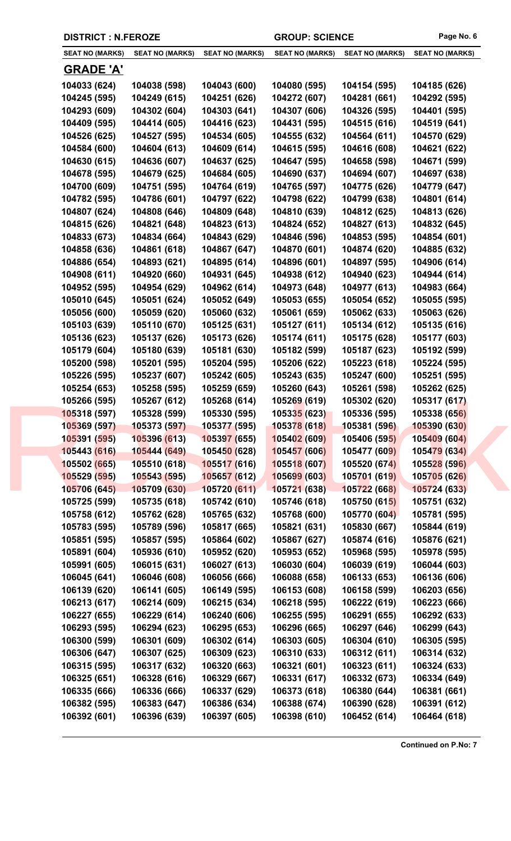| <b>DISTRICT : N.FEROZE</b> |                        |                        | <b>GROUP: SCIENCE</b>  |                        | Page No. 6             |
|----------------------------|------------------------|------------------------|------------------------|------------------------|------------------------|
| <b>SEAT NO (MARKS)</b>     | <b>SEAT NO (MARKS)</b> | <b>SEAT NO (MARKS)</b> | <b>SEAT NO (MARKS)</b> | <b>SEAT NO (MARKS)</b> | <b>SEAT NO (MARKS)</b> |
| <b>GRADE 'A'</b>           |                        |                        |                        |                        |                        |
| 104033 (624)               | 104038 (598)           | 104043 (600)           | 104080 (595)           | 104154 (595)           | 104185 (626)           |
| 104245 (595)               | 104249 (615)           | 104251 (626)           | 104272 (607)           | 104281 (661)           | 104292 (595)           |
| 104293 (609)               | 104302 (604)           | 104303 (641)           | 104307 (606)           | 104326 (595)           | 104401 (595)           |
| 104409 (595)               | 104414 (605)           | 104416 (623)           | 104431 (595)           | 104515 (616)           | 104519 (641)           |
| 104526 (625)               | 104527 (595)           | 104534 (605)           | 104555 (632)           | 104564 (611)           | 104570 (629)           |
| 104584 (600)               | 104604 (613)           | 104609 (614)           | 104615 (595)           | 104616 (608)           | 104621 (622)           |
| 104630 (615)               | 104636 (607)           | 104637 (625)           | 104647 (595)           | 104658 (598)           | 104671 (599)           |
| 104678 (595)               | 104679 (625)           | 104684 (605)           | 104690 (637)           | 104694 (607)           | 104697 (638)           |
| 104700 (609)               | 104751 (595)           | 104764 (619)           | 104765 (597)           | 104775 (626)           | 104779 (647)           |
| 104782 (595)               | 104786 (601)           | 104797 (622)           | 104798 (622)           | 104799 (638)           | 104801 (614)           |
| 104807 (624)               | 104808 (646)           | 104809 (648)           | 104810 (639)           | 104812 (625)           | 104813 (626)           |
| 104815 (626)               | 104821 (648)           | 104823 (613)           | 104824 (652)           | 104827 (613)           | 104832 (645)           |
| 104833 (673)               | 104834 (664)           | 104843 (629)           | 104846 (596)           | 104853 (595)           | 104854 (601)           |
| 104858 (636)               | 104861 (618)           | 104867 (647)           | 104870 (601)           | 104874 (620)           | 104885 (632)           |
| 104886 (654)               | 104893 (621)           | 104895 (614)           | 104896 (601)           | 104897 (595)           | 104906 (614)           |
| 104908 (611)               | 104920 (660)           | 104931 (645)           | 104938 (612)           | 104940 (623)           | 104944 (614)           |
| 104952 (595)               | 104954 (629)           | 104962 (614)           | 104973 (648)           | 104977 (613)           | 104983 (664)           |
| 105010 (645)               | 105051 (624)           | 105052 (649)           | 105053 (655)           | 105054 (652)           | 105055 (595)           |
| 105056 (600)               | 105059 (620)           | 105060 (632)           | 105061 (659)           | 105062 (633)           | 105063 (626)           |
| 105103 (639)               | 105110 (670)           | 105125 (631)           | 105127 (611)           | 105134 (612)           | 105135 (616)           |
| 105136 (623)               | 105137 (626)           | 105173 (626)           | 105174 (611)           | 105175 (628)           | 105177 (603)           |
| 105179 (604)               | 105180 (639)           | 105181 (630)           | 105182 (599)           | 105187 (623)           | 105192 (599)           |
| 105200 (598)               | 105201 (595)           | 105204 (595)           | 105206 (622)           | 105223 (618)           | 105224 (595)           |
| 105226 (595)               | 105237 (607)           | 105242 (605)           | 105243 (635)           | 105247 (600)           | 105251 (595)           |
| 105254 (653)               | 105258 (595)           | 105259 (659)           | 105260 (643)           | 105261 (598)           | 105262 (625)           |
| 105266 (595)               | 105267 (612)           | 105268 (614)           | 105269 (619)           | 105302 (620)           | 105317 (617)           |
| 105318 (597)               | 105328 (599)           | 105330 (595)           | 105335 (623)           | 105336 (595)           | 105338 (656)           |

| 105266 (595) | 105267 (612)        | 105268 (614)                | 105269 (619) | 105302 (620) | 105317 (617) |  |
|--------------|---------------------|-----------------------------|--------------|--------------|--------------|--|
| 105318 (597) | 105328 (599)        | 105330 (595)                | 105335(623)  | 105336 (595) | 105338 (656) |  |
| 105369 (597) | 105373 (597)        | 105377 (595)                | 105378 (618) | 105381 (596) | 105390 (630) |  |
| 105391 (595) | 105396 (613)        | 105397 (655)                | 105402 (609) | 105406 (595) | 105409 (604) |  |
| 105443 (616) | 105444 (649)        | 10545 <mark>0 (</mark> 628) | 105457 (606) | 105477 (609) | 105479 (634) |  |
| 105502 (665) | 105510 (618)        | 105517 (616)                | 105518 (607) | 105520 (674) | 105528 (596) |  |
| 105529 (595) | <u>105543 (595)</u> | 105657 (612)                | 105699(603)  | 105701 (619) | 105705 (626) |  |
| 105706 (645) | 105709 (630)        | 105720 (611)                | 105721(638)  | 105722 (668) | 105724 (633) |  |
| 105725 (599) | 105735 (618)        | 105742 (610)                | 105746 (618) | 105750 (615) | 105751 (632) |  |
| 105758 (612) | 105762 (628)        | 105765 (632)                | 105768 (600) | 105770 (604) | 105781 (595) |  |
| 105783 (595) | 105789 (596)        | 105817 (665)                | 105821 (631) | 105830 (667) | 105844 (619) |  |
| 105851 (595) | 105857 (595)        | 105864 (602)                | 105867 (627) | 105874 (616) | 105876 (621) |  |
| 105891 (604) | 105936 (610)        | 105952 (620)                | 105953 (652) | 105968 (595) | 105978 (595) |  |
| 105991 (605) | 106015 (631)        | 106027 (613)                | 106030 (604) | 106039 (619) | 106044 (603) |  |
| 106045 (641) | 106046 (608)        | 106056 (666)                | 106088 (658) | 106133 (653) | 106136 (606) |  |
| 106139 (620) | 106141 (605)        | 106149 (595)                | 106153 (608) | 106158 (599) | 106203 (656) |  |
| 106213 (617) | 106214 (609)        | 106215 (634)                | 106218 (595) | 106222 (619) | 106223 (666) |  |
| 106227 (655) | 106229 (614)        | 106240 (606)                | 106255 (595) | 106291 (655) | 106292 (633) |  |
| 106293 (595) | 106294 (623)        | 106295 (653)                | 106296 (665) | 106297 (646) | 106299 (643) |  |
| 106300 (599) | 106301 (609)        | 106302 (614)                | 106303 (605) | 106304 (610) | 106305 (595) |  |
| 106306 (647) | 106307 (625)        | 106309 (623)                | 106310 (633) | 106312 (611) | 106314 (632) |  |
| 106315 (595) | 106317 (632)        | 106320 (663)                | 106321 (601) | 106323 (611) | 106324 (633) |  |
| 106325 (651) | 106328 (616)        | 106329 (667)                | 106331 (617) | 106332 (673) | 106334 (649) |  |
| 106335 (666) | 106336 (666)        | 106337 (629)                | 106373 (618) | 106380 (644) | 106381 (661) |  |
| 106382 (595) | 106383 (647)        | 106386 (634)                | 106388 (674) | 106390 (628) | 106391 (612) |  |
| 106392 (601) | 106396 (639)        | 106397 (605)                | 106398 (610) | 106452 (614) | 106464 (618) |  |
|              |                     |                             |              |              |              |  |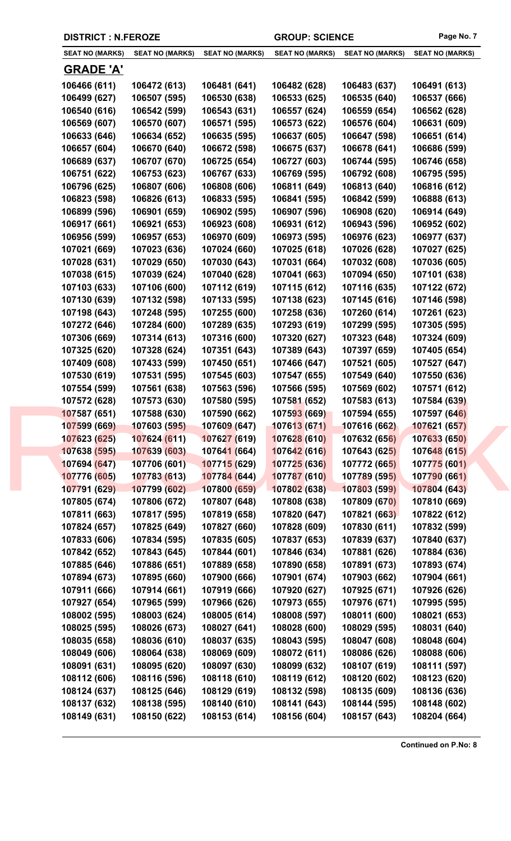| <b>SEAT NO (MARKS)</b> | <b>SEAT NO (MARKS)</b> | <b>SEAT NO (MARKS)</b> | <b>SEAT NO (MARKS)</b> | <b>SEAT NO (MARKS)</b> | <b>SEAT NO (MARKS)</b> |
|------------------------|------------------------|------------------------|------------------------|------------------------|------------------------|
| <u>GRADE 'A'</u>       |                        |                        |                        |                        |                        |
| 106466 (611)           | 106472 (613)           | 106481 (641)           | 106482 (628)           | 106483 (637)           | 106491 (613)           |
| 106499 (627)           | 106507 (595)           | 106530 (638)           | 106533 (625)           | 106535 (640)           | 106537 (666)           |
| 106540 (616)           | 106542 (599)           | 106543 (631)           | 106557 (624)           | 106559 (654)           | 106562 (628)           |
| 106569 (607)           | 106570 (607)           | 106571 (595)           | 106573 (622)           | 106576 (604)           | 106631 (609)           |
| 106633 (646)           | 106634 (652)           | 106635 (595)           | 106637 (605)           | 106647 (598)           | 106651 (614)           |
| 106657 (604)           | 106670 (640)           | 106672 (598)           | 106675 (637)           | 106678 (641)           | 106686 (599)           |
| 106689 (637)           | 106707 (670)           | 106725 (654)           | 106727 (603)           | 106744 (595)           | 106746 (658)           |
| 106751 (622)           | 106753 (623)           | 106767 (633)           | 106769 (595)           | 106792 (608)           | 106795 (595)           |
| 106796 (625)           | 106807 (606)           | 106808 (606)           | 106811 (649)           | 106813 (640)           | 106816 (612)           |
| 106823 (598)           | 106826 (613)           | 106833 (595)           | 106841 (595)           | 106842 (599)           | 106888 (613)           |
|                        |                        | 106902 (595)           |                        |                        |                        |
| 106899 (596)           | 106901 (659)           |                        | 106907 (596)           | 106908 (620)           | 106914 (649)           |
| 106917 (661)           | 106921 (653)           | 106923 (608)           | 106931 (612)           | 106943 (596)           | 106952 (602)           |
| 106956 (599)           | 106957 (653)           | 106970 (609)           | 106973 (595)           | 106976 (623)           | 106977 (637)           |
| 107021 (669)           | 107023 (636)           | 107024 (660)           | 107025 (618)           | 107026 (628)           | 107027 (625)           |
| 107028 (631)           | 107029 (650)           | 107030 (643)           | 107031 (664)           | 107032 (608)           | 107036 (605)           |
| 107038 (615)           | 107039 (624)           | 107040 (628)           | 107041 (663)           | 107094 (650)           | 107101 (638)           |
| 107103 (633)           | 107106 (600)           | 107112 (619)           | 107115 (612)           | 107116 (635)           | 107122 (672)           |
| 107130 (639)           | 107132 (598)           | 107133 (595)           | 107138 (623)           | 107145 (616)           | 107146 (598)           |
| 107198 (643)           | 107248 (595)           | 107255 (600)           | 107258 (636)           | 107260 (614)           | 107261 (623)           |
| 107272 (646)           | 107284 (600)           | 107289 (635)           | 107293 (619)           | 107299 (595)           | 107305 (595)           |
| 107306 (669)           | 107314 (613)           | 107316 (600)           | 107320 (627)           | 107323 (648)           | 107324 (609)           |
| 107325 (620)           | 107328 (624)           | 107351 (643)           | 107389 (643)           | 107397 (659)           | 107405 (654)           |
| 107409 (608)           | 107433 (599)           | 107450 (651)           | 107466 (647)           | 107521 (605)           | 107527 (647)           |
| 107530 (619)           | 107531 (595)           | 107545 (603)           | 107547 (655)           | 107549 (640)           | 107550 (636)           |
| 107554 (599)           | 107561 (638)           | 107563 (596)           | 107566 (595)           | 107569 (602)           | 107571 (612)           |
| 107572 (628)           | 107573 (630)           | 107580 (595)           | 107581 (652)           | 107583 (613)           | 107584 (639)           |
| 107587 (651)           | 107588 (630)           | 107590 (662)           | 107593 (669)           | 107594 (655)           | 107597 (646)           |
| 107599 (669)           | 107603 (595)           | 107609 (647)           | 107613 (671)           | 107616 (662)           | 107621 (657)           |
| 107623 (625)           | 107624 (611)           | 107627 (619)           | 107628 (610)           | 107632 (656)           | 107633 (650)           |
| 107638 (595)           | 107639 (603)           | 107641 (664)           | 107642 (616)           | 107643 (625)           | 107648 (615)           |
| 107694 (647)           | 107706 (601)           | 107715 (629)           | 107725 (636)           | 107772 (665)           | 107775 (601)           |
| 107776 (605)           | 107783 (613)           | 107784 (644)           | 107787 (610)           | 107789 (595)           | 107790 (661)           |
| 107791 (629)           | 107799 (602)           | 107800 (659)           | 107802 (638)           | 107803 (599)           | 107804 (643)           |
| 107805 (674)           | 107806 (672)           | 107807 (648)           | 107808 (638)           | 107809 (670)           | 107810 (669)           |
| 107811 (663)           | 107817 (595)           | 107819 (658)           | 107820 (647)           | 107821 (663)           | 107822 (612)           |
| 107824 (657)           | 107825 (649)           | 107827 (660)           | 107828 (609)           | 107830 (611)           | 107832 (599)           |
| 107833 (606)           | 107834 (595)           | 107835 (605)           | 107837 (653)           | 107839 (637)           | 107840 (637)           |
| 107842 (652)           | 107843 (645)           | 107844 (601)           | 107846 (634)           | 107881 (626)           | 107884 (636)           |
| 107885 (646)           | 107886 (651)           | 107889 (658)           | 107890 (658)           | 107891 (673)           | 107893 (674)           |
| 107894 (673)           | 107895 (660)           | 107900 (666)           | 107901 (674)           | 107903 (662)           | 107904 (661)           |
| 107911 (666)           | 107914 (661)           | 107919 (666)           | 107920 (627)           | 107925 (671)           | 107926 (626)           |
| 107927 (654)           | 107965 (599)           | 107966 (626)           | 107973 (655)           | 107976 (671)           | 107995 (595)           |
| 108002 (595)           | 108003 (624)           | 108005 (614)           | 108008 (597)           | 108011 (600)           | 108021 (653)           |
| 108025 (595)           | 108026 (673)           | 108027 (641)           | 108028 (600)           | 108029 (595)           | 108031 (640)           |
| 108035 (658)           | 108036 (610)           | 108037 (635)           | 108043 (595)           | 108047 (608)           | 108048 (604)           |
| 108049 (606)           | 108064 (638)           | 108069 (609)           | 108072 (611)           | 108086 (626)           | 108088 (606)           |
| 108091 (631)           | 108095 (620)           | 108097 (630)           | 108099 (632)           | 108107 (619)           | 108111 (597)           |
| 108112 (606)           | 108116 (596)           | 108118 (610)           | 108119 (612)           | 108120 (602)           | 108123 (620)           |
| 108124 (637)           | 108125 (646)           | 108129 (619)           | 108132 (598)           | 108135 (609)           | 108136 (636)           |
| 108137 (632)           | 108138 (595)           | 108140 (610)           | 108141 (643)           | 108144 (595)           | 108148 (602)           |
| 108149 (631)           | 108150 (622)           | 108153 (614)           | 108156 (604)           | 108157 (643)           | 108204 (664)           |
|                        |                        |                        |                        |                        |                        |

**DISTRICT : N.FEROZE GROUP: SCIENCE Page No. 7**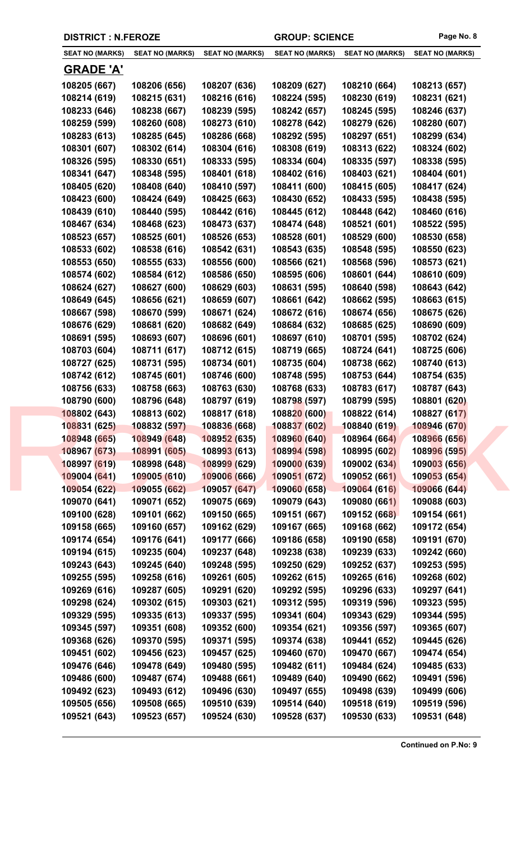|  |  | <b>DISTRICT : N.FEROZE</b> |
|--|--|----------------------------|
|--|--|----------------------------|

**DISTRICT : N.FEROZE GROUP: SCIENCE Page No. 8**

| <b>SEAT NO (MARKS)</b> | <b>SEAT NO (MARKS)</b> | <b>SEAT NO (MARKS)</b> | <b>SEAT NO (MARKS)</b> | <b>SEAT NO (MARKS)</b> | <b>SEAT NO (MARKS)</b> |
|------------------------|------------------------|------------------------|------------------------|------------------------|------------------------|
| <u>GRADE 'A'</u>       |                        |                        |                        |                        |                        |
| 108205 (667)           | 108206 (656)           | 108207 (636)           | 108209 (627)           | 108210 (664)           | 108213 (657)           |
| 108214 (619)           | 108215 (631)           | 108216 (616)           | 108224 (595)           | 108230 (619)           | 108231 (621)           |
| 108233 (646)           | 108238 (667)           | 108239 (595)           | 108242 (657)           | 108245 (595)           | 108246 (637)           |
| 108259 (599)           | 108260 (608)           | 108273 (610)           | 108278 (642)           | 108279 (626)           | 108280 (607)           |
| 108283 (613)           | 108285 (645)           | 108286 (668)           | 108292 (595)           | 108297 (651)           | 108299 (634)           |
| 108301 (607)           | 108302 (614)           | 108304 (616)           | 108308 (619)           | 108313 (622)           | 108324 (602)           |
| 108326 (595)           | 108330 (651)           | 108333 (595)           | 108334 (604)           | 108335 (597)           | 108338 (595)           |
| 108341 (647)           | 108348 (595)           | 108401 (618)           | 108402 (616)           | 108403 (621)           | 108404 (601)           |
| 108405 (620)           | 108408 (640)           | 108410 (597)           | 108411 (600)           | 108415 (605)           | 108417 (624)           |
| 108423 (600)           | 108424 (649)           | 108425 (663)           | 108430 (652)           | 108433 (595)           | 108438 (595)           |
| 108439 (610)           | 108440 (595)           | 108442 (616)           | 108445 (612)           | 108448 (642)           | 108460 (616)           |
| 108467 (634)           | 108468 (623)           | 108473 (637)           | 108474 (648)           | 108521 (601)           | 108522 (595)           |
| 108523 (657)           | 108525 (601)           | 108526 (653)           | 108528 (601)           | 108529 (600)           | 108530 (658)           |
| 108533 (602)           | 108538 (616)           | 108542 (631)           | 108543 (635)           | 108548 (595)           | 108550 (623)           |
| 108553 (650)           | 108555 (633)           | 108556 (600)           | 108566 (621)           | 108568 (596)           | 108573 (621)           |
| 108574 (602)           | 108584 (612)           | 108586 (650)           | 108595 (606)           | 108601 (644)           | 108610 (609)           |
| 108624 (627)           | 108627 (600)           | 108629 (603)           | 108631 (595)           | 108640 (598)           | 108643 (642)           |
| 108649 (645)           | 108656 (621)           | 108659 (607)           | 108661 (642)           | 108662 (595)           | 108663 (615)           |
| 108667 (598)           | 108670 (599)           | 108671 (624)           | 108672 (616)           | 108674 (656)           | 108675 (626)           |
| 108676 (629)           | 108681 (620)           | 108682 (649)           | 108684 (632)           | 108685 (625)           | 108690 (609)           |
| 108691 (595)           | 108693 (607)           | 108696 (601)           | 108697 (610)           | 108701 (595)           | 108702 (624)           |
| 108703 (604)           | 108711 (617)           | 108712 (615)           | 108719 (665)           | 108724 (641)           | 108725 (606)           |
| 108727 (625)           | 108731 (595)           | 108734 (601)           | 108735 (604)           | 108738 (662)           | 108740 (613)           |
| 108742 (612)           | 108745 (601)           | 108746 (600)           | 108748 (595)           | 108753 (644)           | 108754 (635)           |
| 108756 (633)           | 108758 (663)           | 108763 (630)           | 108768 (633)           | 108783 (617)           | 108787 (643)           |
| 108790 (600)           | 108796 (648)           | 108797 (619)           | 108798 (597)           | 108799 (595)           | 108801 (620)           |
| 108802 (643)           | 108813 (602)           | 108817 (618)           | 108820 (600)           | 108822 (614)           | 108827 (617)           |
| 108831 (625)           | 108832 (597)           | 108836 (668)           | 108837 (602)           | 108840 (619)           | 108946 (670)           |
| 108948 (665)           | 108949 (648)           | 108952 (635)           | 108960 (640)           | 108964 (664)           | 108966 (656)           |
| 108967 (673)           | 108991 (605)           | 108993 (613)           | 108994 (598)           | 108995 (602)           | 108996 (595)           |
| 108997 (619)           | 108998 (648)           | 108999 (629)           | 109000 (639)           | 109002 (634)           | 109003 (656)           |
| 109004 (641)           | 109005 (610)           | 109006 (666)           | 109051 (672)           | 109052 (661)           | 109053 (654)           |
| 109054 (622)           | 109055 (662)           | 109057 (647)           | 109060 (658)           | 109064 (616)           | 109066 (644)           |
| 109070 (641)           | 109071 (652)           | 109075 (669)           | 109079 (643)           | 109080 (661)           | 109088 (603)           |
| 109100 (628)           | 109101 (662)           | 109150 (665)           | 109151 (667)           | 109152 (668)           | 109154 (661)           |
| 109158 (665)           | 109160 (657)           | 109162 (629)           | 109167 (665)           | 109168 (662)           | 109172 (654)           |
| 109174 (654)           | 109176 (641)           | 109177 (666)           | 109186 (658)           | 109190 (658)           | 109191 (670)           |
| 109194 (615)           | 109235 (604)           | 109237 (648)           | 109238 (638)           | 109239 (633)           | 109242 (660)           |
| 109243 (643)           | 109245 (640)           | 109248 (595)           | 109250 (629)           | 109252 (637)           | 109253 (595)           |
| 109255 (595)           | 109258 (616)           | 109261 (605)           | 109262 (615)           | 109265 (616)           | 109268 (602)           |
| 109269 (616)           | 109287 (605)           | 109291 (620)           | 109292 (595)           | 109296 (633)           | 109297 (641)           |
| 109298 (624)           | 109302 (615)           | 109303 (621)           | 109312 (595)           | 109319 (596)           | 109323 (595)           |
| 109329 (595)           | 109335 (613)           | 109337 (595)           | 109341 (604)           | 109343 (629)           | 109344 (595)           |
| 109345 (597)           | 109351 (608)           | 109352 (600)           | 109354 (621)           | 109356 (597)           | 109365 (607)           |
| 109368 (626)           | 109370 (595)           | 109371 (595)           | 109374 (638)           | 109441 (652)           | 109445 (626)           |
| 109451 (602)           | 109456 (623)           | 109457 (625)           | 109460 (670)           | 109470 (667)           | 109474 (654)           |
| 109476 (646)           | 109478 (649)           | 109480 (595)           | 109482 (611)           | 109484 (624)           | 109485 (633)           |
| 109486 (600)           | 109487 (674)           | 109488 (661)           | 109489 (640)           | 109490 (662)           | 109491 (596)           |
| 109492 (623)           | 109493 (612)           | 109496 (630)           | 109497 (655)           | 109498 (639)           | 109499 (606)           |
|                        |                        |                        |                        |                        |                        |
| 109505 (656)           | 109508 (665)           | 109510 (639)           | 109514 (640)           | 109518 (619)           | 109519 (596)           |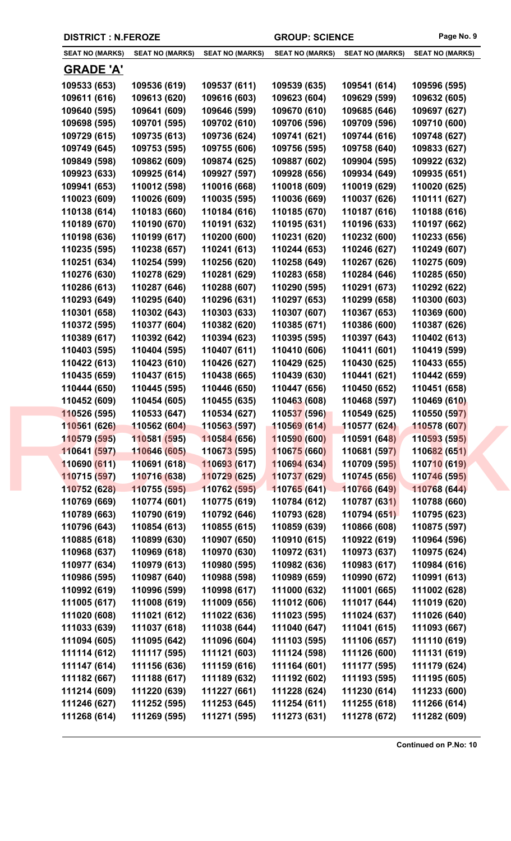| <b>SEAT NO (MARKS)</b> | <b>SEAT NO (MARKS)</b> | <b>SEAT NO (MARKS)</b>      | <b>SEAT NO (MARKS)</b> | <b>SEAT NO (MARKS)</b> | <b>SEAT NO (MARKS)</b> |
|------------------------|------------------------|-----------------------------|------------------------|------------------------|------------------------|
| <u>GRADE 'A'</u>       |                        |                             |                        |                        |                        |
| 109533 (653)           | 109536 (619)           | 109537 (611)                | 109539 (635)           | 109541 (614)           | 109596 (595)           |
| 109611 (616)           | 109613 (620)           | 109616 (603)                | 109623 (604)           | 109629 (599)           | 109632 (605)           |
| 109640 (595)           | 109641 (609)           | 109646 (599)                | 109670 (610)           | 109685 (646)           | 109697 (627)           |
| 109698 (595)           | 109701 (595)           | 109702 (610)                | 109706 (596)           | 109709 (596)           | 109710 (600)           |
| 109729 (615)           | 109735 (613)           | 109736 (624)                | 109741 (621)           | 109744 (616)           | 109748 (627)           |
| 109749 (645)           | 109753 (595)           | 109755 (606)                | 109756 (595)           | 109758 (640)           | 109833 (627)           |
| 109849 (598)           | 109862 (609)           | 109874 (625)                | 109887 (602)           | 109904 (595)           | 109922 (632)           |
| 109923 (633)           | 109925 (614)           | 109927 (597)                | 109928 (656)           | 109934 (649)           | 109935 (651)           |
| 109941 (653)           | 110012 (598)           | 110016 (668)                | 110018 (609)           | 110019 (629)           | 110020 (625)           |
| 110023 (609)           | 110026 (609)           | 110035 (595)                | 110036 (669)           | 110037 (626)           | 110111 (627)           |
| 110138 (614)           | 110183 (660)           | 110184 (616)                | 110185 (670)           | 110187 (616)           | 110188 (616)           |
| 110189 (670)           | 110190 (670)           | 110191 (632)                | 110195 (631)           | 110196 (633)           | 110197 (662)           |
| 110198 (636)           | 110199 (617)           | 110200 (600)                | 110231 (620)           | 110232 (600)           | 110233 (656)           |
| 110235 (595)           | 110238 (657)           | 110241 (613)                | 110244 (653)           | 110246 (627)           | 110249 (607)           |
| 110251 (634)           | 110254 (599)           | 110256 (620)                | 110258 (649)           | 110267 (626)           | 110275 (609)           |
| 110276 (630)           | 110278 (629)           | 110281 (629)                | 110283 (658)           | 110284 (646)           | 110285 (650)           |
| 110286 (613)           | 110287 (646)           | 110288 (607)                | 110290 (595)           | 110291 (673)           | 110292 (622)           |
|                        |                        |                             |                        |                        |                        |
| 110293 (649)           | 110295 (640)           | 110296 (631)                | 110297 (653)           | 110299 (658)           | 110300 (603)           |
| 110301 (658)           | 110302 (643)           | 110303 (633)                | 110307 (607)           | 110367 (653)           | 110369 (600)           |
| 110372 (595)           | 110377 (604)           | 110382 (620)                | 110385 (671)           | 110386 (600)           | 110387 (626)           |
| 110389 (617)           | 110392 (642)           | 110394 (623)                | 110395 (595)           | 110397 (643)           | 110402 (613)           |
| 110403 (595)           | 110404 (595)           | 110407 (611)                | 110410 (606)           | 110411 (601)           | 110419 (599)           |
| 110422 (613)           | 110423 (610)           | 110426 (627)                | 110429 (625)           | 110430 (625)           | 110433 (655)           |
| 110435 (659)           | 110437 (615)           | 110438 (665)                | 110439 (630)           | 110441 (621)           | 110442 (659)           |
| 110444 (650)           | 110445 (595)           | 110446 (650)                | 110447 (656)           | 110450 (652)           | 110451 (658)           |
| 110452 (609)           | 110454 (605)           | 110455 (635)                | 110463 (608)           | 110468 (597)           | 110469 (610)           |
| 110526 (595)           | 110533 (647)           | 110534 (627)                | 110537 (596)           | 110549 (625)           | 110550 (597)           |
| 110561 (626)           | 110562 (604)           | 110563 (597)                | 110569 (614)           | 110577 (624)           | 110578 (607)           |
| 110579 (595)           | 110581 (595)           | 110584 (656)                | 110590 (600)           | 110591 (648)           | 110593 (595)           |
| 110641 (597)           | 110646 (605)           | 11067 <mark>3 (</mark> 595) | 110675 (660)           | 110681 (597)           | 110682(651)            |
| 110690 (611)           | 110691 (618)           | 110693 (617)                | 110694 (634)           | 110709 (595)           | 110710 (619)           |
| 110715 (597)           | 110716 (638)           | 110729 (625)                | 110737 (629)           | 110745 (656)           | 110746 (595)           |
| 110752 (628)           | 110755 (595)           | 110762 (595)                | 110765 (641)           | 110766 (649)           | 110768 (644)           |
| 110769 (669)           | 110774 (601)           | 110775 (619)                | 110784 (612)           | 110787 (631)           | 110788 (660)           |
| 110789 (663)           | 110790 (619)           | 110792 (646)                | 110793 (628)           | 110794 (651)           | 110795 (623)           |
| 110796 (643)           | 110854 (613)           | 110855 (615)                | 110859 (639)           | 110866 (608)           | 110875 (597)           |
| 110885 (618)           | 110899 (630)           | 110907 (650)                | 110910 (615)           | 110922 (619)           | 110964 (596)           |
| 110968 (637)           | 110969 (618)           | 110970 (630)                | 110972 (631)           | 110973 (637)           | 110975 (624)           |
| 110977 (634)           | 110979 (613)           | 110980 (595)                | 110982 (636)           | 110983 (617)           | 110984 (616)           |
| 110986 (595)           | 110987 (640)           | 110988 (598)                | 110989 (659)           | 110990 (672)           | 110991 (613)           |
| 110992 (619)           | 110996 (599)           | 110998 (617)                | 111000 (632)           | 111001 (665)           | 111002 (628)           |
| 111005 (617)           | 111008 (619)           | 111009 (656)                | 111012 (606)           | 111017 (644)           | 111019 (620)           |
| 111020 (608)           | 111021 (612)           | 111022 (636)                | 111023 (595)           | 111024 (637)           | 111026 (640)           |
| 111033 (639)           | 111037 (618)           | 111038 (644)                | 111040 (647)           | 111041 (615)           | 111093 (667)           |
| 111094 (605)           | 111095 (642)           | 111096 (604)                | 111103 (595)           | 111106 (657)           | 111110 (619)           |
| 111114 (612)           | 111117 (595)           | 111121 (603)                | 111124 (598)           | 111126 (600)           | 111131 (619)           |
| 111147 (614)           | 111156 (636)           | 111159 (616)                | 111164 (601)           | 111177 (595)           | 111179 (624)           |
| 111182 (667)           | 111188 (617)           | 111189 (632)                | 111192 (602)           | 111193 (595)           | 111195 (605)           |
| 111214 (609)           | 111220 (639)           | 111227 (661)                | 111228 (624)           | 111230 (614)           | 111233 (600)           |
| 111246 (627)           | 111252 (595)           | 111253 (645)                | 111254 (611)           | 111255 (618)           | 111266 (614)           |
| 111268 (614)           | 111269 (595)           | 111271 (595)                | 111273 (631)           | 111278 (672)           | 111282 (609)           |

**DISTRICT : N.FEROZE GROUP: SCIENCE Page No. 9**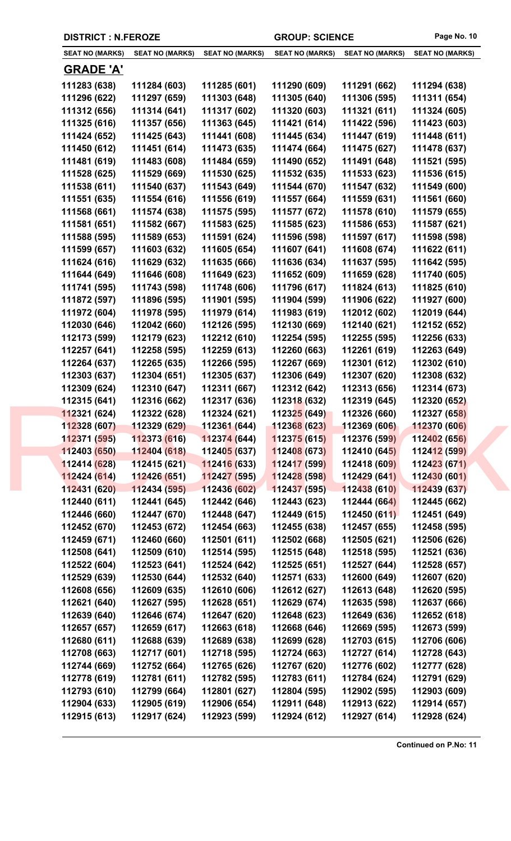| <b>SEAT NO (MARKS)</b> | <b>SEAT NO (MARKS)</b> | <b>SEAT NO (MARKS)</b>      | <b>SEAT NO (MARKS)</b> | <b>SEAT NO (MARKS)</b> | <b>SEAT NO (MARKS)</b> |
|------------------------|------------------------|-----------------------------|------------------------|------------------------|------------------------|
| <b>GRADE 'A'</b>       |                        |                             |                        |                        |                        |
| 111283 (638)           | 111284 (603)           | 111285 (601)                | 111290 (609)           | 111291 (662)           | 111294 (638)           |
| 111296 (622)           | 111297 (659)           | 111303 (648)                | 111305 (640)           | 111306 (595)           | 111311 (654)           |
| 111312 (656)           | 111314 (641)           | 111317 (602)                | 111320 (603)           | 111321 (611)           | 111324 (605)           |
| 111325 (616)           | 111357 (656)           | 111363 (645)                | 111421 (614)           | 111422 (596)           | 111423 (603)           |
| 111424 (652)           | 111425 (643)           | 111441 (608)                | 111445 (634)           | 111447 (619)           | 111448 (611)           |
| 111450 (612)           | 111451 (614)           | 111473 (635)                | 111474 (664)           | 111475 (627)           | 111478 (637)           |
| 111481 (619)           | 111483 (608)           | 111484 (659)                | 111490 (652)           | 111491 (648)           | 111521 (595)           |
| 111528 (625)           | 111529 (669)           | 111530 (625)                | 111532 (635)           | 111533 (623)           | 111536 (615)           |
| 111538 (611)           | 111540 (637)           | 111543 (649)                | 111544 (670)           | 111547 (632)           | 111549 (600)           |
| 111551 (635)           | 111554 (616)           | 111556 (619)                | 111557 (664)           | 111559 (631)           | 111561 (660)           |
| 111568 (661)           | 111574 (638)           | 111575 (595)                | 111577 (672)           | 111578 (610)           | 111579 (655)           |
| 111581 (651)           | 111582 (667)           | 111583 (625)                | 111585 (623)           | 111586 (653)           | 111587 (621)           |
| 111588 (595)           | 111589 (653)           | 111591 (624)                | 111596 (598)           | 111597 (617)           | 111598 (598)           |
| 111599 (657)           | 111603 (632)           | 111605 (654)                | 111607 (641)           | 111608 (674)           | 111622 (611)           |
| 111624 (616)           | 111629 (632)           | 111635 (666)                | 111636 (634)           | 111637 (595)           | 111642 (595)           |
| 111644 (649)           | 111646 (608)           | 111649 (623)                | 111652 (609)           | 111659 (628)           | 111740 (605)           |
| 111741 (595)           | 111743 (598)           | 111748 (606)                | 111796 (617)           | 111824 (613)           | 111825 (610)           |
| 111872 (597)           | 111896 (595)           | 111901 (595)                | 111904 (599)           | 111906 (622)           | 111927 (600)           |
| 111972 (604)           | 111978 (595)           | 111979 (614)                | 111983 (619)           | 112012 (602)           | 112019 (644)           |
| 112030 (646)           | 112042 (660)           | 112126 (595)                | 112130 (669)           | 112140 (621)           | 112152 (652)           |
| 112173 (599)           | 112179 (623)           | 112212 (610)                | 112254 (595)           | 112255 (595)           | 112256 (633)           |
| 112257 (641)           | 112258 (595)           | 112259 (613)                | 112260 (663)           | 112261 (619)           | 112263 (649)           |
| 112264 (637)           | 112265 (635)           | 112266 (595)                | 112267 (669)           | 112301 (612)           | 112302 (610)           |
| 112303 (637)           | 112304 (651)           | 112305 (637)                | 112306 (649)           | 112307 (620)           | 112308 (632)           |
| 112309 (624)           | 112310 (647)           | 112311 (667)                | 112312 (642)           | 112313 (656)           | 112314 (673)           |
| 112315 (641)           | 112316 (662)           | 112317 (636)                | 112318 (632)           | 112319 (645)           | 112320 (652)           |
| 112321 (624)           | 112322 (628)           | 112324 (621)                | 112325 (649)           | 112326 (660)           | 112327 (658)           |
| 112328 (607)           | 112329 (629)           | 112361 (644)                | 112368 (623)           | 112369 (606)           | 112370 (606)           |
| 112371 (595)           | 112373 (616)           | 112374(644)                 | 112375(615)            | 112376 (599)           | 112402 (656)           |
| 112403 (650)           | 112404 (618)           | 11240 <mark>5 (</mark> 637) | 112408 (673)           | 112410 (645)           | 112412 (599)           |
| 112414 (628)           | 112415 (621)           | 112416 (633)                | 112417 (599)           | 112418 (609)           | 112423(671)            |
| 112424 (614)           | 112426 (651)           | 112427 (595)                | 112428 (598)           | 112429 (641)           | 112430 (601)           |
| 112431 (620)           | 112434 (595)           | 112436 (602)                | 112437 (595)           | 112438 (610)           | 112439 (637)           |
| 112440 (611)           | 112441 (645)           | 112442 (646)                | 112443 (623)           | 112444 (664)           | 112445 (662)           |
| 112446 (660)           | 112447 (670)           | 112448 (647)                | 112449 (615)           | 112450 (611)           | 112451 (649)           |
| 112452 (670)           | 112453 (672)           | 112454 (663)                | 112455 (638)           | 112457 (655)           | 112458 (595)           |
| 112459 (671)           | 112460 (660)           | 112501 (611)                | 112502 (668)           | 112505 (621)           | 112506 (626)           |
| 112508 (641)           | 112509 (610)           | 112514 (595)                | 112515 (648)           | 112518 (595)           | 112521 (636)           |
| 112522 (604)           | 112523 (641)           | 112524 (642)                | 112525 (651)           | 112527 (644)           | 112528 (657)           |
| 112529 (639)           | 112530 (644)           | 112532 (640)                | 112571 (633)           | 112600 (649)           | 112607 (620)           |
| 112608 (656)           | 112609 (635)           | 112610 (606)                | 112612 (627)           | 112613 (648)           | 112620 (595)           |
| 112621 (640)           | 112627 (595)           | 112628 (651)                | 112629 (674)           | 112635 (598)           | 112637 (666)           |
| 112639 (640)           | 112646 (674)           | 112647 (620)                | 112648 (623)           | 112649 (636)           | 112652 (618)           |
| 112657 (657)           | 112659 (617)           | 112663 (618)                | 112668 (646)           | 112669 (595)           | 112673 (599)           |
| 112680 (611)           | 112688 (639)           | 112689 (638)                | 112699 (628)           | 112703 (615)           | 112706 (606)           |
| 112708 (663)           | 112717 (601)           | 112718 (595)                | 112724 (663)           | 112727 (614)           | 112728 (643)           |
| 112744 (669)           | 112752 (664)           | 112765 (626)                | 112767 (620)           | 112776 (602)           | 112777 (628)           |
| 112778 (619)           | 112781 (611)           | 112782 (595)                | 112783 (611)           | 112784 (624)           | 112791 (629)           |
| 112793 (610)           | 112799 (664)           | 112801 (627)                | 112804 (595)           | 112902 (595)           | 112903 (609)           |
| 112904 (633)           | 112905 (619)           | 112906 (654)                | 112911 (648)           | 112913 (622)           | 112914 (657)           |
| 112915 (613)           | 112917 (624)           | 112923 (599)                | 112924 (612)           | 112927 (614)           | 112928 (624)           |
|                        |                        |                             |                        |                        |                        |

**DISTRICT : N.FEROZE GROUP: SCIENCE Page No. 10**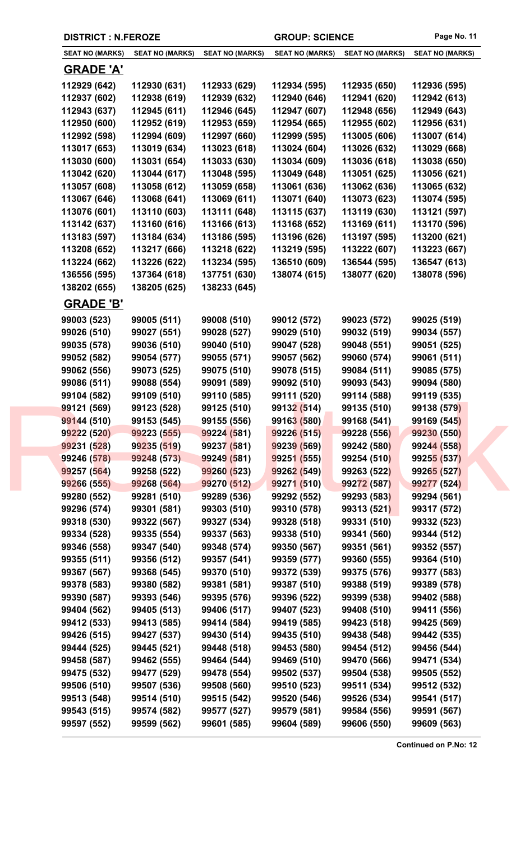| <b>DISTRICT : N.FEROZE</b> |                            |                            | <b>GROUP: SCIENCE</b>      |                            | Page No. 11                |
|----------------------------|----------------------------|----------------------------|----------------------------|----------------------------|----------------------------|
| <b>SEAT NO (MARKS)</b>     | <b>SEAT NO (MARKS)</b>     | <b>SEAT NO (MARKS)</b>     | <b>SEAT NO (MARKS)</b>     | <b>SEAT NO (MARKS)</b>     | <b>SEAT NO (MARKS)</b>     |
| <b>GRADE 'A'</b>           |                            |                            |                            |                            |                            |
| 112929 (642)               | 112930 (631)               | 112933 (629)               | 112934 (595)               | 112935 (650)               | 112936 (595)               |
| 112937 (602)               | 112938 (619)               | 112939 (632)               | 112940 (646)               | 112941 (620)               | 112942 (613)               |
| 112943 (637)               | 112945 (611)               | 112946 (645)               | 112947 (607)               | 112948 (656)               | 112949 (643)               |
| 112950 (600)               | 112952 (619)               | 112953 (659)               | 112954 (665)               | 112955 (602)               | 112956 (631)               |
| 112992 (598)               | 112994 (609)               | 112997 (660)               | 112999 (595)               | 113005 (606)               | 113007 (614)               |
| 113017 (653)               | 113019 (634)               | 113023 (618)               | 113024 (604)               | 113026 (632)               | 113029 (668)               |
| 113030 (600)               | 113031 (654)               | 113033 (630)               | 113034 (609)               | 113036 (618)               | 113038 (650)               |
| 113042 (620)               | 113044 (617)               | 113048 (595)               | 113049 (648)               | 113051 (625)               | 113056 (621)               |
| 113057 (608)               | 113058 (612)               | 113059 (658)               | 113061 (636)               | 113062 (636)               | 113065 (632)               |
| 113067 (646)               | 113068 (641)               | 113069 (611)               | 113071 (640)               | 113073 (623)               | 113074 (595)               |
| 113076 (601)               | 113110 (603)               | 113111 (648)               | 113115 (637)               | 113119 (630)               | 113121 (597)               |
| 113142 (637)               | 113160 (616)               | 113166 (613)               | 113168 (652)               | 113169 (611)               | 113170 (596)               |
| 113183 (597)               | 113184 (634)               | 113186 (595)               | 113196 (626)               | 113197 (595)               | 113200 (621)               |
| 113208 (652)               | 113217 (666)               | 113218 (622)               | 113219 (595)               | 113222 (607)               | 113223 (667)               |
| 113224 (662)               | 113226 (622)               | 113234 (595)               | 136510 (609)               | 136544 (595)               | 136547 (613)               |
| 136556 (595)               | 137364 (618)               | 137751 (630)               | 138074 (615)               | 138077 (620)               | 138078 (596)               |
| 138202 (655)               | 138205 (625)               | 138233 (645)               |                            |                            |                            |
| <b>GRADE 'B'</b>           |                            |                            |                            |                            |                            |
| 99003 (523)                | 99005 (511)                | 99008 (510)                | 99012 (572)                | 99023 (572)                | 99025 (519)                |
| 99026 (510)                | 99027 (551)                | 99028 (527)                | 99029 (510)                | 99032 (519)                | 99034 (557)                |
| 99035 (578)                | 99036 (510)                | 99040 (510)                | 99047 (528)                | 99048 (551)                | 99051 (525)                |
| 99052 (582)                | 99054 (577)                | 99055 (571)                | 99057 (562)                | 99060 (574)                | 99061 (511)                |
| 99062 (556)                | 99073 (525)                | 99075 (510)                | 99078 (515)                | 99084 (511)                | 99085 (575)                |
| 99086 (511)                | 99088 (554)                | 99091 (589)                | 99092 (510)                | 99093 (543)                | 99094 (580)                |
| 99104 (582)                | 99109 (510)                | 99110 (585)                | 99111 (520)                | 99114 (588)                | 99119 (535)                |
| <b>99121 (569)</b>         | 99123 (528)                | 99125 (510)                | 99132 (514)                | 99135 (510)                | 99138 (579)                |
| 99144 (510)                | 99153 (545)                | 99155 (556)                | 99163 (580)                | 99168 (541)                | 99169 (545)                |
| 99222 (520)                | 99223 (555)                | 99224 (581)                | 99226 (515)                | 99228 (556)                | 99230 (550)                |
| 99231 (528)                | 99235 (519)                | 99237 (581)                | 99239 (569)                | 99242 (580)                | 99244 (558)                |
| 99246 (578)                | 99248 (573)                | 99249 (581)                | 99251 (555)                | 99254 (510)                | 99255 (537)                |
| 99257 (564)<br>99266 (555) | 99258 (522)<br>99268 (564) | 99260 (523)<br>99270 (512) | 99262 (549)<br>99271 (510) | 99263 (522)<br>99272 (587) | 99265 (527)<br>99277 (524) |
| 99280 (552)                | 99281 (510)                | 99289 (536)                | 99292 (552)                | 99293 (583)                | 99294 (561)                |
| 99296 (574)                | 99301 (581)                | 99303 (510)                | 99310 (578)                | 99313 (521)                | 99317 (572)                |
| 99318 (530)                | 99322 (567)                | 99327 (534)                | 99328 (518)                | 99331 (510)                | 99332 (523)                |
| 99334 (528)                | 99335 (554)                | 99337 (563)                | 99338 (510)                | 99341 (560)                | 99344 (512)                |
| 99346 (558)                | 99347 (540)                | 99348 (574)                | 99350 (567)                | 99351 (561)                | 99352 (557)                |
| 99355 (511)                | 99356 (512)                | 99357 (541)                | 99359 (577)                | 99360 (555)                | 99364 (510)                |
| 99367 (567)                | 99368 (545)                | 99370 (510)                | 99372 (539)                | 99375 (576)                | 99377 (583)                |
| 99378 (583)                | 99380 (582)                | 99381 (581)                | 99387 (510)                | 99388 (519)                | 99389 (578)                |
| 99390 (587)                | 99393 (546)                | 99395 (576)                | 99396 (522)                | 99399 (538)                | 99402 (588)                |
| 99404 (562)                | 99405 (513)                | 99406 (517)                | 99407 (523)                | 99408 (510)                | 99411 (556)                |
| 99412 (533)                | 99413 (585)                | 99414 (584)                | 99419 (585)                | 99423 (518)                | 99425 (569)                |
| 99426 (515)                | 99427 (537)                | 99430 (514)                | 99435 (510)                | 99438 (548)                | 99442 (535)                |
| 99444 (525)                | 99445 (521)                | 99448 (518)                | 99453 (580)                | 99454 (512)                | 99456 (544)                |
| 99458 (587)                | 99462 (555)                | 99464 (544)                | 99469 (510)                | 99470 (566)                | 99471 (534)                |
| 99475 (532)                | 99477 (529)                | 99478 (554)                | 99502 (537)                | 99504 (538)                | 99505 (552)                |
| 99506 (510)                | 99507 (536)                | 99508 (560)                | 99510 (523)                | 99511 (534)                | 99512 (532)                |
| 99513 (548)                | 99514 (510)                | 99515 (542)                | 99520 (546)                | 99526 (534)                | 99541 (517)                |
| 99543 (515)                | 99574 (582)                | 99577 (527)                | 99579 (581)                | 99584 (556)                | 99591 (567)                |
| 99597 (552)                | 99599 (562)                | 99601 (585)                | 99604 (589)                | 99606 (550)                | 99609 (563)                |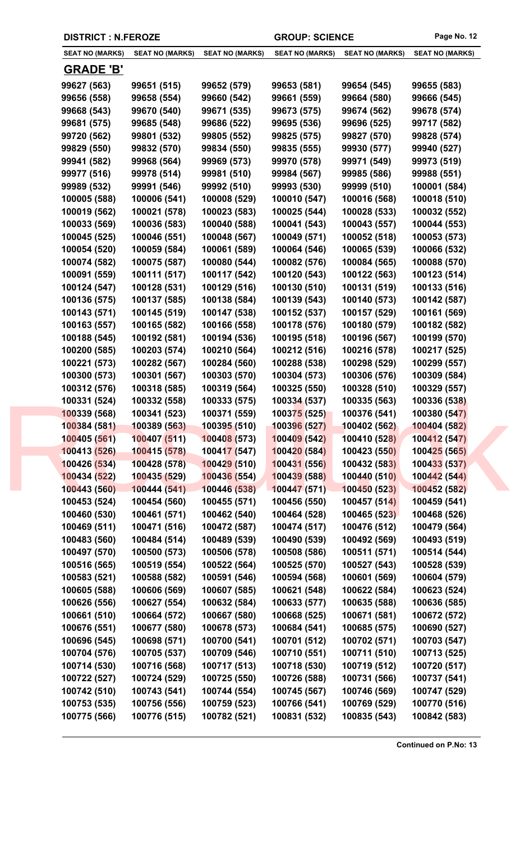|                              | <b>DISTRICT : N.FEROZE</b>   |                              | <b>GROUP: SCIENCE</b>        |                              | Page No. 12                  |
|------------------------------|------------------------------|------------------------------|------------------------------|------------------------------|------------------------------|
| <b>SEAT NO (MARKS)</b>       | <b>SEAT NO (MARKS)</b>       | <b>SEAT NO (MARKS)</b>       | <b>SEAT NO (MARKS)</b>       | <b>SEAT NO (MARKS)</b>       | <b>SEAT NO (MARKS)</b>       |
| <u>GRADE 'B'</u>             |                              |                              |                              |                              |                              |
| 99627 (563)                  | 99651 (515)                  | 99652 (579)                  | 99653 (581)                  | 99654 (545)                  | 99655 (583)                  |
| 99656 (558)                  | 99658 (554)                  | 99660 (542)                  | 99661 (559)                  | 99664 (580)                  | 99666 (545)                  |
| 99668 (543)                  | 99670 (540)                  | 99671 (535)                  | 99673 (575)                  | 99674 (562)                  | 99678 (574)                  |
| 99681 (575)                  | 99685 (548)                  | 99686 (522)                  | 99695 (536)                  | 99696 (525)                  | 99717 (582)                  |
| 99720 (562)                  | 99801 (532)                  | 99805 (552)                  | 99825 (575)                  | 99827 (570)                  | 99828 (574)                  |
| 99829 (550)                  | 99832 (570)                  | 99834 (550)                  | 99835 (555)                  | 99930 (577)                  | 99940 (527)                  |
| 99941 (582)                  | 99968 (564)                  | 99969 (573)                  | 99970 (578)                  | 99971 (549)                  | 99973 (519)                  |
| 99977 (516)                  | 99978 (514)                  | 99981 (510)                  | 99984 (567)                  | 99985 (586)                  | 99988 (551)                  |
| 99989 (532)                  | 99991 (546)                  | 99992 (510)                  | 99993 (530)                  | 99999 (510)                  | 100001 (584)                 |
| 100005 (588)                 | 100006 (541)                 | 100008 (529)                 | 100010 (547)                 | 100016 (568)                 | 100018 (510)                 |
| 100019 (562)                 | 100021 (578)                 | 100023 (583)                 | 100025 (544)                 | 100028 (533)                 | 100032 (552)                 |
| 100033 (569)                 | 100036 (583)                 | 100040 (588)                 | 100041 (543)                 | 100043 (557)                 | 100044 (553)                 |
| 100045 (525)                 | 100046 (551)                 | 100048 (567)                 | 100049 (571)                 | 100052 (518)                 | 100053 (573)                 |
| 100054 (520)                 | 100059 (584)                 | 100061 (589)                 | 100064 (546)                 | 100065 (539)                 | 100066 (532)                 |
| 100074 (582)                 | 100075 (587)                 | 100080 (544)                 | 100082 (576)                 | 100084 (565)                 | 100088 (570)                 |
| 100091 (559)                 | 100111 (517)                 | 100117 (542)                 | 100120 (543)                 | 100122 (563)                 | 100123 (514)                 |
| 100124 (547)                 | 100128 (531)                 | 100129 (516)                 | 100130 (510)                 | 100131 (519)                 | 100133 (516)                 |
| 100136 (575)                 | 100137 (585)                 | 100138 (584)                 | 100139 (543)                 | 100140 (573)                 | 100142 (587)                 |
| 100143 (571)                 | 100145 (519)                 | 100147 (538)                 | 100152 (537)                 | 100157 (529)                 | 100161 (569)                 |
| 100163 (557)                 | 100165 (582)                 | 100166 (558)                 | 100178 (576)                 | 100180 (579)                 | 100182 (582)                 |
| 100188 (545)                 | 100192 (581)                 | 100194 (536)                 | 100195 (518)                 | 100196 (567)                 | 100199 (570)                 |
| 100200 (585)                 | 100203 (574)                 | 100210 (564)                 | 100212 (516)                 | 100216 (578)                 | 100217 (525)                 |
| 100221 (573)                 | 100282 (567)                 | 100284 (560)                 | 100288 (538)                 | 100298 (529)                 | 100299 (557)                 |
| 100300 (573)                 | 100301 (567)                 | 100303 (570)                 | 100304 (573)                 | 100306 (576)                 | 100309 (584)                 |
| 100312 (576)                 | 100318 (585)                 | 100319 (564)                 | 100325 (550)                 | 100328 (510)                 | 100329 (557)                 |
| 100331 (524)                 | 100332 (558)                 | 100333 (575)                 | 100334 (537)                 | 100335 (563)                 | 100336 (538)                 |
| 100339 (568)                 | 100341 (523)                 | 100371 (559)                 | 100375(525)                  | 100376 (541)                 | 100380 (547)                 |
| 100384 (581)                 | 100389 (563)                 | 100395 (510)                 | 100396 (527)                 | 100402 (562)                 | 100404 (582)                 |
| 100405 (561)                 | 100407 (511)                 | 100408 (573)                 | 100409 (542)                 | 100410 (528)                 | 100412 (547)                 |
| 100413 (526)                 | 100415 (578)                 | 100417 (547)                 | 100420 (584)                 | 100423 (550)                 | 100425 (565)                 |
| 100426 (534)                 | 100428 (578)                 | 100429 (510)                 | 100431 (556)                 | 100432 (583)                 | 100433 (537)                 |
| 100434 (522)                 | 100435 (529)                 | 100436 (554)                 | 100439 (588)                 | 100440 (510)                 | 100442 (544)                 |
| 100443 (560)                 | 100444 (541)                 | 100446 (538)                 | 100447(571)                  | 100450 (523)                 | 100452 (582)                 |
| 100453 (524)                 | 100454 (560)                 | 100455 (571)                 | 100456 (550)                 | 100457 (514)                 | 100459 (541)                 |
| 100460 (530)                 | 100461 (571)                 | 100462 (540)                 | 100464 (528)                 | 100465 (523)                 | 100468 (526)                 |
| 100469 (511)                 | 100471 (516)                 | 100472 (587)                 | 100474 (517)                 | 100476 (512)                 | 100479 (564)                 |
| 100483 (560)                 | 100484 (514)                 | 100489 (539)                 | 100490 (539)                 | 100492 (569)                 | 100493 (519)                 |
| 100497 (570)                 | 100500 (573)                 | 100506 (578)                 | 100508 (586)                 | 100511 (571)                 | 100514 (544)                 |
| 100516 (565)                 | 100519 (554)                 | 100522 (564)                 | 100525 (570)                 | 100527 (543)                 | 100528 (539)                 |
| 100583 (521)<br>100605 (588) | 100588 (582)<br>100606 (569) | 100591 (546)<br>100607 (585) | 100594 (568)<br>100621 (548) | 100601 (569)<br>100622 (584) | 100604 (579)<br>100623 (524) |
| 100626 (556)                 | 100627 (554)                 | 100632 (584)                 | 100633 (577)                 | 100635 (588)                 | 100636 (585)                 |
| 100661 (510)                 | 100664 (572)                 | 100667 (580)                 | 100668 (525)                 | 100671 (581)                 | 100672 (572)                 |
| 100676 (551)                 | 100677 (580)                 | 100678 (573)                 | 100684 (541)                 | 100685 (575)                 | 100690 (527)                 |
| 100696 (545)                 | 100698 (571)                 | 100700 (541)                 | 100701 (512)                 | 100702 (571)                 | 100703 (547)                 |
| 100704 (576)                 | 100705 (537)                 | 100709 (546)                 | 100710 (551)                 | 100711 (510)                 | 100713 (525)                 |
| 100714 (530)                 | 100716 (568)                 | 100717 (513)                 | 100718 (530)                 | 100719 (512)                 | 100720 (517)                 |
| 100722 (527)                 | 100724 (529)                 | 100725 (550)                 | 100726 (588)                 | 100731 (566)                 | 100737 (541)                 |
| 100742 (510)                 | 100743 (541)                 | 100744 (554)                 | 100745 (567)                 | 100746 (569)                 | 100747 (529)                 |
| 100753 (535)                 | 100756 (556)                 | 100759 (523)                 | 100766 (541)                 | 100769 (529)                 | 100770 (516)                 |
| 100775 (566)                 | 100776 (515)                 | 100782 (521)                 | 100831 (532)                 | 100835 (543)                 | 100842 (583)                 |
|                              |                              |                              |                              |                              |                              |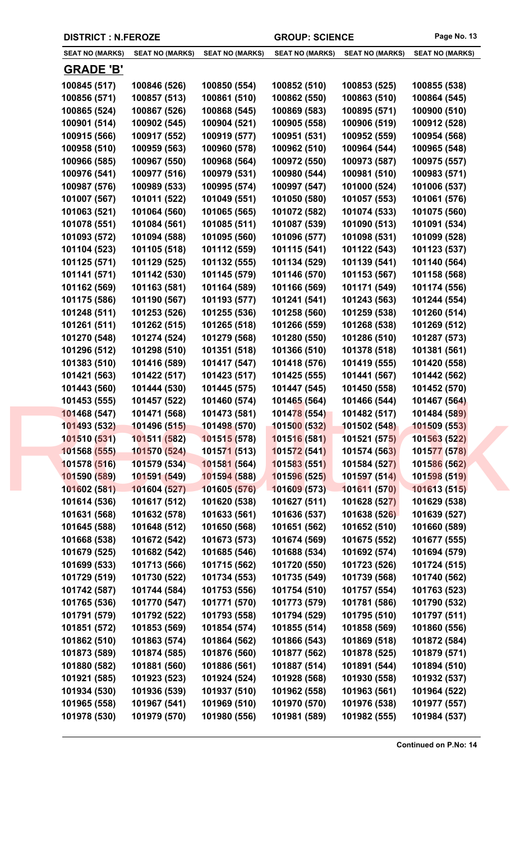| <b>DISTRICT : N.FEROZE</b>   |                              |                              | <b>GROUP: SCIENCE</b>        |                              | Page No. 13                  |
|------------------------------|------------------------------|------------------------------|------------------------------|------------------------------|------------------------------|
| <b>SEAT NO (MARKS)</b>       | <b>SEAT NO (MARKS)</b>       | <b>SEAT NO (MARKS)</b>       | <b>SEAT NO (MARKS)</b>       | <b>SEAT NO (MARKS)</b>       | <b>SEAT NO (MARKS)</b>       |
| <b>GRADE 'B'</b>             |                              |                              |                              |                              |                              |
| 100845 (517)                 | 100846 (526)                 | 100850 (554)                 | 100852 (510)                 | 100853 (525)                 | 100855 (538)                 |
| 100856 (571)                 | 100857 (513)                 | 100861 (510)                 | 100862 (550)                 | 100863 (510)                 | 100864 (545)                 |
| 100865 (524)                 | 100867 (526)                 | 100868 (545)                 | 100869 (583)                 | 100895 (571)                 | 100900 (510)                 |
| 100901 (514)                 | 100902 (545)                 | 100904 (521)                 | 100905 (558)                 | 100906 (519)                 | 100912 (528)                 |
| 100915 (566)                 | 100917 (552)                 | 100919 (577)                 | 100951 (531)                 | 100952 (559)                 | 100954 (568)                 |
| 100958 (510)                 | 100959 (563)                 | 100960 (578)                 | 100962 (510)                 | 100964 (544)                 | 100965 (548)                 |
| 100966 (585)                 | 100967 (550)                 | 100968 (564)                 | 100972 (550)                 | 100973 (587)                 | 100975 (557)                 |
| 100976 (541)                 | 100977 (516)                 | 100979 (531)                 | 100980 (544)                 | 100981 (510)                 | 100983 (571)                 |
| 100987 (576)                 | 100989 (533)                 | 100995 (574)                 | 100997 (547)                 | 101000 (524)                 | 101006 (537)                 |
| 101007 (567)                 | 101011 (522)                 | 101049 (551)                 | 101050 (580)                 | 101057 (553)                 | 101061 (576)                 |
| 101063 (521)                 | 101064 (560)                 | 101065 (565)                 | 101072 (582)                 | 101074 (533)                 | 101075 (560)                 |
| 101078 (551)                 | 101084 (561)                 | 101085 (511)                 | 101087 (539)                 | 101090 (513)                 | 101091 (534)                 |
| 101093 (572)                 | 101094 (588)                 | 101095 (560)                 | 101096 (577)                 | 101098 (531)                 | 101099 (528)                 |
| 101104 (523)                 | 101105 (518)                 | 101112 (559)                 | 101115 (541)                 | 101122 (543)                 | 101123 (537)                 |
| 101125 (571)                 | 101129 (525)                 | 101132 (555)                 | 101134 (529)                 | 101139 (541)                 | 101140 (564)                 |
| 101141 (571)                 | 101142 (530)                 | 101145 (579)                 | 101146 (570)                 | 101153 (567)                 | 101158 (568)                 |
| 101162 (569)                 | 101163 (581)                 | 101164 (589)                 | 101166 (569)                 | 101171 (549)                 | 101174 (556)                 |
| 101175 (586)                 | 101190 (567)                 | 101193 (577)                 | 101241 (541)                 | 101243 (563)                 | 101244 (554)                 |
| 101248 (511)                 | 101253 (526)                 | 101255 (536)                 | 101258 (560)                 | 101259 (538)                 | 101260 (514)                 |
| 101261 (511)                 | 101262 (515)                 | 101265 (518)                 | 101266 (559)                 | 101268 (538)                 | 101269 (512)                 |
| 101270 (548)                 | 101274 (524)                 | 101279 (568)                 | 101280 (550)                 | 101286 (510)                 | 101287 (573)                 |
| 101296 (512)                 | 101298 (510)                 | 101351 (518)                 | 101366 (510)                 | 101378 (518)                 | 101381 (561)                 |
| 101383 (510)                 | 101416 (589)                 | 101417 (547)                 | 101418 (576)                 | 101419 (555)                 | 101420 (558)                 |
| 101421 (563)                 | 101422 (517)                 | 101423 (517)                 | 101425 (555)                 | 101441 (567)                 | 101442 (562)                 |
| 101443 (560)                 | 101444 (530)                 | 101445 (575)                 | 101447 (545)                 | 101450 (558)                 | 101452 (570)                 |
| 101453 (555)                 | 101457 (522)                 | 101460 (574)                 | 101465 (564)                 | 101466 (544)                 | 101467 (564)                 |
| 101468 (547)                 | 101471 (568)                 | 101473 (581)                 | 101478 (554)                 | 101482 (517)                 | 101484 (589)                 |
| 101493 (532)                 | 101496 (515)                 | 101498 (570)                 | 101500(532)                  | 101502 (548)                 | 101509 (553)                 |
| 101510 (531)                 | 101511 (582)                 | 101515(578)                  | 101516 (581)                 | 101521 (575)                 | 101563 (522)                 |
| 101568 (555)                 | 101570 (524)                 | 101571 (513)                 | 101572 (541)                 | 101574 (563)                 | 101577 (578)                 |
| 101578 (516)                 | 101579 (534)                 | 101581 (564)                 | 101583 (551)                 | 101584 (527)                 | 101586 (562)                 |
| 101590 (589)                 | 101591 (549)                 | 101594 (588)                 | 101596 (525)                 | 101597 (514)                 | 101598 (519)                 |
| 101602 (581)                 | 101604 (527)                 | 101605 (576)                 | 101609 (573)                 | 101611 (570)                 | 101613 (515)                 |
| 101614 (536)                 | 101617 (512)                 | 101620 (538)                 | 101627 (511)                 | 101628 (527)                 | 101629 (538)                 |
| 101631 (568)                 | 101632 (578)                 | 101633 (561)                 | 101636 (537)                 | 101638 (526)                 | 101639 (527)                 |
| 101645 (588)                 | 101648 (512)                 | 101650 (568)                 | 101651 (562)                 | 101652 (510)                 | 101660 (589)                 |
| 101668 (538)                 | 101672 (542)                 | 101673 (573)                 | 101674 (569)                 | 101675 (552)                 | 101677 (555)                 |
| 101679 (525)                 | 101682 (542)<br>101713 (566) | 101685 (546)                 | 101688 (534)                 | 101692 (574)                 | 101694 (579)                 |
| 101699 (533)<br>101729 (519) | 101730 (522)                 | 101715 (562)<br>101734 (553) | 101720 (550)<br>101735 (549) | 101723 (526)<br>101739 (568) | 101724 (515)<br>101740 (562) |
| 101742 (587)                 | 101744 (584)                 | 101753 (556)                 | 101754 (510)                 | 101757 (554)                 | 101763 (523)                 |
| 101765 (536)                 | 101770 (547)                 | 101771 (570)                 | 101773 (579)                 | 101781 (586)                 | 101790 (532)                 |
| 101791 (579)                 | 101792 (522)                 | 101793 (558)                 | 101794 (529)                 | 101795 (510)                 | 101797 (511)                 |
| 101851 (572)                 | 101853 (569)                 | 101854 (574)                 | 101855 (514)                 | 101858 (569)                 | 101860 (556)                 |
| 101862 (510)                 | 101863 (574)                 | 101864 (562)                 | 101866 (543)                 | 101869 (518)                 | 101872 (584)                 |
| 101873 (589)                 | 101874 (585)                 | 101876 (560)                 | 101877 (562)                 | 101878 (525)                 | 101879 (571)                 |
| 101880 (582)                 | 101881 (560)                 | 101886 (561)                 | 101887 (514)                 | 101891 (544)                 | 101894 (510)                 |
| 101921 (585)                 | 101923 (523)                 | 101924 (524)                 | 101928 (568)                 | 101930 (558)                 | 101932 (537)                 |
| 101934 (530)                 | 101936 (539)                 | 101937 (510)                 | 101962 (558)                 | 101963 (561)                 | 101964 (522)                 |
| 101965 (558)                 | 101967 (541)                 | 101969 (510)                 | 101970 (570)                 | 101976 (538)                 | 101977 (557)                 |
| 101978 (530)                 | 101979 (570)                 | 101980 (556)                 | 101981 (589)                 | 101982 (555)                 | 101984 (537)                 |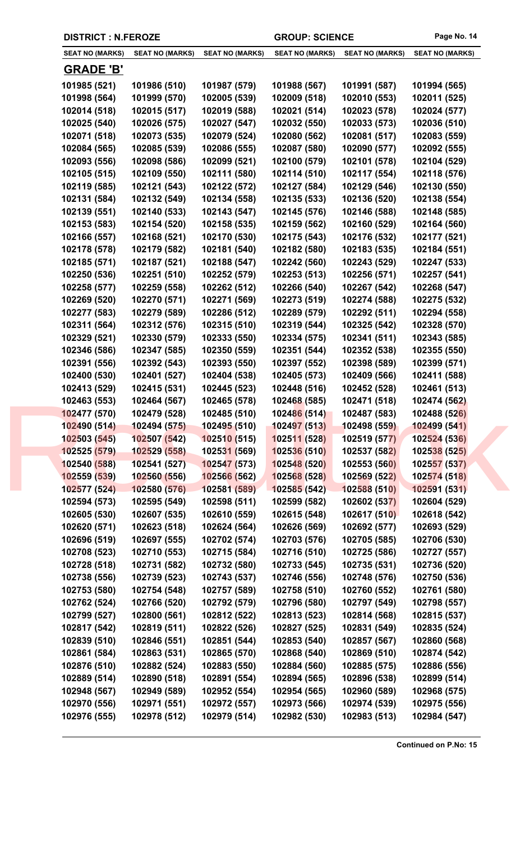| <b>DISTRICT : N.FEROZE</b>   |                              |                              | <b>GROUP: SCIENCE</b>        |                              | Page No. 14                  |
|------------------------------|------------------------------|------------------------------|------------------------------|------------------------------|------------------------------|
| <b>SEAT NO (MARKS)</b>       | <b>SEAT NO (MARKS)</b>       | <b>SEAT NO (MARKS)</b>       | <b>SEAT NO (MARKS)</b>       | <b>SEAT NO (MARKS)</b>       | <b>SEAT NO (MARKS)</b>       |
| <b>GRADE 'B'</b>             |                              |                              |                              |                              |                              |
| 101985 (521)                 | 101986 (510)                 | 101987 (579)                 | 101988 (567)                 | 101991 (587)                 | 101994 (565)                 |
| 101998 (564)                 | 101999 (570)                 | 102005 (539)                 | 102009 (518)                 | 102010 (553)                 | 102011 (525)                 |
| 102014 (518)                 | 102015 (517)                 | 102019 (588)                 | 102021 (514)                 | 102023 (578)                 | 102024 (577)                 |
| 102025 (540)                 | 102026 (575)                 | 102027 (547)                 | 102032 (550)                 | 102033 (573)                 | 102036 (510)                 |
| 102071 (518)                 | 102073 (535)                 | 102079 (524)                 | 102080 (562)                 | 102081 (517)                 | 102083 (559)                 |
| 102084 (565)                 | 102085 (539)                 | 102086 (555)                 | 102087 (580)                 | 102090 (577)                 | 102092 (555)                 |
| 102093 (556)                 | 102098 (586)                 | 102099 (521)                 | 102100 (579)                 | 102101 (578)                 | 102104 (529)                 |
| 102105 (515)                 | 102109 (550)                 | 102111 (580)                 | 102114 (510)                 | 102117 (554)                 | 102118 (576)                 |
| 102119 (585)                 | 102121 (543)                 | 102122 (572)                 | 102127 (584)                 | 102129 (546)                 | 102130 (550)                 |
| 102131 (584)                 | 102132 (549)                 | 102134 (558)                 | 102135 (533)                 | 102136 (520)                 | 102138 (554)                 |
| 102139 (551)                 | 102140 (533)                 | 102143 (547)                 | 102145 (576)                 | 102146 (588)                 | 102148 (585)                 |
| 102153 (583)                 | 102154 (520)                 | 102158 (535)                 | 102159 (562)                 | 102160 (529)                 | 102164 (560)                 |
| 102166 (557)                 | 102168 (521)                 | 102170 (530)                 | 102175 (543)                 | 102176 (532)                 | 102177 (521)                 |
| 102178 (578)                 | 102179 (582)                 | 102181 (540)                 | 102182 (580)                 | 102183 (535)                 | 102184 (551)                 |
| 102185 (571)                 | 102187 (521)                 | 102188 (547)                 | 102242 (560)                 | 102243 (529)                 | 102247 (533)                 |
| 102250 (536)                 | 102251 (510)                 | 102252 (579)                 | 102253 (513)                 | 102256 (571)                 | 102257 (541)                 |
| 102258 (577)                 | 102259 (558)                 | 102262 (512)                 | 102266 (540)                 | 102267 (542)                 | 102268 (547)                 |
| 102269 (520)                 | 102270 (571)                 | 102271 (569)                 | 102273 (519)                 | 102274 (588)                 | 102275 (532)                 |
| 102277 (583)                 | 102279 (589)                 | 102286 (512)                 | 102289 (579)                 | 102292 (511)                 | 102294 (558)                 |
| 102311 (564)                 | 102312 (576)                 | 102315 (510)                 | 102319 (544)                 | 102325 (542)                 | 102328 (570)                 |
| 102329 (521)                 | 102330 (579)                 | 102333 (550)                 | 102334 (575)                 | 102341 (511)                 | 102343 (585)                 |
| 102346 (586)                 | 102347 (585)                 | 102350 (559)                 | 102351 (544)                 | 102352 (538)                 | 102355 (550)                 |
| 102391 (556)                 | 102392 (543)                 | 102393 (550)                 | 102397 (552)                 | 102398 (589)                 | 102399 (571)                 |
| 102400 (530)                 | 102401 (527)                 | 102404 (538)                 | 102405 (573)                 | 102409 (566)                 | 102411 (588)                 |
| 102413 (529)                 | 102415 (531)                 | 102445 (523)                 | 102448 (516)                 | 102452 (528)                 | 102461 (513)                 |
| 102463 (553)                 | 102464 (567)                 | 102465 (578)                 | 102468 (585)                 | 102471 (518)                 | 102474 (562)                 |
| 102477 (570)                 | 102479 (528)                 | 102485 (510)                 | 102486 (514)                 | 102487 (583)                 | 102488 (526)                 |
| 102490 (514)                 | 102494 (575)                 | 102495 (510)                 | 102497 (513)                 | 102498 (559)                 | 102499 (541)                 |
| 102503 (545)                 | 102507 (542)                 | 102510(515)                  | 102511 (528)                 | 102519 (577)                 | 102524 (536)                 |
| 102525 (579)                 | 102529 (558)                 | 10253 <mark>1 (569)</mark>   | 102536 (510)                 | 102537 (582)                 | 102538 (525)                 |
| 102540 (588)                 | 102541 (527)                 | 102547 (573)                 | 102548 (520)                 | 102553 (560)                 | 102557 (537)                 |
| 102559 (539)                 | 102560 (556)                 | 102566 (562)                 | 102568 (528)                 | 102569 (522)                 | 102574 (518)                 |
| 102577 (524)                 | 102580 (576)                 | 102581 (589)                 | 102585 (542)                 | 102588 (510)                 | 102591 (531)                 |
| 102594 (573)                 | 102595 (549)                 | 102598 (511)                 | 102599 (582)                 | 102602 (537)                 | 102604 (529)                 |
| 102605 (530)                 | 102607 (535)                 | 102610 (559)                 | 102615 (548)                 | 102617 (510)                 | 102618 (542)                 |
| 102620 (571)<br>102696 (519) | 102623 (518)<br>102697 (555) | 102624 (564)<br>102702 (574) | 102626 (569)<br>102703 (576) | 102692 (577)<br>102705 (585) | 102693 (529)<br>102706 (530) |
| 102708 (523)                 | 102710 (553)                 | 102715 (584)                 | 102716 (510)                 | 102725 (586)                 | 102727 (557)                 |
| 102728 (518)                 | 102731 (582)                 | 102732 (580)                 | 102733 (545)                 | 102735 (531)                 | 102736 (520)                 |
| 102738 (556)                 | 102739 (523)                 | 102743 (537)                 | 102746 (556)                 | 102748 (576)                 | 102750 (536)                 |
| 102753 (580)                 | 102754 (548)                 | 102757 (589)                 | 102758 (510)                 | 102760 (552)                 | 102761 (580)                 |
| 102762 (524)                 | 102766 (520)                 | 102792 (579)                 | 102796 (580)                 | 102797 (549)                 | 102798 (557)                 |
| 102799 (527)                 | 102800 (561)                 | 102812 (522)                 | 102813 (523)                 | 102814 (568)                 | 102815 (537)                 |
| 102817 (542)                 | 102819 (511)                 | 102822 (526)                 | 102827 (525)                 | 102831 (549)                 | 102835 (524)                 |
| 102839 (510)                 | 102846 (551)                 | 102851 (544)                 | 102853 (540)                 | 102857 (567)                 | 102860 (568)                 |
| 102861 (584)                 | 102863 (531)                 | 102865 (570)                 | 102868 (540)                 | 102869 (510)                 | 102874 (542)                 |
| 102876 (510)                 | 102882 (524)                 | 102883 (550)                 | 102884 (560)                 | 102885 (575)                 | 102886 (556)                 |
| 102889 (514)                 | 102890 (518)                 | 102891 (554)                 | 102894 (565)                 | 102896 (538)                 | 102899 (514)                 |
| 102948 (567)                 | 102949 (589)                 | 102952 (554)                 | 102954 (565)                 | 102960 (589)                 | 102968 (575)                 |
| 102970 (556)                 | 102971 (551)                 | 102972 (557)                 | 102973 (566)                 | 102974 (539)                 | 102975 (556)                 |
| 102976 (555)                 | 102978 (512)                 | 102979 (514)                 | 102982 (530)                 | 102983 (513)                 | 102984 (547)                 |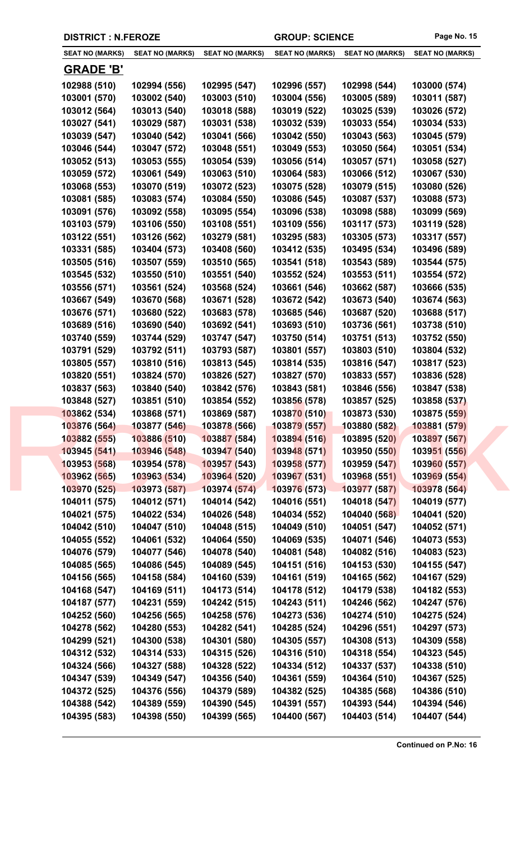| <b>SEAT NO (MARKS)</b>       | <b>SEAT NO (MARKS)</b>       | <b>SEAT NO (MARKS)</b>       | <b>SEAT NO (MARKS)</b>       | <b>SEAT NO (MARKS)</b>       | <b>SEAT NO (MARKS)</b>       |
|------------------------------|------------------------------|------------------------------|------------------------------|------------------------------|------------------------------|
| <u>GRADE 'B'</u>             |                              |                              |                              |                              |                              |
| 102988 (510)                 | 102994 (556)                 | 102995 (547)                 | 102996 (557)                 | 102998 (544)                 | 103000 (574)                 |
| 103001 (570)                 | 103002 (540)                 | 103003 (510)                 | 103004 (556)                 | 103005 (589)                 | 103011 (587)                 |
| 103012 (564)                 | 103013 (540)                 | 103018 (588)                 | 103019 (522)                 | 103025 (539)                 | 103026 (572)                 |
| 103027 (541)                 | 103029 (587)                 | 103031 (538)                 | 103032 (539)                 | 103033 (554)                 | 103034 (533)                 |
| 103039 (547)                 | 103040 (542)                 | 103041 (566)                 | 103042 (550)                 | 103043 (563)                 | 103045 (579)                 |
| 103046 (544)                 | 103047 (572)                 | 103048 (551)                 | 103049 (553)                 | 103050 (564)                 | 103051 (534)                 |
| 103052 (513)                 | 103053 (555)                 | 103054 (539)                 | 103056 (514)                 | 103057 (571)                 | 103058 (527)                 |
| 103059 (572)                 | 103061 (549)                 | 103063 (510)                 | 103064 (583)                 | 103066 (512)                 | 103067 (530)                 |
| 103068 (553)                 | 103070 (519)                 | 103072 (523)                 | 103075 (528)                 | 103079 (515)                 | 103080 (526)                 |
| 103081 (585)                 | 103083 (574)                 | 103084 (550)                 | 103086 (545)                 | 103087 (537)                 | 103088 (573)                 |
| 103091 (576)                 | 103092 (558)                 | 103095 (554)                 | 103096 (538)                 | 103098 (588)                 | 103099 (569)                 |
| 103103 (579)                 | 103106 (550)                 | 103108 (551)                 | 103109 (556)                 | 103117 (573)                 | 103119 (528)                 |
| 103122 (551)                 | 103126 (562)                 | 103279 (581)                 | 103295 (583)                 | 103305 (573)                 | 103317 (557)                 |
| 103331 (585)                 | 103404 (573)                 | 103408 (560)                 | 103412 (535)                 | 103495 (534)                 | 103496 (589)                 |
| 103505 (516)                 | 103507 (559)                 | 103510 (565)                 | 103541 (518)                 | 103543 (589)                 | 103544 (575)                 |
| 103545 (532)                 | 103550 (510)                 | 103551 (540)                 | 103552 (524)                 | 103553 (511)                 | 103554 (572)                 |
| 103556 (571)                 | 103561 (524)                 | 103568 (524)                 | 103661 (546)                 | 103662 (587)                 | 103666 (535)                 |
| 103667 (549)                 | 103670 (568)                 | 103671 (528)                 | 103672 (542)                 | 103673 (540)                 | 103674 (563)                 |
| 103676 (571)                 | 103680 (522)                 | 103683 (578)                 | 103685 (546)                 | 103687 (520)                 | 103688 (517)                 |
| 103689 (516)                 | 103690 (540)                 |                              | 103693 (510)                 | 103736 (561)                 | 103738 (510)                 |
|                              |                              | 103692 (541)                 |                              | 103751 (513)                 |                              |
| 103740 (559)<br>103791 (529) | 103744 (529)<br>103792 (511) | 103747 (547)<br>103793 (587) | 103750 (514)<br>103801 (557) | 103803 (510)                 | 103752 (550)<br>103804 (532) |
| 103805 (557)                 | 103810 (516)                 | 103813 (545)                 | 103814 (535)                 | 103816 (547)                 | 103817 (523)                 |
| 103820 (551)                 | 103824 (570)                 | 103826 (527)                 | 103827 (570)                 | 103833 (557)                 | 103836 (528)                 |
| 103837 (563)                 | 103840 (540)                 | 103842 (576)                 | 103843 (581)                 | 103846 (556)                 | 103847 (538)                 |
| 103848 (527)                 | 103851 (510)                 | 103854 (552)                 | 103856 (578)                 | 103857 (525)                 | 103858 (537)                 |
| 103862 (534)                 | 103868 (571)                 | 103869 (587)                 | 103870 (510)                 | 103873 (530)                 | 103875 (559)                 |
| 103876 (564)                 | 103877 (546)                 | 103878 (566)                 | 103879 (557)                 | 103880 (582)                 | 103881 (579)                 |
| 103882 (555)                 | 103886 (510)                 | 103887 (584)                 | 103894 (516)                 | 103895 (520)                 | 103897 (567)                 |
| 103945 (541)                 | 103946 (548)                 | 103947 (540)                 | 103948 (571)                 | 103950 (550)                 | 103951 (556)                 |
| 103953 (568)                 | 103954 (578)                 | 103957 (543)                 | 103958 (577)                 | 103959 (547)                 | 103960 (557)                 |
| 103962 (565)                 | 103963 (534)                 | 103964 (520)                 | 103967 (531)                 | 103968 (551)                 | 103969 (554)                 |
| 103970 (525)                 | 103973 (587)                 | 103974 (574)                 | 103976 (573)                 | 103977 (587)                 | 103978 (564)                 |
| 104011 (575)                 | 104012 (571)                 | 104014 (542)                 | 104016 (551)                 | 104018 (547)                 | 104019 (577)                 |
| 104021 (575)                 | 104022 (534)                 | 104026 (548)                 | 104034 (552)                 | 104040 (568)                 | 104041 (520)                 |
| 104042 (510)                 | 104047 (510)                 | 104048 (515)                 | 104049 (510)                 | 104051 (547)                 | 104052 (571)                 |
| 104055 (552)                 | 104061 (532)                 | 104064 (550)                 | 104069 (535)                 | 104071 (546)                 | 104073 (553)                 |
| 104076 (579)                 | 104077 (546)                 | 104078 (540)                 | 104081 (548)                 | 104082 (516)                 | 104083 (523)                 |
| 104085 (565)                 | 104086 (545)                 | 104089 (545)                 | 104151 (516)                 | 104153 (530)                 | 104155 (547)                 |
| 104156 (565)                 | 104158 (584)                 | 104160 (539)                 | 104161 (519)                 | 104165 (562)                 | 104167 (529)                 |
| 104168 (547)                 | 104169 (511)                 | 104173 (514)                 | 104178 (512)                 | 104179 (538)                 | 104182 (553)                 |
| 104187 (577)                 | 104231 (559)                 | 104242 (515)                 | 104243 (511)                 | 104246 (562)                 | 104247 (576)                 |
|                              |                              |                              |                              |                              |                              |
| 104252 (560)<br>104278 (562) | 104256 (565)<br>104280 (553) | 104258 (576)<br>104282 (541) | 104273 (536)<br>104285 (524) | 104274 (510)<br>104296 (551) | 104275 (524)<br>104297 (573) |
| 104299 (521)                 | 104300 (538)                 | 104301 (580)                 | 104305 (557)                 | 104308 (513)                 | 104309 (558)                 |
| 104312 (532)                 | 104314 (533)                 | 104315 (526)                 | 104316 (510)                 | 104318 (554)                 | 104323 (545)                 |
| 104324 (566)                 | 104327 (588)                 | 104328 (522)                 | 104334 (512)                 | 104337 (537)                 | 104338 (510)                 |
|                              | 104349 (547)                 | 104356 (540)                 | 104361 (559)                 | 104364 (510)                 | 104367 (525)                 |
| 104347 (539)                 |                              |                              |                              |                              |                              |
| 104372 (525)                 | 104376 (556)                 | 104379 (589)                 | 104382 (525)                 | 104385 (568)                 | 104386 (510)                 |
| 104388 (542)                 | 104389 (559)                 | 104390 (545)                 | 104391 (557)                 | 104393 (544)                 | 104394 (546)                 |
| 104395 (583)                 | 104398 (550)                 | 104399 (565)                 | 104400 (567)                 | 104403 (514)                 | 104407 (544)                 |

**DISTRICT : N.FEROZE GROUP: SCIENCE Page No. 15**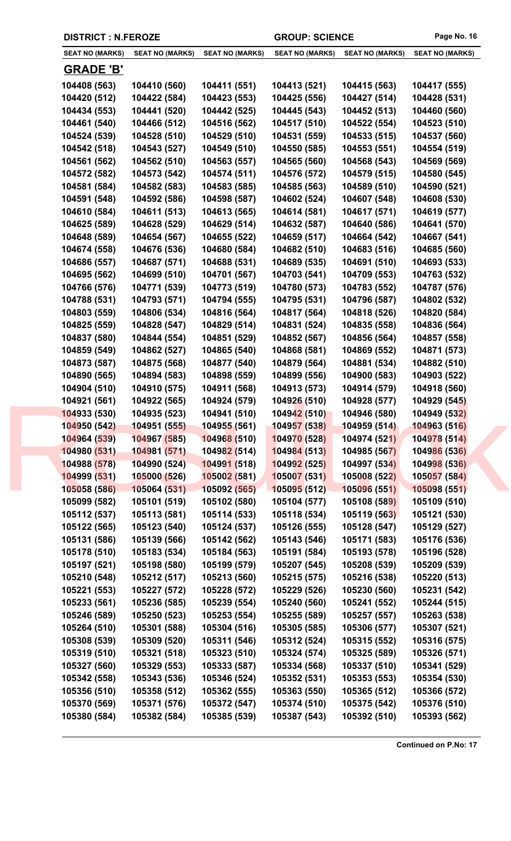|  | <b>DISTRICT : N.FEROZE</b>   |                              |                              | <b>GROUP: SCIENCE</b>        |                              | Page No. 16                  |
|--|------------------------------|------------------------------|------------------------------|------------------------------|------------------------------|------------------------------|
|  | <b>SEAT NO (MARKS)</b>       | <b>SEAT NO (MARKS)</b>       | <b>SEAT NO (MARKS)</b>       | <b>SEAT NO (MARKS)</b>       | <b>SEAT NO (MARKS)</b>       | <b>SEAT NO (MARKS)</b>       |
|  | <u>GRADE 'B'</u>             |                              |                              |                              |                              |                              |
|  | 104408 (563)                 | 104410 (560)                 | 104411 (551)                 | 104413 (521)                 | 104415 (563)                 | 104417 (555)                 |
|  | 104420 (512)                 | 104422 (584)                 | 104423 (553)                 | 104425 (556)                 | 104427 (514)                 | 104428 (531)                 |
|  | 104434 (553)                 | 104441 (520)                 | 104442 (525)                 | 104445 (543)                 | 104452 (513)                 | 104460 (560)                 |
|  | 104461 (540)                 | 104466 (512)                 | 104516 (562)                 | 104517 (510)                 | 104522 (554)                 | 104523 (510)                 |
|  | 104524 (539)                 | 104528 (510)                 | 104529 (510)                 | 104531 (559)                 | 104533 (515)                 | 104537 (560)                 |
|  | 104542 (518)                 | 104543 (527)                 | 104549 (510)                 | 104550 (585)                 | 104553 (551)                 | 104554 (519)                 |
|  | 104561 (562)                 | 104562 (510)                 | 104563 (557)                 | 104565 (560)                 | 104568 (543)                 | 104569 (569)                 |
|  | 104572 (582)                 | 104573 (542)                 | 104574 (511)                 | 104576 (572)                 | 104579 (515)                 | 104580 (545)                 |
|  | 104581 (584)                 | 104582 (583)                 | 104583 (585)                 | 104585 (563)                 | 104589 (510)                 | 104590 (521)                 |
|  | 104591 (548)                 | 104592 (586)                 | 104598 (587)                 | 104602 (524)                 | 104607 (548)                 | 104608 (530)                 |
|  | 104610 (584)                 | 104611 (513)                 | 104613 (565)                 | 104614 (581)                 | 104617 (571)                 | 104619 (577)                 |
|  | 104625 (589)                 | 104628 (529)                 | 104629 (514)                 | 104632 (587)                 | 104640 (586)                 | 104641 (570)                 |
|  | 104648 (589)                 | 104654 (567)                 | 104655 (522)                 | 104659 (517)                 | 104664 (542)                 | 104667 (541)                 |
|  | 104674 (558)                 | 104676 (536)                 | 104680 (584)                 | 104682 (510)                 | 104683 (516)                 | 104685 (560)                 |
|  | 104686 (557)                 | 104687 (571)                 | 104688 (531)                 | 104689 (535)                 | 104691 (510)                 | 104693 (533)                 |
|  | 104695 (562)                 | 104699 (510)                 | 104701 (567)                 | 104703 (541)                 | 104709 (553)                 | 104763 (532)                 |
|  | 104766 (576)                 | 104771 (539)                 | 104773 (519)                 | 104780 (573)                 | 104783 (552)                 | 104787 (576)                 |
|  | 104788 (531)                 | 104793 (571)                 | 104794 (555)                 | 104795 (531)                 | 104796 (587)                 | 104802 (532)                 |
|  | 104803 (559)                 | 104806 (534)                 | 104816 (564)                 | 104817 (564)                 | 104818 (526)                 | 104820 (584)                 |
|  | 104825 (559)                 | 104828 (547)                 | 104829 (514)                 | 104831 (524)                 | 104835 (558)                 | 104836 (564)                 |
|  | 104837 (580)                 | 104844 (554)                 | 104851 (529)                 | 104852 (567)                 | 104856 (564)                 | 104857 (558)                 |
|  | 104859 (549)                 | 104862 (527)                 | 104865 (540)                 | 104868 (581)                 | 104869 (552)                 | 104871 (573)                 |
|  | 104873 (587)                 | 104875 (568)                 | 104877 (540)                 | 104879 (564)                 | 104881 (534)                 | 104882 (510)                 |
|  | 104890 (565)                 | 104894 (583)                 | 104898 (559)                 | 104899 (556)                 | 104900 (583)                 | 104903 (522)                 |
|  | 104904 (510)<br>104921 (561) | 104910 (575)<br>104922 (565) | 104911 (568)<br>104924 (579) | 104913 (573)<br>104926 (510) | 104914 (579)                 | 104918 (560)<br>104929 (545) |
|  | 104933 (530)                 | 104935 (523)                 | 104941 (510)                 | 104942 (510)                 | 104928 (577)<br>104946 (580) | 104949 (532)                 |
|  | 104950 (542)                 | 104951 (555)                 | 104955 (561)                 | 104957 (538)                 | 104959 (514)                 | 104963 (516)                 |
|  | 104964 (539)                 | 104967 (585)                 | 104968 (510)                 | 104970 (528)                 | 104974 (521)                 | 104978 (514)                 |
|  | 104980 (531)                 | 104981 (571)                 | 104982 (514)                 | 104984 (513)                 | 104985 (567)                 | 104986 (536)                 |
|  | 104988 (578)                 | 104990 (524)                 | 104991 (518)                 | 104992 (525)                 | 104997 (534)                 | 104998 (536)                 |
|  | 104999 (531)                 | 105000 (526)                 | 105002 (581)                 | 105007(531)                  | 105008 (522)                 | 105057 (584)                 |
|  | 105058 (586)                 | 105064 (531)                 | 105092 (565)                 | 105095(512)                  | 105096 (551)                 | 105098 (551)                 |
|  | 105099 (582)                 | 105101 (519)                 | 105102 (580)                 | 105104 (577)                 | 105108 (589)                 | 105109 (510)                 |
|  | 105112 (537)                 | 105113 (581)                 | 105114 (533)                 | 105118 (534)                 | 105119 (563)                 | 105121 (530)                 |
|  | 105122 (565)                 | 105123 (540)                 | 105124 (537)                 | 105126 (555)                 | 105128 (547)                 | 105129 (527)                 |
|  | 105131 (586)                 | 105139 (566)                 | 105142 (562)                 | 105143 (546)                 | 105171 (583)                 | 105176 (536)                 |
|  | 105178 (510)                 | 105183 (534)                 | 105184 (563)                 | 105191 (584)                 | 105193 (578)                 | 105196 (528)                 |
|  | 105197 (521)                 | 105198 (580)                 | 105199 (579)                 | 105207 (545)                 | 105208 (539)                 | 105209 (539)                 |
|  | 105210 (548)                 | 105212 (517)                 | 105213 (560)                 | 105215 (575)                 | 105216 (538)                 | 105220 (513)                 |
|  | 105221 (553)                 | 105227 (572)                 | 105228 (572)                 | 105229 (526)                 | 105230 (560)                 | 105231 (542)                 |
|  | 105233 (561)                 | 105236 (585)                 | 105239 (554)                 | 105240 (560)                 | 105241 (552)                 | 105244 (515)                 |
|  | 105246 (589)                 | 105250 (523)                 | 105253 (554)                 | 105255 (589)                 | 105257 (557)                 | 105263 (538)                 |
|  | 105264 (510)                 | 105301 (588)                 | 105304 (516)                 | 105305 (585)                 | 105306 (577)                 | 105307 (521)                 |
|  | 105308 (539)                 | 105309 (520)                 | 105311 (546)                 | 105312 (524)                 | 105315 (552)                 | 105316 (575)                 |
|  | 105319 (510)                 | 105321 (518)                 | 105323 (510)                 | 105324 (574)                 | 105325 (589)                 | 105326 (571)                 |
|  | 105327 (560)<br>105342 (558) | 105329 (553)<br>105343 (536) | 105333 (587)<br>105346 (524) | 105334 (568)<br>105352 (531) | 105337 (510)<br>105353 (553) | 105341 (529)<br>105354 (530) |
|  | 105356 (510)                 | 105358 (512)                 | 105362 (555)                 | 105363 (550)                 | 105365 (512)                 | 105366 (572)                 |
|  | 105370 (569)                 | 105371 (576)                 | 105372 (547)                 | 105374 (510)                 | 105375 (542)                 | 105376 (510)                 |
|  | 105380 (584)                 | 105382 (584)                 | 105385 (539)                 | 105387 (543)                 | 105392 (510)                 | 105393 (562)                 |
|  |                              |                              |                              |                              |                              |                              |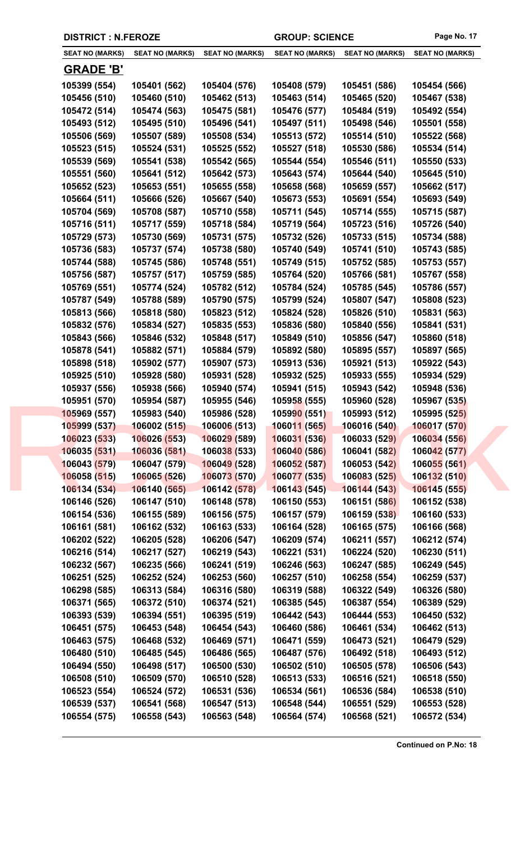| <b>SEAT NO (MARKS)</b> | <b>SEAT NO (MARKS)</b> | <b>SEAT NO (MARKS)</b> | <b>SEAT NO (MARKS)</b> | <b>SEAT NO (MARKS)</b> | <b>SEAT NO (MARKS)</b> |
|------------------------|------------------------|------------------------|------------------------|------------------------|------------------------|
| <u>GRADE 'B'</u>       |                        |                        |                        |                        |                        |
| 105399 (554)           | 105401 (562)           | 105404 (576)           | 105408 (579)           | 105451 (586)           | 105454 (566)           |
| 105456 (510)           | 105460 (510)           | 105462 (513)           | 105463 (514)           | 105465 (520)           | 105467 (538)           |
| 105472 (514)           | 105474 (563)           | 105475 (581)           | 105476 (577)           | 105484 (519)           | 105492 (554)           |
| 105493 (512)           | 105495 (510)           | 105496 (541)           | 105497 (511)           | 105498 (546)           | 105501 (558)           |
| 105506 (569)           | 105507 (589)           | 105508 (534)           | 105513 (572)           | 105514 (510)           | 105522 (568)           |
| 105523 (515)           | 105524 (531)           | 105525 (552)           | 105527 (518)           | 105530 (586)           | 105534 (514)           |
| 105539 (569)           | 105541 (538)           | 105542 (565)           | 105544 (554)           | 105546 (511)           | 105550 (533)           |
| 105551 (560)           | 105641 (512)           | 105642 (573)           | 105643 (574)           | 105644 (540)           | 105645 (510)           |
| 105652 (523)           | 105653 (551)           | 105655 (558)           | 105658 (568)           | 105659 (557)           | 105662 (517)           |
| 105664 (511)           | 105666 (526)           | 105667 (540)           | 105673 (553)           | 105691 (554)           | 105693 (549)           |
| 105704 (569)           | 105708 (587)           | 105710 (558)           | 105711 (545)           | 105714 (555)           | 105715 (587)           |
| 105716 (511)           | 105717 (559)           | 105718 (584)           | 105719 (564)           | 105723 (516)           | 105726 (540)           |
| 105729 (573)           | 105730 (569)           | 105731 (575)           | 105732 (526)           | 105733 (515)           | 105734 (588)           |
| 105736 (583)           | 105737 (574)           | 105738 (580)           | 105740 (549)           | 105741 (510)           | 105743 (585)           |
| 105744 (588)           | 105745 (586)           | 105748 (551)           | 105749 (515)           | 105752 (585)           | 105753 (557)           |
| 105756 (587)           | 105757 (517)           | 105759 (585)           | 105764 (520)           | 105766 (581)           | 105767 (558)           |
| 105769 (551)           | 105774 (524)           | 105782 (512)           | 105784 (524)           | 105785 (545)           | 105786 (557)           |
| 105787 (549)           | 105788 (589)           | 105790 (575)           | 105799 (524)           | 105807 (547)           | 105808 (523)           |
| 105813 (566)           | 105818 (580)           | 105823 (512)           | 105824 (528)           | 105826 (510)           | 105831 (563)           |
| 105832 (576)           | 105834 (527)           | 105835 (553)           | 105836 (580)           | 105840 (556)           | 105841 (531)           |
| 105843 (566)           | 105846 (532)           | 105848 (517)           | 105849 (510)           | 105856 (547)           | 105860 (518)           |
| 105878 (541)           | 105882 (571)           | 105884 (579)           | 105892 (580)           | 105895 (557)           | 105897 (565)           |
| 105898 (518)           | 105902 (577)           | 105907 (573)           | 105913 (536)           | 105921 (513)           | 105922 (543)           |
| 105925 (510)           | 105928 (580)           | 105931 (528)           | 105932 (525)           | 105933 (555)           | 105934 (529)           |
| 105937 (556)           | 105938 (566)           | 105940 (574)           | 105941 (515)           | 105943 (542)           | 105948 (536)           |
| 105951 (570)           | 105954 (587)           | 105955 (546)           | 105958 (555)           | 105960 (528)           | 105967 (535)           |
| 105969 (557)           | 105983 (540)           | 105986 (528)           | 105990 (551)           | 105993 (512)           | 105995 (525)           |
| 105999 (537)           | 106002(515)            | 106006 (513)           | 106011 (565)           | 106016 (540)           | 106017 (570)           |
| 106023 (533)           | 106026 (553)           | 106029 (589)           | 106031 (536)           | 106033 (529)           | 106034 (556)           |
| 106035 (531)           | 106036 (581)           | 106038 (533)           | 106040 (586)           | 106041 (582)           | 106042 (577)           |
| 106043 (579)           | 106047 (579)           | 106049 (528)           | 106052 (587)           | 106053 (542)           | 106055 (561)           |
| 106058 (515)           | 106065 (526)           | 106073 (570)           | 106077 (535)           | 106083 (525)           | 106132 (510)           |
| 106134 (534)           | 106140 (565)           | 106142 (578)           | 106143 (545)           | 106144 (543)           | 106145 (555)           |
| 106146 (526)           | 106147 (510)           | 106148 (578)           | 106150 (553)           | 106151 (586)           | 106152 (538)           |
| 106154 (536)           | 106155 (589)           | 106156 (575)           | 106157 (579)           | 106159 (538)           | 106160 (533)           |
| 106161 (581)           | 106162 (532)           | 106163 (533)           | 106164 (528)           | 106165 (575)           | 106166 (568)           |
| 106202 (522)           | 106205 (528)           | 106206 (547)           | 106209 (574)           | 106211 (557)           | 106212 (574)           |
| 106216 (514)           | 106217 (527)           | 106219 (543)           | 106221 (531)           | 106224 (520)           | 106230 (511)           |
| 106232 (567)           | 106235 (566)           | 106241 (519)           | 106246 (563)           | 106247 (585)           | 106249 (545)           |
| 106251 (525)           | 106252 (524)           | 106253 (560)           | 106257 (510)           | 106258 (554)           | 106259 (537)           |
| 106298 (585)           | 106313 (584)           | 106316 (580)           | 106319 (588)           | 106322 (549)           | 106326 (580)           |
| 106371 (565)           | 106372 (510)           | 106374 (521)           | 106385 (545)           | 106387 (554)           | 106389 (529)           |
| 106393 (539)           | 106394 (551)           | 106395 (519)           | 106442 (543)           | 106444 (553)           | 106450 (532)           |
| 106451 (575)           | 106453 (548)           | 106454 (543)           | 106460 (586)           | 106461 (534)           | 106462 (513)           |
| 106463 (575)           | 106468 (532)           | 106469 (571)           | 106471 (559)           | 106473 (521)           | 106479 (529)           |
| 106480 (510)           | 106485 (545)           | 106486 (565)           | 106487 (576)           | 106492 (518)           | 106493 (512)           |
| 106494 (550)           | 106498 (517)           | 106500 (530)           | 106502 (510)           | 106505 (578)           | 106506 (543)           |
| 106508 (510)           | 106509 (570)           | 106510 (528)           | 106513 (533)           | 106516 (521)           | 106518 (550)           |
| 106523 (554)           | 106524 (572)           | 106531 (536)           | 106534 (561)           | 106536 (584)           | 106538 (510)           |
| 106539 (537)           | 106541 (568)           | 106547 (513)           | 106548 (544)           | 106551 (529)           | 106553 (528)           |

**106554 (575) 106558 (543) 106563 (548) 106564 (574) 106568 (521) 106572 (534)**

**DISTRICT : N.FEROZE GROUP: SCIENCE Page No. 17**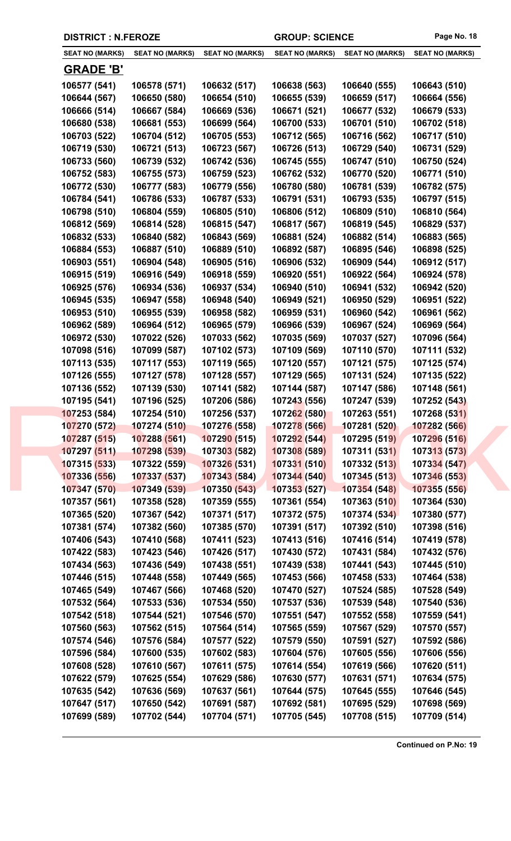|  | <b>DISTRICT : N.FEROZE</b> |                        |                        | <b>GROUP: SCIENCE</b>  |                        | Page No. 18            |
|--|----------------------------|------------------------|------------------------|------------------------|------------------------|------------------------|
|  | <b>SEAT NO (MARKS)</b>     | <b>SEAT NO (MARKS)</b> | <b>SEAT NO (MARKS)</b> | <b>SEAT NO (MARKS)</b> | <b>SEAT NO (MARKS)</b> | <b>SEAT NO (MARKS)</b> |
|  | <u>GRADE 'B'</u>           |                        |                        |                        |                        |                        |
|  | 106577 (541)               | 106578 (571)           | 106632 (517)           | 106638 (563)           | 106640 (555)           | 106643 (510)           |
|  | 106644 (567)               | 106650 (580)           | 106654 (510)           | 106655 (539)           | 106659 (517)           | 106664 (556)           |
|  | 106666 (514)               | 106667 (584)           | 106669 (536)           | 106671 (521)           | 106677 (532)           | 106679 (533)           |
|  | 106680 (538)               | 106681 (553)           | 106699 (564)           | 106700 (533)           | 106701 (510)           | 106702 (518)           |
|  | 106703 (522)               | 106704 (512)           | 106705 (553)           | 106712 (565)           | 106716 (562)           | 106717 (510)           |
|  | 106719 (530)               | 106721 (513)           | 106723 (567)           | 106726 (513)           | 106729 (540)           | 106731 (529)           |
|  | 106733 (560)               | 106739 (532)           | 106742 (536)           | 106745 (555)           | 106747 (510)           | 106750 (524)           |
|  | 106752 (583)               | 106755 (573)           | 106759 (523)           | 106762 (532)           | 106770 (520)           | 106771 (510)           |
|  | 106772 (530)               | 106777 (583)           | 106779 (556)           | 106780 (580)           | 106781 (539)           | 106782 (575)           |
|  | 106784 (541)               | 106786 (533)           | 106787 (533)           | 106791 (531)           | 106793 (535)           | 106797 (515)           |
|  | 106798 (510)               | 106804 (559)           | 106805 (510)           | 106806 (512)           | 106809 (510)           | 106810 (564)           |
|  | 106812 (569)               | 106814 (528)           | 106815 (547)           | 106817 (567)           | 106819 (545)           | 106829 (537)           |
|  | 106832 (533)               | 106840 (582)           | 106843 (569)           | 106881 (524)           | 106882 (514)           | 106883 (565)           |
|  | 106884 (553)               | 106887 (510)           | 106889 (510)           | 106892 (587)           | 106895 (546)           | 106898 (525)           |
|  | 106903 (551)               | 106904 (548)           | 106905 (516)           | 106906 (532)           | 106909 (544)           | 106912 (517)           |
|  | 106915 (519)               | 106916 (549)           | 106918 (559)           | 106920 (551)           | 106922 (564)           | 106924 (578)           |
|  | 106925 (576)               | 106934 (536)           | 106937 (534)           | 106940 (510)           | 106941 (532)           | 106942 (520)           |
|  | 106945 (535)               | 106947 (558)           | 106948 (540)           | 106949 (521)           | 106950 (529)           | 106951 (522)           |
|  | 106953 (510)               | 106955 (539)           | 106958 (582)           | 106959 (531)           | 106960 (542)           | 106961 (562)           |
|  | 106962 (589)               | 106964 (512)           | 106965 (579)           | 106966 (539)           | 106967 (524)           | 106969 (564)           |
|  | 106972 (530)               | 107022 (526)           | 107033 (562)           | 107035 (569)           | 107037 (527)           | 107096 (564)           |
|  | 107098 (516)               | 107099 (587)           | 107102 (573)           | 107109 (569)           | 107110 (570)           | 107111 (532)           |
|  | 107113 (535)               | 107117 (553)           | 107119 (565)           | 107120 (557)           | 107121 (575)           | 107125 (574)           |
|  | 107126 (555)               | 107127 (578)           | 107128 (557)           | 107129 (565)           | 107131 (524)           | 107135 (522)           |
|  | 107136 (552)               | 107139 (530)           | 107141 (582)           | 107144 (587)           | 107147 (586)           | 107148 (561)           |
|  | 107195 (541)               | 107196 (525)           | 107206 (586)           | 107243 (556)           | 107247 (539)           | 107252 (543)           |
|  | 107253 (584)               | 107254 (510)           | 107256 (537)           | 107262 (580)           | 107263 (551)           | 107268 (531)           |
|  | 107270 (572)               | 107274 (510)           | 107276 (558)           | 107278 (566)           | 107281 (520)           | 107282 (566)           |
|  | 107287 (515)               | 107288 (561)           | 107290 (515)           | 107292 (544)           | 107295 (519)           | 107296 (516)           |
|  | 107297 (511)               | 107298 (539)           | 107303 (582)           | 107308 (589)           | 107311 (531)           | 107313 (573)           |
|  | 107315 (533)               | 107322 (559)           | 107326 (531)           | 107331 (510)           | 107332 (513)           | 107334 (547)           |
|  | 107336 (556)               | 107337 (537)           | 107343 (584)           | 107344 (540)           | 107345 (513)           | 107346 (553)           |
|  | 107347 (570)               | 107349 (539)           | 107350 (543)           | 107353 (527)           | 107354 (548)           | 107355 (556)           |
|  | 107357 (561)               | 107358 (528)           | 107359 (555)           | 107361 (554)           | 107363 (510)           | 107364 (530)           |
|  | 107365 (520)               | 107367 (542)           | 107371 (517)           | 107372 (575)           | 107374 (534)           | 107380 (577)           |
|  | 107381 (574)               | 107382 (560)           | 107385 (570)           | 107391 (517)           | 107392 (510)           | 107398 (516)           |
|  | 107406 (543)               | 107410 (568)           | 107411 (523)           | 107413 (516)           | 107416 (514)           | 107419 (578)           |
|  | 107422 (583)               | 107423 (546)           | 107426 (517)           | 107430 (572)           | 107431 (584)           | 107432 (576)           |
|  | 107434 (563)               | 107436 (549)           | 107438 (551)           | 107439 (538)           | 107441 (543)           | 107445 (510)           |
|  | 107446 (515)               | 107448 (558)           | 107449 (565)           | 107453 (566)           | 107458 (533)           | 107464 (538)           |
|  | 107465 (549)               | 107467 (566)           | 107468 (520)           | 107470 (527)           | 107524 (585)           | 107528 (549)           |
|  | 107532 (564)               | 107533 (536)           | 107534 (550)           | 107537 (536)           | 107539 (548)           | 107540 (536)           |
|  | 107542 (518)               | 107544 (521)           | 107546 (570)           | 107551 (547)           | 107552 (558)           | 107559 (541)           |
|  | 107560 (563)               | 107562 (515)           | 107564 (514)           | 107565 (559)           | 107567 (529)           | 107570 (557)           |
|  | 107574 (546)               | 107576 (584)           | 107577 (522)           | 107579 (550)           | 107591 (527)           | 107592 (586)           |
|  | 107596 (584)               | 107600 (535)           | 107602 (583)           | 107604 (576)           | 107605 (556)           | 107606 (556)           |
|  | 107608 (528)               | 107610 (567)           | 107611 (575)           | 107614 (554)           | 107619 (566)           | 107620 (511)           |
|  | 107622 (579)               | 107625 (554)           | 107629 (586)           | 107630 (577)           | 107631 (571)           | 107634 (575)           |
|  | 107635 (542)               | 107636 (569)           | 107637 (561)           | 107644 (575)           | 107645 (555)           | 107646 (545)           |
|  | 107647 (517)               | 107650 (542)           | 107691 (587)           | 107692 (581)           | 107695 (529)           | 107698 (569)           |
|  | 107699 (589)               | 107702 (544)           | 107704 (571)           | 107705 (545)           | 107708 (515)           | 107709 (514)           |
|  |                            |                        |                        |                        |                        |                        |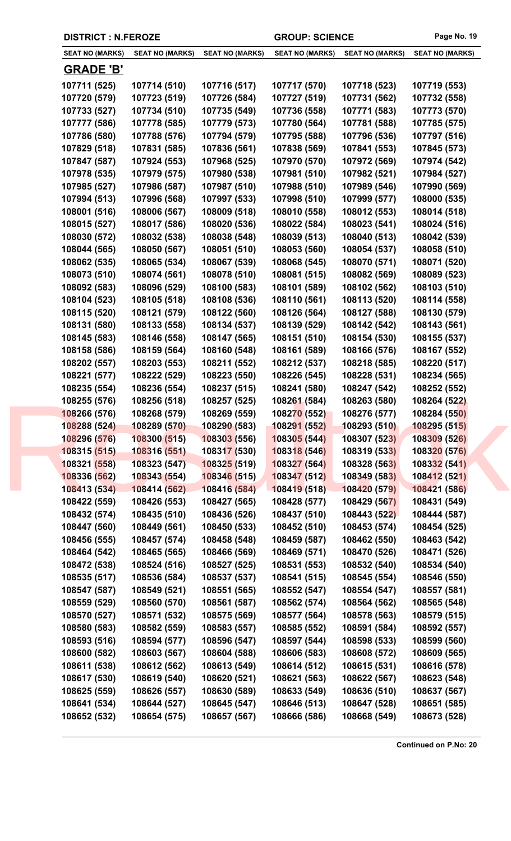|  | <b>DISTRICT : N.FEROZE</b>   |                              |                              | <b>GROUP: SCIENCE</b>        |                              | Page No. 19                  |
|--|------------------------------|------------------------------|------------------------------|------------------------------|------------------------------|------------------------------|
|  | <b>SEAT NO (MARKS)</b>       | <b>SEAT NO (MARKS)</b>       | <b>SEAT NO (MARKS)</b>       | <b>SEAT NO (MARKS)</b>       | <b>SEAT NO (MARKS)</b>       | <b>SEAT NO (MARKS)</b>       |
|  | <b>GRADE 'B'</b>             |                              |                              |                              |                              |                              |
|  | 107711 (525)                 | 107714 (510)                 | 107716 (517)                 | 107717 (570)                 | 107718 (523)                 | 107719 (553)                 |
|  | 107720 (579)                 | 107723 (519)                 | 107726 (584)                 | 107727 (519)                 | 107731 (562)                 | 107732 (558)                 |
|  | 107733 (527)                 | 107734 (510)                 | 107735 (549)                 | 107736 (558)                 | 107771 (583)                 | 107773 (570)                 |
|  | 107777 (586)                 | 107778 (585)                 | 107779 (573)                 | 107780 (564)                 | 107781 (588)                 | 107785 (575)                 |
|  | 107786 (580)                 | 107788 (576)                 | 107794 (579)                 | 107795 (588)                 | 107796 (536)                 | 107797 (516)                 |
|  | 107829 (518)                 | 107831 (585)                 | 107836 (561)                 | 107838 (569)                 | 107841 (553)                 | 107845 (573)                 |
|  | 107847 (587)                 | 107924 (553)                 | 107968 (525)                 | 107970 (570)                 | 107972 (569)                 | 107974 (542)                 |
|  | 107978 (535)                 | 107979 (575)                 | 107980 (538)                 | 107981 (510)                 | 107982 (521)                 | 107984 (527)                 |
|  | 107985 (527)                 | 107986 (587)                 | 107987 (510)                 | 107988 (510)                 | 107989 (546)                 | 107990 (569)                 |
|  | 107994 (513)                 | 107996 (568)                 | 107997 (533)                 | 107998 (510)                 | 107999 (577)                 | 108000 (535)                 |
|  | 108001 (516)                 | 108006 (567)                 | 108009 (518)                 | 108010 (558)                 | 108012 (553)                 | 108014 (518)                 |
|  | 108015 (527)                 | 108017 (586)                 | 108020 (536)                 | 108022 (584)                 | 108023 (541)                 | 108024 (516)                 |
|  | 108030 (572)                 | 108032 (538)                 | 108038 (548)                 | 108039 (513)                 | 108040 (513)                 | 108042 (539)                 |
|  | 108044 (565)                 | 108050 (567)                 | 108051 (510)                 | 108053 (560)                 | 108054 (537)                 | 108058 (510)                 |
|  | 108062 (535)                 | 108065 (534)                 | 108067 (539)                 | 108068 (545)                 | 108070 (571)                 | 108071 (520)                 |
|  | 108073 (510)                 | 108074 (561)                 | 108078 (510)                 | 108081 (515)                 | 108082 (569)                 | 108089 (523)                 |
|  | 108092 (583)                 | 108096 (529)                 | 108100 (583)                 | 108101 (589)                 | 108102 (562)                 | 108103 (510)                 |
|  | 108104 (523)                 | 108105 (518)                 | 108108 (536)                 | 108110 (561)                 | 108113 (520)                 | 108114 (558)                 |
|  | 108115 (520)                 | 108121 (579)                 | 108122 (560)                 | 108126 (564)                 | 108127 (588)                 | 108130 (579)                 |
|  | 108131 (580)                 | 108133 (558)                 | 108134 (537)                 | 108139 (529)                 | 108142 (542)                 | 108143 (561)                 |
|  | 108145 (583)                 | 108146 (558)                 | 108147 (565)                 | 108151 (510)                 | 108154 (530)                 | 108155 (537)                 |
|  | 108158 (586)                 | 108159 (564)                 | 108160 (548)                 | 108161 (589)                 | 108166 (576)                 | 108167 (552)                 |
|  | 108202 (557)                 | 108203 (553)                 | 108211 (552)                 | 108212 (537)                 | 108218 (585)                 | 108220 (517)                 |
|  | 108221 (577)                 | 108222 (529)                 | 108223 (550)                 | 108226 (545)                 | 108228 (531)                 | 108234 (565)                 |
|  | 108235 (554)                 | 108236 (554)                 | 108237 (515)                 | 108241 (580)                 | 108247 (542)                 | 108252 (552)                 |
|  | 108255 (576)                 | 108256 (518)                 | 108257 (525)                 | 108261 (584)                 | 108263 (580)                 | 108264 (522)                 |
|  | 108266 (576)<br>108288 (524) | 108268 (579)<br>108289 (570) | 108269 (559)<br>108290 (583) | 108270 (552)<br>108291 (552) | 108276 (577)<br>108293 (510) | 108284 (550)<br>108295 (515) |
|  | 108296 (576)                 | 108300 (515)                 | 108303 (556)                 | 108305 (544)                 | 108307 (523)                 | 108309 (526)                 |
|  | 108315 (515)                 | 108316 (551)                 | 108317 (530)                 | 108318 (546)                 | 108319 (533)                 | 108320 (576)                 |
|  | 108321 (558)                 | 108323 (547)                 | 108325 (519)                 | 108327(564)                  | 108328 (563)                 | 108332 (541)                 |
|  | 108336 (562)                 | 108343 (554)                 | 108346 (515)                 | 108347 (512)                 | 108349 (583)                 | 108412 (521)                 |
|  | 108413 (534)                 | 108414 (562)                 | 108416 (584)                 | 108419 (518)                 | 108420 (579)                 | 108421 (586)                 |
|  | 108422 (559)                 | 108426 (553)                 | 108427 (565)                 | 108428 (577)                 | 108429 (567)                 | 108431 (549)                 |
|  | 108432 (574)                 | 108435 (510)                 | 108436 (526)                 | 108437 (510)                 | 108443 (522)                 | 108444 (587)                 |
|  | 108447 (560)                 | 108449 (561)                 | 108450 (533)                 | 108452 (510)                 | 108453 (574)                 | 108454 (525)                 |
|  | 108456 (555)                 | 108457 (574)                 | 108458 (548)                 | 108459 (587)                 | 108462 (550)                 | 108463 (542)                 |
|  | 108464 (542)                 | 108465 (565)                 | 108466 (569)                 | 108469 (571)                 | 108470 (526)                 | 108471 (526)                 |
|  | 108472 (538)                 | 108524 (516)                 | 108527 (525)                 | 108531 (553)                 | 108532 (540)                 | 108534 (540)                 |
|  | 108535 (517)                 | 108536 (584)                 | 108537 (537)                 | 108541 (515)                 | 108545 (554)                 | 108546 (550)                 |
|  | 108547 (587)                 | 108549 (521)                 | 108551 (565)                 | 108552 (547)                 | 108554 (547)                 | 108557 (581)                 |
|  | 108559 (529)                 | 108560 (570)                 | 108561 (587)                 | 108562 (574)                 | 108564 (562)                 | 108565 (548)                 |
|  | 108570 (527)                 | 108571 (532)                 | 108575 (569)                 | 108577 (564)                 | 108578 (563)                 | 108579 (515)                 |
|  | 108580 (583)                 | 108582 (559)                 | 108583 (557)                 | 108585 (552)                 | 108591 (584)                 | 108592 (557)                 |
|  | 108593 (516)                 | 108594 (577)                 | 108596 (547)                 | 108597 (544)                 | 108598 (533)                 | 108599 (560)                 |
|  | 108600 (582)                 | 108603 (567)                 | 108604 (588)                 | 108606 (583)                 | 108608 (572)                 | 108609 (565)                 |
|  | 108611 (538)                 | 108612 (562)                 | 108613 (549)                 | 108614 (512)                 | 108615 (531)                 | 108616 (578)                 |
|  | 108617 (530)                 | 108619 (540)                 | 108620 (521)                 | 108621 (563)                 | 108622 (567)                 | 108623 (548)                 |
|  | 108625 (559)                 | 108626 (557)                 | 108630 (589)                 | 108633 (549)                 | 108636 (510)                 | 108637 (567)                 |
|  | 108641 (534)                 | 108644 (527)                 | 108645 (547)                 | 108646 (513)                 | 108647 (528)                 | 108651 (585)                 |
|  | 108652 (532)                 | 108654 (575)                 | 108657 (567)                 | 108666 (586)                 | 108668 (549)                 | 108673 (528)                 |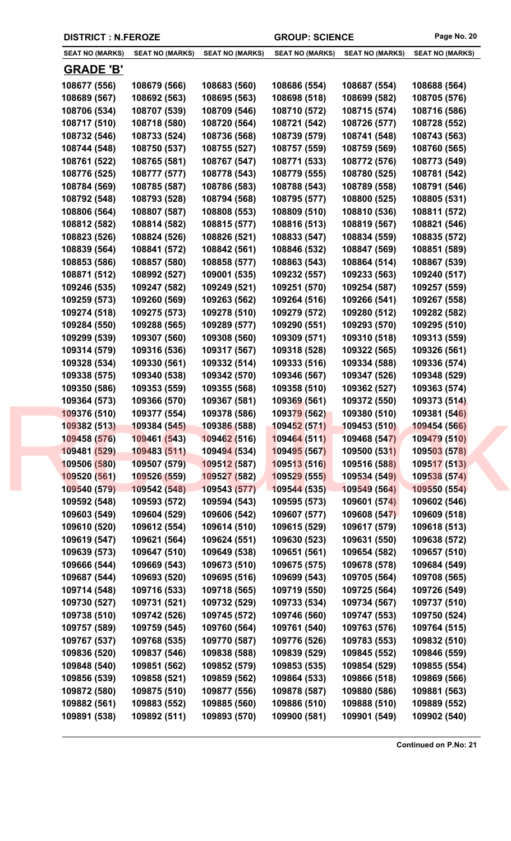| <b>DISTRICT : N.FEROZE</b> |                              |                        | <b>GROUP: SCIENCE</b>  |                        | Page No. 20            |
|----------------------------|------------------------------|------------------------|------------------------|------------------------|------------------------|
| <b>SEAT NO (MARKS)</b>     | <b>SEAT NO (MARKS)</b>       | <b>SEAT NO (MARKS)</b> | <b>SEAT NO (MARKS)</b> | <b>SEAT NO (MARKS)</b> | <b>SEAT NO (MARKS)</b> |
| <u>GRADE 'B'</u>           |                              |                        |                        |                        |                        |
| 108677 (556)               | 108679 (566)                 | 108683 (560)           | 108686 (554)           | 108687 (554)           | 108688 (564)           |
| 108689 (567)               | 108692 (563)                 | 108695 (563)           | 108698 (518)           | 108699 (582)           | 108705 (576)           |
| 108706 (534)               | 108707 (539)                 | 108709 (546)           | 108710 (572)           | 108715 (574)           | 108716 (586)           |
| 108717 (510)               | 108718 (580)                 | 108720 (564)           | 108721 (542)           | 108726 (577)           | 108728 (552)           |
| 108732 (546)               | 108733 (524)                 | 108736 (568)           | 108739 (579)           | 108741 (548)           | 108743 (563)           |
| 108744 (548)               | 108750 (537)                 | 108755 (527)           | 108757 (559)           | 108759 (569)           | 108760 (565)           |
| 108761 (522)               | 108765 (581)                 | 108767 (547)           | 108771 (533)           | 108772 (576)           | 108773 (549)           |
| 108776 (525)               | 108777 (577)                 | 108778 (543)           | 108779 (555)           | 108780 (525)           | 108781 (542)           |
| 108784 (569)               | 108785 (587)                 | 108786 (583)           | 108788 (543)           | 108789 (558)           | 108791 (546)           |
| 108792 (548)               | 108793 (528)                 | 108794 (568)           | 108795 (577)           | 108800 (525)           | 108805 (531)           |
| 108806 (564)               | 108807 (587)                 | 108808 (553)           | 108809 (510)           | 108810 (536)           | 108811 (572)           |
| 108812 (582)               | 108814 (582)                 | 108815 (577)           | 108816 (513)           | 108819 (567)           | 108821 (546)           |
| 108823 (526)               | 108824 (526)                 | 108826 (521)           | 108833 (547)           | 108834 (559)           | 108835 (572)           |
| 108839 (564)               | 108841 (572)                 | 108842 (561)           | 108846 (532)           | 108847 (569)           | 108851 (589)           |
| 108853 (586)               | 108857 (580)                 | 108858 (577)           | 108863 (543)           | 108864 (514)           | 108867 (539)           |
| 108871 (512)               | 108992 (527)                 | 109001 (535)           | 109232 (557)           | 109233 (563)           | 109240 (517)           |
| 109246 (535)               | 109247 (582)                 | 109249 (521)           | 109251 (570)           | 109254 (587)           | 109257 (559)           |
| 109259 (573)               | 109260 (569)                 | 109263 (562)           | 109264 (516)           | 109266 (541)           | 109267 (558)           |
| 109274 (518)               | 109275 (573)                 | 109278 (510)           | 109279 (572)           | 109280 (512)           | 109282 (582)           |
| 109284 (550)               | 109288 (565)                 | 109289 (577)           | 109290 (551)           | 109293 (570)           | 109295 (510)           |
| 109299 (539)               | 109307 (560)                 | 109308 (560)           | 109309 (571)           | 109310 (518)           | 109313 (559)           |
| 109314 (579)               | 109316 (536)                 | 109317 (567)           | 109318 (528)           | 109322 (565)           | 109326 (561)           |
| 109328 (534)               | 109330 (561)                 | 109332 (514)           | 109333 (516)           | 109334 (588)           | 109336 (574)           |
| 109338 (575)               | 109340 (538)                 | 109342 (570)           | 109346 (567)           | 109347 (526)           | 109348 (529)           |
| 109350 (586)               | 109353 (559)                 | 109355 (568)           | 109358 (510)           | 109362 (527)           | 109363 (574)           |
| 109364 (573)               | 109366 (570)                 | 109367 (581)           | 109369 (561)           | 109372 (550)           | 109373 (514)           |
| 109376 (510)               |                              | 109378 (586)           | 109379 (562)           | 109380 (510)           | 109381 (546)           |
| 109382 (513)               | 109377 (554)<br>109384 (545) | 109386 (588)           | 109452(571)            | 109453 (510)           | 109454 (566)           |
| 109458 (576)               | 109461 (543)                 | 109462 (516)           | 109464 (511)           | 109468 (547)           | 109479 (510)           |
| 109481 (529)               | 109483 (511)                 |                        | 109495 (567)           | 109500 (531)           | 109503 (578)           |
|                            |                              | 109494 (534)           | 109513 (516)           | 109516 (588)           | 109517 (513)           |
| 109506 (580)               | 109507 (579)                 | 109512 (587)           |                        |                        |                        |
| 109520 (561)               | 109526 (559)                 | 109527 (582)           | 109529 (555)           | 109534 (549)           | 109538 (574)           |
| 109540 (579)               | 109542 (548)                 | 109543 (577)           | 109544 (535)           | 109549 (564)           | 109550 (554)           |
| 109592 (548)               | 109593 (572)                 | 109594 (543)           | 109595 (573)           | 109601 (574)           | 109602 (546)           |
| 109603 (549)               | 109604 (529)                 | 109606 (542)           | 109607 (577)           | 109608 (547)           | 109609 (518)           |
| 109610 (520)               | 109612 (554)                 | 109614 (510)           | 109615 (529)           | 109617 (579)           | 109618 (513)           |
| 109619 (547)               | 109621 (564)                 | 109624 (551)           | 109630 (523)           | 109631 (550)           | 109638 (572)           |
| 109639 (573)               | 109647 (510)                 | 109649 (538)           | 109651 (561)           | 109654 (582)           | 109657 (510)           |
| 109666 (544)               | 109669 (543)                 | 109673 (510)           | 109675 (575)           | 109678 (578)           | 109684 (549)           |
| 109687 (544)               | 109693 (520)                 | 109695 (516)           | 109699 (543)           | 109705 (564)           | 109708 (565)           |
| 109714 (548)               | 109716 (533)                 | 109718 (565)           | 109719 (550)           | 109725 (564)           | 109726 (549)           |
| 109730 (527)               | 109731 (521)                 | 109732 (529)           | 109733 (534)           | 109734 (567)           | 109737 (510)           |
| 109738 (510)               | 109742 (526)                 | 109745 (572)           | 109746 (560)           | 109747 (553)           | 109750 (524)           |
| 109757 (589)               | 109759 (545)                 | 109760 (564)           | 109761 (540)           | 109763 (576)           | 109764 (515)           |
| 109767 (537)               | 109768 (535)                 | 109770 (587)           | 109776 (526)           | 109783 (553)           | 109832 (510)           |
| 109836 (520)               | 109837 (546)                 | 109838 (588)           | 109839 (529)           | 109845 (552)           | 109846 (559)           |
| 109848 (540)               | 109851 (562)                 | 109852 (579)           | 109853 (535)           | 109854 (529)           | 109855 (554)           |
| 109856 (539)               | 109858 (521)                 | 109859 (562)           | 109864 (533)           | 109866 (518)           | 109869 (566)           |
| 109872 (580)               | 109875 (510)                 | 109877 (556)           | 109878 (587)           | 109880 (586)           | 109881 (563)           |
| 109882 (561)               | 109883 (552)                 | 109885 (560)           | 109886 (510)           | 109888 (510)           | 109889 (552)           |
| 109891 (538)               | 109892 (511)                 | 109893 (570)           | 109900 (581)           | 109901 (549)           | 109902 (540)           |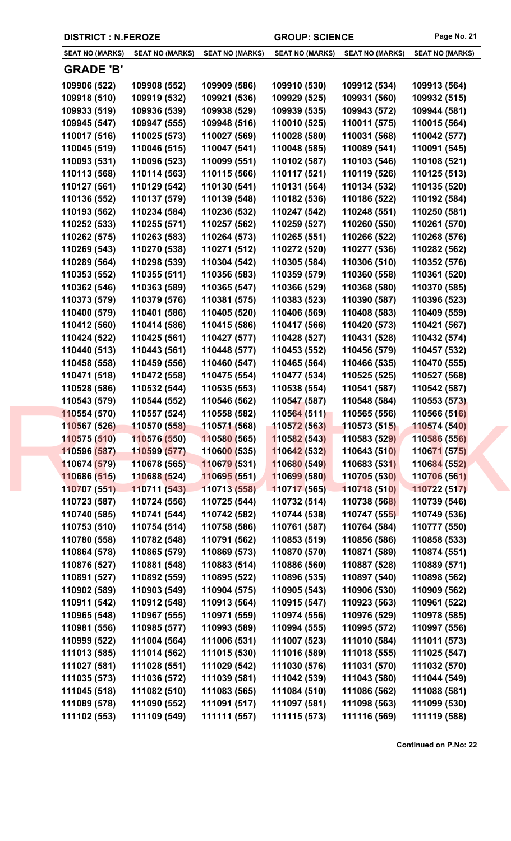| <b>DISTRICT : N.FEROZE</b> |                        |                        | <b>GROUP: SCIENCE</b>  |                        | Page No. 21            |
|----------------------------|------------------------|------------------------|------------------------|------------------------|------------------------|
| <b>SEAT NO (MARKS)</b>     | <b>SEAT NO (MARKS)</b> | <b>SEAT NO (MARKS)</b> | <b>SEAT NO (MARKS)</b> | <b>SEAT NO (MARKS)</b> | <b>SEAT NO (MARKS)</b> |
| <u>GRADE 'B'</u>           |                        |                        |                        |                        |                        |
| 109906 (522)               | 109908 (552)           | 109909 (586)           | 109910 (530)           | 109912 (534)           | 109913 (564)           |
| 109918 (510)               | 109919 (532)           | 109921 (536)           | 109929 (525)           | 109931 (560)           | 109932 (515)           |
| 109933 (519)               | 109936 (539)           | 109938 (529)           | 109939 (535)           | 109943 (572)           | 109944 (581)           |
| 109945 (547)               | 109947 (555)           | 109948 (516)           | 110010 (525)           | 110011 (575)           | 110015 (564)           |
| 110017 (516)               | 110025 (573)           | 110027 (569)           | 110028 (580)           | 110031 (568)           | 110042 (577)           |
| 110045 (519)               | 110046 (515)           | 110047 (541)           | 110048 (585)           | 110089 (541)           | 110091 (545)           |
| 110093 (531)               | 110096 (523)           | 110099 (551)           | 110102 (587)           | 110103 (546)           | 110108 (521)           |
| 110113 (568)               | 110114 (563)           | 110115 (566)           | 110117 (521)           | 110119 (526)           | 110125 (513)           |
| 110127 (561)               | 110129 (542)           | 110130 (541)           | 110131 (564)           | 110134 (532)           | 110135 (520)           |
| 110136 (552)               | 110137 (579)           | 110139 (548)           | 110182 (536)           | 110186 (522)           | 110192 (584)           |
| 110193 (562)               | 110234 (584)           | 110236 (532)           | 110247 (542)           | 110248 (551)           | 110250 (581)           |
| 110252 (533)               | 110255 (571)           | 110257 (562)           | 110259 (527)           | 110260 (550)           | 110261 (570)           |
| 110262 (575)               | 110263 (583)           | 110264 (573)           | 110265 (551)           | 110266 (522)           | 110268 (576)           |
| 110269 (543)               | 110270 (538)           | 110271 (512)           | 110272 (520)           | 110277 (536)           | 110282 (562)           |
| 110289 (564)               | 110298 (539)           | 110304 (542)           | 110305 (584)           | 110306 (510)           | 110352 (576)           |
| 110353 (552)               | 110355 (511)           | 110356 (583)           | 110359 (579)           | 110360 (558)           | 110361 (520)           |
| 110362 (546)               | 110363 (589)           | 110365 (547)           | 110366 (529)           | 110368 (580)           | 110370 (585)           |
| 110373 (579)               | 110379 (576)           | 110381 (575)           | 110383 (523)           | 110390 (587)           | 110396 (523)           |
| 110400 (579)               | 110401 (586)           | 110405 (520)           | 110406 (569)           | 110408 (583)           | 110409 (559)           |
| 110412 (560)               | 110414 (586)           | 110415 (586)           | 110417 (566)           | 110420 (573)           | 110421 (567)           |
| 110424 (522)               | 110425 (561)           | 110427 (577)           | 110428 (527)           | 110431 (528)           | 110432 (574)           |
| 110440 (513)               | 110443 (561)           | 110448 (577)           | 110453 (552)           | 110456 (579)           | 110457 (532)           |
| 110458 (558)               | 110459 (556)           | 110460 (547)           | 110465 (564)           | 110466 (535)           | 110470 (555)           |
| 110471 (518)               | 110472 (558)           | 110475 (554)           | 110477 (534)           | 110525 (525)           | 110527 (568)           |
| 110528 (586)               | 110532 (544)           | 110535 (553)           | 110538 (554)           | 110541 (587)           | 110542 (587)           |
| 110543 (579)               | 110544 (552)           | 110546 (562)           | 110547 (587)           | 110548 (584)           | 110553 (573)           |
| 110554 (570)               | 110557 (524)           | 110558 (582)           | 110564 (511)           | 110565 (556)           | 110566 (516)           |
| 110567 (526)               | 110570 (558)           | 110571 (568)           | 110572 (563)           | 110573 (515)           | 110574 (540)           |
| 110575 (510)               | 110576 (550)           | 110580 (565)           | 110582 (543)           | 110583 (529)           | 110586 (556)           |
| 110596 (587)               | 110599 (577)           | 110600 (535)           | 110642 (532)           | 110643 (510)           | 110671 (575)           |
| 110674 (579)               | 110678 (565)           | 110679 (531)           | 110680 (549)           | 110683 (531)           | 110684 (552)           |
| 110686 (515)               | 110688 (524)           | 110695 (551)           | 110699 (580)           | 110705 (530)           | 110706 (561)           |
| 110707 (551)               | 110711 (543)           | 110713 (558)           | 110717 (565)           | 110718 (510)           | 110722 (517)           |
| 110723 (587)               | 110724 (556)           | 110725 (544)           | 110732 (514)           | 110738 (568)           | 110739 (546)           |
| 110740 (585)               | 110741 (544)           | 110742 (582)           | 110744 (538)           | 110747 (555)           | 110749 (536)           |
| 110753 (510)               | 110754 (514)           | 110758 (586)           | 110761 (587)           | 110764 (584)           | 110777 (550)           |
| 110780 (558)               | 110782 (548)           | 110791 (562)           | 110853 (519)           | 110856 (586)           | 110858 (533)           |
| 110864 (578)               | 110865 (579)           | 110869 (573)           | 110870 (570)           | 110871 (589)           | 110874 (551)           |
| 110876 (527)               | 110881 (548)           | 110883 (514)           | 110886 (560)           | 110887 (528)           | 110889 (571)           |
| 110891 (527)               | 110892 (559)           | 110895 (522)           | 110896 (535)           | 110897 (540)           | 110898 (562)           |
| 110902 (589)               | 110903 (549)           | 110904 (575)           | 110905 (543)           | 110906 (530)           | 110909 (562)           |
| 110911 (542)               | 110912 (548)           | 110913 (564)           | 110915 (547)           | 110923 (563)           | 110961 (522)           |
| 110965 (548)               | 110967 (555)           | 110971 (559)           | 110974 (556)           | 110976 (529)           | 110978 (585)           |
| 110981 (556)               | 110985 (577)           | 110993 (589)           | 110994 (555)           | 110995 (572)           | 110997 (556)           |
| 110999 (522)               | 111004 (564)           | 111006 (531)           | 111007 (523)           | 111010 (584)           | 111011 (573)           |
| 111013 (585)               | 111014 (562)           | 111015 (530)           | 111016 (589)           | 111018 (555)           | 111025 (547)           |
| 111027 (581)               | 111028 (551)           | 111029 (542)           | 111030 (576)           | 111031 (570)           | 111032 (570)           |
| 111035 (573)               | 111036 (572)           | 111039 (581)           | 111042 (539)           | 111043 (580)           | 111044 (549)           |
| 111045 (518)               | 111082 (510)           | 111083 (565)           | 111084 (510)           | 111086 (562)           | 111088 (581)           |
| 111089 (578)               | 111090 (552)           | 111091 (517)           | 111097 (581)           | 111098 (563)           | 111099 (530)           |
| 111102 (553)               | 111109 (549)           | 111111 (557)           | 111115 (573)           | 111116 (569)           | 111119 (588)           |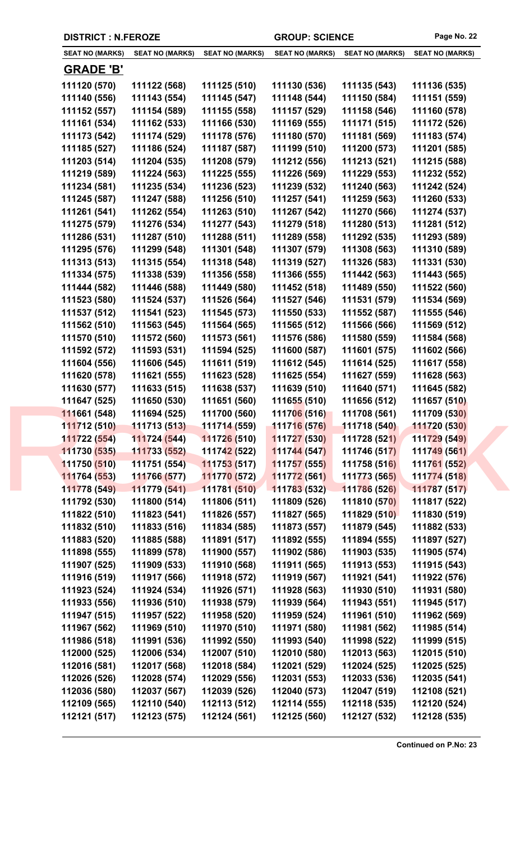|  | <b>DISTRICT : N.FEROZE</b>   |                              |                              | <b>GROUP: SCIENCE</b>        |                              | Page No. 22                  |
|--|------------------------------|------------------------------|------------------------------|------------------------------|------------------------------|------------------------------|
|  | <b>SEAT NO (MARKS)</b>       | <b>SEAT NO (MARKS)</b>       | <b>SEAT NO (MARKS)</b>       | <b>SEAT NO (MARKS)</b>       | <b>SEAT NO (MARKS)</b>       | <b>SEAT NO (MARKS)</b>       |
|  | <b>GRADE 'B'</b>             |                              |                              |                              |                              |                              |
|  | 111120 (570)                 | 111122 (568)                 | 111125 (510)                 | 111130 (536)                 | 111135 (543)                 | 111136 (535)                 |
|  | 111140 (556)                 | 111143 (554)                 | 111145 (547)                 | 111148 (544)                 | 111150 (584)                 | 111151 (559)                 |
|  | 111152 (557)                 | 111154 (589)                 | 111155 (558)                 | 111157 (529)                 | 111158 (546)                 | 111160 (578)                 |
|  | 111161 (534)                 | 111162 (533)                 | 111166 (530)                 | 111169 (555)                 | 111171 (515)                 | 111172 (526)                 |
|  | 111173 (542)                 | 111174 (529)                 | 111178 (576)                 | 111180 (570)                 | 111181 (569)                 | 111183 (574)                 |
|  | 111185 (527)                 | 111186 (524)                 | 111187 (587)                 | 111199 (510)                 | 111200 (573)                 | 111201 (585)                 |
|  | 111203 (514)                 | 111204 (535)                 | 111208 (579)                 | 111212 (556)                 | 111213 (521)                 | 111215 (588)                 |
|  | 111219 (589)                 | 111224 (563)                 | 111225 (555)                 | 111226 (569)                 | 111229 (553)                 | 111232 (552)                 |
|  | 111234 (581)                 | 111235 (534)                 | 111236 (523)                 | 111239 (532)                 | 111240 (563)                 | 111242 (524)                 |
|  | 111245 (587)                 | 111247 (588)                 | 111256 (510)                 | 111257 (541)                 | 111259 (563)                 | 111260 (533)                 |
|  | 111261 (541)                 | 111262 (554)                 | 111263 (510)                 | 111267 (542)                 | 111270 (566)                 | 111274 (537)                 |
|  | 111275 (579)                 | 111276 (534)                 | 111277 (543)                 | 111279 (518)                 | 111280 (513)                 | 111281 (512)                 |
|  | 111286 (531)                 | 111287 (510)                 | 111288 (511)                 | 111289 (558)                 | 111292 (535)                 | 111293 (589)                 |
|  | 111295 (576)                 | 111299 (548)                 | 111301 (548)                 | 111307 (579)                 | 111308 (563)                 | 111310 (589)                 |
|  | 111313 (513)                 | 111315 (554)                 | 111318 (548)                 | 111319 (527)                 | 111326 (583)                 | 111331 (530)                 |
|  | 111334 (575)                 | 111338 (539)                 | 111356 (558)                 | 111366 (555)                 | 111442 (563)                 | 111443 (565)                 |
|  | 111444 (582)                 | 111446 (588)                 | 111449 (580)                 | 111452 (518)                 | 111489 (550)                 | 111522 (560)                 |
|  | 111523 (580)                 | 111524 (537)                 | 111526 (564)                 | 111527 (546)                 | 111531 (579)                 | 111534 (569)                 |
|  | 111537 (512)                 | 111541 (523)                 | 111545 (573)                 | 111550 (533)                 | 111552 (587)                 | 111555 (546)                 |
|  | 111562 (510)                 | 111563 (545)                 | 111564 (565)                 | 111565 (512)                 | 111566 (566)                 | 111569 (512)                 |
|  | 111570 (510)                 | 111572 (560)                 | 111573 (561)                 | 111576 (586)                 | 111580 (559)                 | 111584 (568)                 |
|  | 111592 (572)                 | 111593 (531)                 | 111594 (525)                 | 111600 (587)                 | 111601 (575)                 | 111602 (566)                 |
|  | 111604 (556)                 | 111606 (545)                 | 111611 (519)                 | 111612 (545)                 | 111614 (525)                 | 111617 (558)                 |
|  | 111620 (578)                 | 111621 (555)                 | 111623 (528)                 | 111625 (554)                 | 111627 (559)                 | 111628 (563)                 |
|  | 111630 (577)                 | 111633 (515)                 | 111638 (537)                 | 111639 (510)                 | 111640 (571)                 | 111645 (582)                 |
|  | 111647 (525)                 | 111650 (530)                 | 111651 (560)                 | 111655 (510)                 | 111656 (512)                 | 111657 (510)                 |
|  | 111661 (548)                 | 111694 (525)                 | 111700 (560)                 | 111706 (516)                 | 111708 (561)                 | 111709 (530)                 |
|  | 111712 (510)                 | 111713 (513)                 | 111714 (559)                 | 111716 (576)                 | 111718 (540)                 | 111720 (530)                 |
|  | 111722 (554)                 | 111724 (544)                 | 111726 (510)                 | 111727 (530)                 | 111728 (521)                 | 111729 (549)                 |
|  | 111730 (535)                 | 111733 (552)                 | 11174 <mark>2 (522)</mark>   | 111744 (547)                 | 111746 (517)                 | 111749 (561)                 |
|  | 111750 (510)                 | 111751 (554)                 | 111753 (517)                 | 111757 (555)                 | 111758 (516)                 | 111761 (552)                 |
|  | 111764 (553)                 | 111766 (577)                 | 111770 (572)                 | 111772 (561)                 | 111773 (565)                 | 111774 (518)                 |
|  | 111778 (549)                 | 111779 (541)                 | 111781 (510)                 | 111783 (532)                 | 111786 (526)                 | 111787 (517)                 |
|  | 111792 (530)                 | 111800 (514)                 | 111806 (511)                 | 111809 (526)                 | 111810 (570)                 | 111817 (522)                 |
|  | 111822 (510)                 | 111823 (541)                 | 111826 (557)                 | 111827 (565)                 | 111829 (510)                 | 111830 (519)                 |
|  | 111832 (510)                 | 111833 (516)                 | 111834 (585)                 | 111873 (557)                 | 111879 (545)                 | 111882 (533)                 |
|  | 111883 (520)                 | 111885 (588)                 | 111891 (517)                 | 111892 (555)                 | 111894 (555)                 | 111897 (527)                 |
|  | 111898 (555)                 | 111899 (578)                 | 111900 (557)                 | 111902 (586)                 | 111903 (535)                 | 111905 (574)                 |
|  | 111907 (525)                 | 111909 (533)                 | 111910 (568)                 | 111911 (565)                 | 111913 (553)                 | 111915 (543)                 |
|  | 111916 (519)                 | 111917 (566)                 | 111918 (572)                 | 111919 (567)                 | 111921 (541)                 | 111922 (576)                 |
|  | 111923 (524)                 | 111924 (534)                 | 111926 (571)                 | 111928 (563)                 | 111930 (510)                 | 111931 (580)                 |
|  | 111933 (556)                 | 111936 (510)                 | 111938 (579)                 | 111939 (564)                 | 111943 (551)                 | 111945 (517)                 |
|  | 111947 (515)                 | 111957 (522)                 | 111958 (520)                 | 111959 (524)                 | 111961 (510)                 | 111962 (569)                 |
|  | 111967 (562)                 | 111969 (510)<br>111991 (536) | 111970 (510)                 | 111971 (580)                 | 111981 (562)                 | 111985 (514)                 |
|  | 111986 (518)                 | 112006 (534)                 | 111992 (550)<br>112007 (510) | 111993 (540)<br>112010 (580) | 111998 (522)<br>112013 (563) | 111999 (515)<br>112015 (510) |
|  | 112000 (525)<br>112016 (581) |                              | 112018 (584)                 | 112021 (529)                 | 112024 (525)                 |                              |
|  | 112026 (526)                 | 112017 (568)<br>112028 (574) | 112029 (556)                 | 112031 (553)                 | 112033 (536)                 | 112025 (525)<br>112035 (541) |
|  | 112036 (580)                 | 112037 (567)                 | 112039 (526)                 | 112040 (573)                 | 112047 (519)                 | 112108 (521)                 |
|  | 112109 (565)                 | 112110 (540)                 | 112113 (512)                 | 112114 (555)                 | 112118 (535)                 | 112120 (524)                 |
|  | 112121 (517)                 | 112123 (575)                 | 112124 (561)                 | 112125 (560)                 | 112127 (532)                 | 112128 (535)                 |
|  |                              |                              |                              |                              |                              |                              |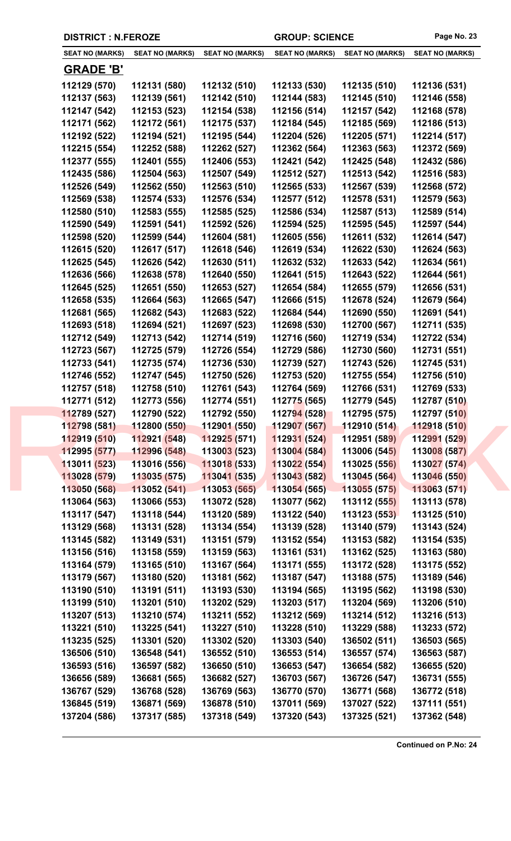|  | <b>DISTRICT : N.FEROZE</b>   |                              |                              | <b>GROUP: SCIENCE</b>        |                              | Page No. 23                  |
|--|------------------------------|------------------------------|------------------------------|------------------------------|------------------------------|------------------------------|
|  | <b>SEAT NO (MARKS)</b>       | <b>SEAT NO (MARKS)</b>       | <b>SEAT NO (MARKS)</b>       | <b>SEAT NO (MARKS)</b>       | <b>SEAT NO (MARKS)</b>       | <b>SEAT NO (MARKS)</b>       |
|  | <b>GRADE 'B'</b>             |                              |                              |                              |                              |                              |
|  | 112129 (570)                 | 112131 (580)                 | 112132 (510)                 | 112133 (530)                 | 112135 (510)                 | 112136 (531)                 |
|  | 112137 (563)                 | 112139 (561)                 | 112142 (510)                 | 112144 (583)                 | 112145 (510)                 | 112146 (558)                 |
|  | 112147 (542)                 | 112153 (523)                 | 112154 (538)                 | 112156 (514)                 | 112157 (542)                 | 112168 (578)                 |
|  | 112171 (562)                 | 112172 (561)                 | 112175 (537)                 | 112184 (545)                 | 112185 (569)                 | 112186 (513)                 |
|  | 112192 (522)                 | 112194 (521)                 | 112195 (544)                 | 112204 (526)                 | 112205 (571)                 | 112214 (517)                 |
|  | 112215 (554)                 | 112252 (588)                 | 112262 (527)                 | 112362 (564)                 | 112363 (563)                 | 112372 (569)                 |
|  | 112377 (555)                 | 112401 (555)                 | 112406 (553)                 | 112421 (542)                 | 112425 (548)                 | 112432 (586)                 |
|  | 112435 (586)                 | 112504 (563)                 | 112507 (549)                 | 112512 (527)                 | 112513 (542)                 | 112516 (583)                 |
|  | 112526 (549)                 | 112562 (550)                 | 112563 (510)                 | 112565 (533)                 | 112567 (539)                 | 112568 (572)                 |
|  | 112569 (538)                 | 112574 (533)                 | 112576 (534)                 | 112577 (512)                 | 112578 (531)                 | 112579 (563)                 |
|  | 112580 (510)                 | 112583 (555)                 | 112585 (525)                 | 112586 (534)                 | 112587 (513)                 | 112589 (514)                 |
|  | 112590 (549)                 | 112591 (541)                 | 112592 (526)                 | 112594 (525)                 | 112595 (545)                 | 112597 (544)                 |
|  | 112598 (520)                 | 112599 (544)                 | 112604 (581)                 | 112605 (556)                 | 112611 (532)                 | 112614 (547)                 |
|  | 112615 (520)                 | 112617 (517)                 | 112618 (546)                 | 112619 (534)                 | 112622 (530)                 | 112624 (563)                 |
|  | 112625 (545)                 | 112626 (542)                 | 112630 (511)                 | 112632 (532)                 | 112633 (542)                 | 112634 (561)                 |
|  | 112636 (566)                 | 112638 (578)                 | 112640 (550)                 | 112641 (515)                 | 112643 (522)                 | 112644 (561)                 |
|  | 112645 (525)                 | 112651 (550)                 | 112653 (527)                 | 112654 (584)                 | 112655 (579)                 | 112656 (531)                 |
|  | 112658 (535)                 | 112664 (563)                 | 112665 (547)                 | 112666 (515)                 | 112678 (524)                 | 112679 (564)                 |
|  | 112681 (565)                 | 112682 (543)                 | 112683 (522)                 | 112684 (544)                 | 112690 (550)                 | 112691 (541)                 |
|  | 112693 (518)                 | 112694 (521)                 | 112697 (523)                 | 112698 (530)                 | 112700 (567)                 | 112711 (535)                 |
|  | 112712 (549)                 | 112713 (542)                 | 112714 (519)                 | 112716 (560)                 | 112719 (534)                 | 112722 (534)                 |
|  | 112723 (567)                 | 112725 (579)                 | 112726 (554)                 | 112729 (586)                 | 112730 (560)                 | 112731 (551)                 |
|  | 112733 (541)                 | 112735 (574)                 | 112736 (530)                 | 112739 (527)                 | 112743 (526)                 | 112745 (531)                 |
|  | 112746 (552)                 | 112747 (545)                 | 112750 (526)                 | 112753 (520)                 | 112755 (554)                 | 112756 (510)                 |
|  | 112757 (518)                 | 112758 (510)                 | 112761 (543)                 | 112764 (569)                 | 112766 (531)                 | 112769 (533)                 |
|  | 112771 (512)                 | 112773 (556)                 | 112774 (551)                 | 112775 (565)                 | 112779 (545)                 | 112787 (510)                 |
|  | 112789 (527)                 | 112790 (522)                 | 112792 (550)                 | 112794 (528)                 | 112795 (575)                 | 112797 (510)                 |
|  | 112798 (581)                 | 112800 (550)                 | 112901 (550)                 | 112907 (567)                 | 112910 (514)                 | 112918 (510)                 |
|  | 112919 (510)                 | 112921 (548)                 | 112925(571)                  | 112931 (524)                 | 112951 (589)                 | 112991 (529)                 |
|  | 112995 (577)                 | 112996 (548)                 | 113003 (523)                 | 113004 (584)                 | 113006 (545)                 | 113008 (587)                 |
|  | 113011 (523)                 | 113016 (556)                 | 113018 (533)                 | 113022 (554)                 | 113025 (556)                 | 113027 (574)                 |
|  | 113028 (579)                 | 113035 (575)                 | 113041 (535)                 | 113043 (582)                 | 113045 (564)                 | 113046 (550)                 |
|  | 113050 (568)                 | 113052 (541)                 | 113053 (565)                 | 113054 (565)                 | 113055 (575)                 | 113063 (571)                 |
|  | 113064 (563)                 | 113066 (553)                 | 113072 (528)                 | 113077 (562)                 | 113112 (555)                 | 113113 (578)                 |
|  | 113117 (547)                 | 113118 (544)                 | 113120 (589)                 | 113122 (540)                 | 113123 (553)                 | 113125 (510)                 |
|  | 113129 (568)                 | 113131 (528)                 | 113134 (554)                 | 113139 (528)                 | 113140 (579)                 | 113143 (524)                 |
|  | 113145 (582)                 | 113149 (531)                 | 113151 (579)                 | 113152 (554)                 | 113153 (582)                 | 113154 (535)                 |
|  | 113156 (516)                 | 113158 (559)                 | 113159 (563)                 | 113161 (531)                 | 113162 (525)                 | 113163 (580)                 |
|  | 113164 (579)                 | 113165 (510)                 | 113167 (564)                 | 113171 (555)                 | 113172 (528)                 | 113175 (552)                 |
|  | 113179 (567)                 | 113180 (520)                 | 113181 (562)                 | 113187 (547)                 | 113188 (575)                 | 113189 (546)                 |
|  | 113190 (510)                 | 113191 (511)                 | 113193 (530)                 | 113194 (565)                 | 113195 (562)                 | 113198 (530)                 |
|  | 113199 (510)                 | 113201 (510)                 | 113202 (529)                 | 113203 (517)                 | 113204 (569)                 | 113206 (510)                 |
|  | 113207 (513)                 | 113210 (574)                 | 113211 (552)                 | 113212 (569)                 | 113214 (512)                 | 113216 (513)                 |
|  | 113221 (510)                 | 113225 (541)                 | 113227 (510)                 | 113228 (510)                 | 113229 (588)                 | 113233 (572)                 |
|  | 113235 (525)                 | 113301 (520)                 | 113302 (520)                 | 113303 (540)                 | 136502 (511)                 | 136503 (565)                 |
|  | 136506 (510)                 | 136548 (541)                 | 136552 (510)                 | 136553 (514)                 | 136557 (574)                 | 136563 (587)                 |
|  | 136593 (516)                 | 136597 (582)                 | 136650 (510)<br>136682 (527) | 136653 (547)                 | 136654 (582)                 | 136655 (520)                 |
|  | 136656 (589)<br>136767 (529) | 136681 (565)<br>136768 (528) | 136769 (563)                 | 136703 (567)<br>136770 (570) | 136726 (547)<br>136771 (568) | 136731 (555)<br>136772 (518) |
|  | 136845 (519)                 | 136871 (569)                 | 136878 (510)                 | 137011 (569)                 | 137027 (522)                 | 137111 (551)                 |
|  | 137204 (586)                 | 137317 (585)                 | 137318 (549)                 | 137320 (543)                 | 137325 (521)                 | 137362 (548)                 |
|  |                              |                              |                              |                              |                              |                              |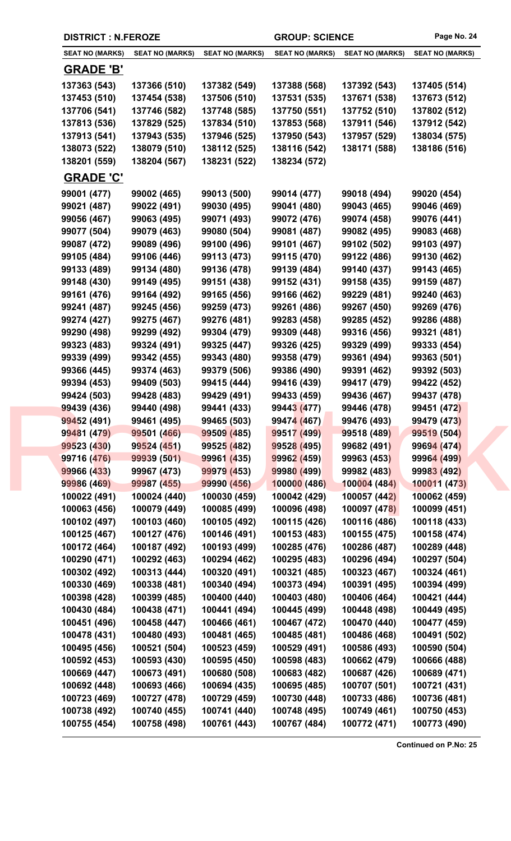| <b>DISTRICT : N.FEROZE</b> |                        |                        | <b>GROUP: SCIENCE</b>  |                        | Page No. 24            |
|----------------------------|------------------------|------------------------|------------------------|------------------------|------------------------|
| <b>SEAT NO (MARKS)</b>     | <b>SEAT NO (MARKS)</b> | <b>SEAT NO (MARKS)</b> | <b>SEAT NO (MARKS)</b> | <b>SEAT NO (MARKS)</b> | <b>SEAT NO (MARKS)</b> |
| <u>GRADE 'B'</u>           |                        |                        |                        |                        |                        |
| 137363 (543)               | 137366 (510)           | 137382 (549)           | 137388 (568)           | 137392 (543)           | 137405 (514)           |
| 137453 (510)               | 137454 (538)           | 137506 (510)           | 137531 (535)           | 137671 (538)           | 137673 (512)           |
| 137706 (541)               | 137746 (582)           | 137748 (585)           | 137750 (551)           | 137752 (510)           | 137802 (512)           |
| 137813 (536)               | 137829 (525)           | 137834 (510)           | 137853 (568)           | 137911 (546)           | 137912 (542)           |
| 137913 (541)               | 137943 (535)           | 137946 (525)           | 137950 (543)           | 137957 (529)           | 138034 (575)           |
| 138073 (522)               | 138079 (510)           | 138112 (525)           | 138116 (542)           | 138171 (588)           | 138186 (516)           |
| 138201 (559)               | 138204 (567)           | 138231 (522)           | 138234 (572)           |                        |                        |
| <b>GRADE 'C'</b>           |                        |                        |                        |                        |                        |
| 99001 (477)                | 99002 (465)            | 99013 (500)            | 99014 (477)            | 99018 (494)            | 99020 (454)            |
| 99021 (487)                | 99022 (491)            | 99030 (495)            | 99041 (480)            | 99043 (465)            | 99046 (469)            |
| 99056 (467)                | 99063 (495)            | 99071 (493)            | 99072 (476)            | 99074 (458)            | 99076 (441)            |
| 99077 (504)                | 99079 (463)            | 99080 (504)            | 99081 (487)            | 99082 (495)            | 99083 (468)            |
| 99087 (472)                | 99089 (496)            | 99100 (496)            | 99101 (467)            | 99102 (502)            | 99103 (497)            |
| 99105 (484)                | 99106 (446)            | 99113 (473)            | 99115 (470)            | 99122 (486)            | 99130 (462)            |
| 99133 (489)                | 99134 (480)            | 99136 (478)            | 99139 (484)            | 99140 (437)            | 99143 (465)            |
| 99148 (430)                | 99149 (495)            | 99151 (438)            | 99152 (431)            | 99158 (435)            | 99159 (487)            |
| 99161 (476)                | 99164 (492)            | 99165 (456)            | 99166 (462)            | 99229 (481)            | 99240 (463)            |
| 99241 (487)                | 99245 (456)            | 99259 (473)            | 99261 (486)            | 99267 (450)            | 99269 (476)            |
| 99274 (427)                | 99275 (467)            | 99276 (481)            | 99283 (458)            | 99285 (452)            | 99286 (488)            |
| 99290 (498)                | 99299 (492)            | 99304 (479)            | 99309 (448)            | 99316 (456)            | 99321 (481)            |
|                            |                        |                        |                        |                        |                        |
| 99323 (483)                | 99324 (491)            | 99325 (447)            | 99326 (425)            | 99329 (499)            | 99333 (454)            |
| 99339 (499)                | 99342 (455)            | 99343 (480)            | 99358 (479)            | 99361 (494)            | 99363 (501)            |
| 99366 (445)                | 99374 (463)            | 99379 (506)            | 99386 (490)            | 99391 (462)            | 99392 (503)            |
| 99394 (453)                | 99409 (503)            | 99415 (444)            | 99416 (439)            | 99417 (479)            | 99422 (452)            |
| 99424 (503)                | 99428 (483)            | 99429 (491)            | 99433 (459)            | 99436 (467)            | 99437 (478)            |
| 99439 (436)                | 99440 (498)            | 99441 (433)            | 99443 (477)            | 99446 (478)            | 99451 (472)            |
| 99452 (491)                | 99461 (495)            | 99465 (503)            | 99474 (467)            | 99476 (493)            | 99479 (473)            |
| 99481 (479)                | 99501 (466)            | 99509 (485)            | 99517 (499)            | 99518 (489)            | 99519 (504)            |
| 99523 (430)                | 99524 (451)            | 99525 (482)            | 99528 (495)            | 99682 (491)            | 99694 (474)            |
| 99716 (476)                | 99939 (501)            | 99961 (435)            | 99962 (459)            | 99963 (453)            | 99964 (499)            |
| 99966 (433)                | 99967 (473)            | 99979 (453)            | 99980 (499)            | 99982 (483)            | 99983 (492)            |
| 99986 (469)                | 99987 (455)            | 99990 (456)            | 100000(486)            | 100004(484)            | 100011 (473)           |
| 100022 (491)               | 100024 (440)           | 100030 (459)           | 100042 (429)           | 100057 (442)           | 100062 (459)           |
| 100063 (456)               | 100079 (449)           | 100085 (499)           | 100096 (498)           | 100097 (478)           | 100099 (451)           |
| 100102 (497)               | 100103 (460)           | 100105 (492)           | 100115 (426)           | 100116 (486)           | 100118 (433)           |
| 100125 (467)               | 100127 (476)           | 100146 (491)           | 100153 (483)           | 100155 (475)           | 100158 (474)           |
| 100172 (464)               | 100187 (492)           | 100193 (499)           | 100285 (476)           | 100286 (487)           | 100289 (448)           |
| 100290 (471)               | 100292 (463)           | 100294 (462)           | 100295 (483)           | 100296 (494)           | 100297 (504)           |
| 100302 (492)               | 100313 (444)           | 100320 (491)           | 100321 (485)           | 100323 (467)           | 100324 (461)           |
| 100330 (469)               | 100338 (481)           | 100340 (494)           | 100373 (494)           | 100391 (495)           | 100394 (499)           |
| 100398 (428)               | 100399 (485)           | 100400 (440)           | 100403 (480)           | 100406 (464)           | 100421 (444)           |
| 100430 (484)               | 100438 (471)           | 100441 (494)           | 100445 (499)           | 100448 (498)           | 100449 (495)           |
| 100451 (496)               | 100458 (447)           | 100466 (461)           | 100467 (472)           | 100470 (440)           | 100477 (459)           |
| 100478 (431)               | 100480 (493)           | 100481 (465)           | 100485 (481)           | 100486 (468)           | 100491 (502)           |
| 100495 (456)               | 100521 (504)           | 100523 (459)           | 100529 (491)           | 100586 (493)           | 100590 (504)           |
| 100592 (453)               | 100593 (430)           | 100595 (450)           | 100598 (483)           | 100662 (479)           | 100666 (488)           |
| 100669 (447)               | 100673 (491)           | 100680 (508)           | 100683 (482)           | 100687 (426)           | 100689 (471)           |
| 100692 (448)               | 100693 (466)           | 100694 (435)           | 100695 (485)           | 100707 (501)           | 100721 (431)           |
| 100723 (469)               | 100727 (478)           | 100729 (459)           | 100730 (448)           | 100733 (486)           | 100736 (481)           |
| 100738 (492)               | 100740 (455)           | 100741 (440)           | 100748 (495)           | 100749 (461)           | 100750 (453)           |
| 100755 (454)               | 100758 (498)           | 100761 (443)           | 100767 (484)           | 100772 (471)           | 100773 (490)           |
|                            |                        |                        |                        |                        |                        |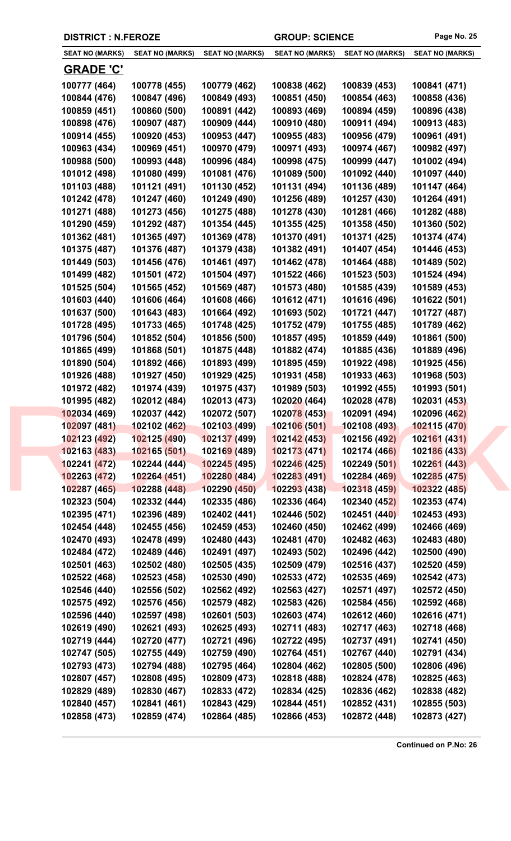| <b>DISTRICT : N.FEROZE</b> |  |
|----------------------------|--|
|----------------------------|--|

| <u>GRADE 'C'</u><br>100777 (464)<br>100779 (462)<br>100838 (462)<br>100839 (453)<br>100841 (471)<br>100778 (455)<br>100847 (496)<br>100849 (493)<br>100851 (450)<br>100854 (463)<br>100858 (436)<br>100844 (476)<br>100859 (451)<br>100860 (500)<br>100891 (442)<br>100893 (469)<br>100894 (459)<br>100896 (438)<br>100898 (476)<br>100907 (487)<br>100909 (444)<br>100910 (480)<br>100911 (494)<br>100913 (483)<br>100914 (455)<br>100920 (453)<br>100953 (447)<br>100955 (483)<br>100956 (479)<br>100961 (491)<br>100969 (451)<br>100971 (493)<br>100974 (467)<br>100982 (497)<br>100963 (434)<br>100970 (479)<br>100988 (500)<br>100993 (448)<br>100996 (484)<br>100998 (475)<br>101002 (494)<br>100999 (447)<br>101012 (498)<br>101080 (499)<br>101081 (476)<br>101089 (500)<br>101092 (440)<br>101097 (440)<br>101103 (488)<br>101121 (491)<br>101130 (452)<br>101131 (494)<br>101136 (489)<br>101147 (464)<br>101242 (478)<br>101247 (460)<br>101249 (490)<br>101256 (489)<br>101257 (430)<br>101264 (491)<br>101271 (488)<br>101275 (488)<br>101278 (430)<br>101281 (466)<br>101273 (456)<br>101282 (488)<br>101290 (459)<br>101292 (487)<br>101354 (445)<br>101355 (425)<br>101358 (450)<br>101360 (502)<br>101370 (491)<br>101371 (425)<br>101362 (481)<br>101365 (497)<br>101369 (478)<br>101374 (474)<br>101407 (454)<br>101375 (487)<br>101376 (487)<br>101379 (438)<br>101382 (491)<br>101446 (453)<br>101449 (503)<br>101456 (476)<br>101461 (497)<br>101462 (478)<br>101464 (488)<br>101489 (502)<br>101499 (482)<br>101501 (472)<br>101504 (497)<br>101522 (466)<br>101523 (503)<br>101524 (494)<br>101525 (504)<br>101565 (452)<br>101569 (487)<br>101573 (480)<br>101585 (439)<br>101589 (453)<br>101603 (440)<br>101606 (464)<br>101608 (466)<br>101612 (471)<br>101616 (496)<br>101622 (501)<br>101643 (483)<br>101637 (500)<br>101664 (492)<br>101693 (502)<br>101721 (447)<br>101727 (487)<br>101728 (495)<br>101733 (465)<br>101748 (425)<br>101752 (479)<br>101755 (485)<br>101789 (462)<br>101852 (504)<br>101861 (500)<br>101796 (504)<br>101856 (500)<br>101857 (495)<br>101859 (449) |
|------------------------------------------------------------------------------------------------------------------------------------------------------------------------------------------------------------------------------------------------------------------------------------------------------------------------------------------------------------------------------------------------------------------------------------------------------------------------------------------------------------------------------------------------------------------------------------------------------------------------------------------------------------------------------------------------------------------------------------------------------------------------------------------------------------------------------------------------------------------------------------------------------------------------------------------------------------------------------------------------------------------------------------------------------------------------------------------------------------------------------------------------------------------------------------------------------------------------------------------------------------------------------------------------------------------------------------------------------------------------------------------------------------------------------------------------------------------------------------------------------------------------------------------------------------------------------------------------------------------------------------------------------------------------------------------------------------------------------------------------------------------------------------------------------------------------------------------------------------------------------------------------------------------------------------------------------------------------------------------------------------------------------------------------------------------------------------------------------------------|
|                                                                                                                                                                                                                                                                                                                                                                                                                                                                                                                                                                                                                                                                                                                                                                                                                                                                                                                                                                                                                                                                                                                                                                                                                                                                                                                                                                                                                                                                                                                                                                                                                                                                                                                                                                                                                                                                                                                                                                                                                                                                                                                  |
|                                                                                                                                                                                                                                                                                                                                                                                                                                                                                                                                                                                                                                                                                                                                                                                                                                                                                                                                                                                                                                                                                                                                                                                                                                                                                                                                                                                                                                                                                                                                                                                                                                                                                                                                                                                                                                                                                                                                                                                                                                                                                                                  |
|                                                                                                                                                                                                                                                                                                                                                                                                                                                                                                                                                                                                                                                                                                                                                                                                                                                                                                                                                                                                                                                                                                                                                                                                                                                                                                                                                                                                                                                                                                                                                                                                                                                                                                                                                                                                                                                                                                                                                                                                                                                                                                                  |
|                                                                                                                                                                                                                                                                                                                                                                                                                                                                                                                                                                                                                                                                                                                                                                                                                                                                                                                                                                                                                                                                                                                                                                                                                                                                                                                                                                                                                                                                                                                                                                                                                                                                                                                                                                                                                                                                                                                                                                                                                                                                                                                  |
|                                                                                                                                                                                                                                                                                                                                                                                                                                                                                                                                                                                                                                                                                                                                                                                                                                                                                                                                                                                                                                                                                                                                                                                                                                                                                                                                                                                                                                                                                                                                                                                                                                                                                                                                                                                                                                                                                                                                                                                                                                                                                                                  |
|                                                                                                                                                                                                                                                                                                                                                                                                                                                                                                                                                                                                                                                                                                                                                                                                                                                                                                                                                                                                                                                                                                                                                                                                                                                                                                                                                                                                                                                                                                                                                                                                                                                                                                                                                                                                                                                                                                                                                                                                                                                                                                                  |
|                                                                                                                                                                                                                                                                                                                                                                                                                                                                                                                                                                                                                                                                                                                                                                                                                                                                                                                                                                                                                                                                                                                                                                                                                                                                                                                                                                                                                                                                                                                                                                                                                                                                                                                                                                                                                                                                                                                                                                                                                                                                                                                  |
|                                                                                                                                                                                                                                                                                                                                                                                                                                                                                                                                                                                                                                                                                                                                                                                                                                                                                                                                                                                                                                                                                                                                                                                                                                                                                                                                                                                                                                                                                                                                                                                                                                                                                                                                                                                                                                                                                                                                                                                                                                                                                                                  |
|                                                                                                                                                                                                                                                                                                                                                                                                                                                                                                                                                                                                                                                                                                                                                                                                                                                                                                                                                                                                                                                                                                                                                                                                                                                                                                                                                                                                                                                                                                                                                                                                                                                                                                                                                                                                                                                                                                                                                                                                                                                                                                                  |
|                                                                                                                                                                                                                                                                                                                                                                                                                                                                                                                                                                                                                                                                                                                                                                                                                                                                                                                                                                                                                                                                                                                                                                                                                                                                                                                                                                                                                                                                                                                                                                                                                                                                                                                                                                                                                                                                                                                                                                                                                                                                                                                  |
|                                                                                                                                                                                                                                                                                                                                                                                                                                                                                                                                                                                                                                                                                                                                                                                                                                                                                                                                                                                                                                                                                                                                                                                                                                                                                                                                                                                                                                                                                                                                                                                                                                                                                                                                                                                                                                                                                                                                                                                                                                                                                                                  |
|                                                                                                                                                                                                                                                                                                                                                                                                                                                                                                                                                                                                                                                                                                                                                                                                                                                                                                                                                                                                                                                                                                                                                                                                                                                                                                                                                                                                                                                                                                                                                                                                                                                                                                                                                                                                                                                                                                                                                                                                                                                                                                                  |
|                                                                                                                                                                                                                                                                                                                                                                                                                                                                                                                                                                                                                                                                                                                                                                                                                                                                                                                                                                                                                                                                                                                                                                                                                                                                                                                                                                                                                                                                                                                                                                                                                                                                                                                                                                                                                                                                                                                                                                                                                                                                                                                  |
|                                                                                                                                                                                                                                                                                                                                                                                                                                                                                                                                                                                                                                                                                                                                                                                                                                                                                                                                                                                                                                                                                                                                                                                                                                                                                                                                                                                                                                                                                                                                                                                                                                                                                                                                                                                                                                                                                                                                                                                                                                                                                                                  |
|                                                                                                                                                                                                                                                                                                                                                                                                                                                                                                                                                                                                                                                                                                                                                                                                                                                                                                                                                                                                                                                                                                                                                                                                                                                                                                                                                                                                                                                                                                                                                                                                                                                                                                                                                                                                                                                                                                                                                                                                                                                                                                                  |
|                                                                                                                                                                                                                                                                                                                                                                                                                                                                                                                                                                                                                                                                                                                                                                                                                                                                                                                                                                                                                                                                                                                                                                                                                                                                                                                                                                                                                                                                                                                                                                                                                                                                                                                                                                                                                                                                                                                                                                                                                                                                                                                  |
|                                                                                                                                                                                                                                                                                                                                                                                                                                                                                                                                                                                                                                                                                                                                                                                                                                                                                                                                                                                                                                                                                                                                                                                                                                                                                                                                                                                                                                                                                                                                                                                                                                                                                                                                                                                                                                                                                                                                                                                                                                                                                                                  |
|                                                                                                                                                                                                                                                                                                                                                                                                                                                                                                                                                                                                                                                                                                                                                                                                                                                                                                                                                                                                                                                                                                                                                                                                                                                                                                                                                                                                                                                                                                                                                                                                                                                                                                                                                                                                                                                                                                                                                                                                                                                                                                                  |
|                                                                                                                                                                                                                                                                                                                                                                                                                                                                                                                                                                                                                                                                                                                                                                                                                                                                                                                                                                                                                                                                                                                                                                                                                                                                                                                                                                                                                                                                                                                                                                                                                                                                                                                                                                                                                                                                                                                                                                                                                                                                                                                  |
|                                                                                                                                                                                                                                                                                                                                                                                                                                                                                                                                                                                                                                                                                                                                                                                                                                                                                                                                                                                                                                                                                                                                                                                                                                                                                                                                                                                                                                                                                                                                                                                                                                                                                                                                                                                                                                                                                                                                                                                                                                                                                                                  |
|                                                                                                                                                                                                                                                                                                                                                                                                                                                                                                                                                                                                                                                                                                                                                                                                                                                                                                                                                                                                                                                                                                                                                                                                                                                                                                                                                                                                                                                                                                                                                                                                                                                                                                                                                                                                                                                                                                                                                                                                                                                                                                                  |
|                                                                                                                                                                                                                                                                                                                                                                                                                                                                                                                                                                                                                                                                                                                                                                                                                                                                                                                                                                                                                                                                                                                                                                                                                                                                                                                                                                                                                                                                                                                                                                                                                                                                                                                                                                                                                                                                                                                                                                                                                                                                                                                  |
| 101865 (499)<br>101868 (501)<br>101875 (448)<br>101882 (474)<br>101885 (436)<br>101889 (496)                                                                                                                                                                                                                                                                                                                                                                                                                                                                                                                                                                                                                                                                                                                                                                                                                                                                                                                                                                                                                                                                                                                                                                                                                                                                                                                                                                                                                                                                                                                                                                                                                                                                                                                                                                                                                                                                                                                                                                                                                     |
| 101890 (504)<br>101892 (466)<br>101893 (499)<br>101895 (459)<br>101922 (498)<br>101925 (456)                                                                                                                                                                                                                                                                                                                                                                                                                                                                                                                                                                                                                                                                                                                                                                                                                                                                                                                                                                                                                                                                                                                                                                                                                                                                                                                                                                                                                                                                                                                                                                                                                                                                                                                                                                                                                                                                                                                                                                                                                     |
| 101926 (488)<br>101927 (450)<br>101929 (425)<br>101931 (458)<br>101933 (463)<br>101968 (503)                                                                                                                                                                                                                                                                                                                                                                                                                                                                                                                                                                                                                                                                                                                                                                                                                                                                                                                                                                                                                                                                                                                                                                                                                                                                                                                                                                                                                                                                                                                                                                                                                                                                                                                                                                                                                                                                                                                                                                                                                     |
| 101972 (482)<br>101974 (439)<br>101975 (437)<br>101989 (503)<br>101992 (455)<br>101993 (501)                                                                                                                                                                                                                                                                                                                                                                                                                                                                                                                                                                                                                                                                                                                                                                                                                                                                                                                                                                                                                                                                                                                                                                                                                                                                                                                                                                                                                                                                                                                                                                                                                                                                                                                                                                                                                                                                                                                                                                                                                     |
| 101995 (482)<br>102012 (484)<br>102013 (473)<br>102020 (464)<br>102028 (478)<br>102031 (453)                                                                                                                                                                                                                                                                                                                                                                                                                                                                                                                                                                                                                                                                                                                                                                                                                                                                                                                                                                                                                                                                                                                                                                                                                                                                                                                                                                                                                                                                                                                                                                                                                                                                                                                                                                                                                                                                                                                                                                                                                     |
| 102034 (469)<br>102037 (442)<br>102072 (507)<br>102078 (453)<br>102091 (494)<br>102096 (462)                                                                                                                                                                                                                                                                                                                                                                                                                                                                                                                                                                                                                                                                                                                                                                                                                                                                                                                                                                                                                                                                                                                                                                                                                                                                                                                                                                                                                                                                                                                                                                                                                                                                                                                                                                                                                                                                                                                                                                                                                     |
| 102102 (462)<br>102103 (499)<br>102106 (501)<br>102108 (493)<br>102115 (470)<br>102097 (481)                                                                                                                                                                                                                                                                                                                                                                                                                                                                                                                                                                                                                                                                                                                                                                                                                                                                                                                                                                                                                                                                                                                                                                                                                                                                                                                                                                                                                                                                                                                                                                                                                                                                                                                                                                                                                                                                                                                                                                                                                     |
| 102123 (492)<br>102125 (490)<br>102137 (499)<br>102142(453)<br>102156 (492)<br>102161 (431)                                                                                                                                                                                                                                                                                                                                                                                                                                                                                                                                                                                                                                                                                                                                                                                                                                                                                                                                                                                                                                                                                                                                                                                                                                                                                                                                                                                                                                                                                                                                                                                                                                                                                                                                                                                                                                                                                                                                                                                                                      |
| 102163 (483)<br>102165 (501)<br>10216 <mark>9 (489)</mark><br>102173 (471)<br>102174 (466)<br>102186 (433)                                                                                                                                                                                                                                                                                                                                                                                                                                                                                                                                                                                                                                                                                                                                                                                                                                                                                                                                                                                                                                                                                                                                                                                                                                                                                                                                                                                                                                                                                                                                                                                                                                                                                                                                                                                                                                                                                                                                                                                                       |
| 102241 (472)<br>102244 (444)<br>102245 (495)<br>102246(425)<br>102249 (501)<br>102261(443)                                                                                                                                                                                                                                                                                                                                                                                                                                                                                                                                                                                                                                                                                                                                                                                                                                                                                                                                                                                                                                                                                                                                                                                                                                                                                                                                                                                                                                                                                                                                                                                                                                                                                                                                                                                                                                                                                                                                                                                                                       |
| 102283 (491)<br>102284 (469)<br>102285 (475)<br>102263 (472)<br>102264 (451)<br>102280 (484)                                                                                                                                                                                                                                                                                                                                                                                                                                                                                                                                                                                                                                                                                                                                                                                                                                                                                                                                                                                                                                                                                                                                                                                                                                                                                                                                                                                                                                                                                                                                                                                                                                                                                                                                                                                                                                                                                                                                                                                                                     |
| 102287 (465)<br>102288 (448)<br>102290 (450)<br>102293(438)<br>102318 (459)<br>102322 (485)                                                                                                                                                                                                                                                                                                                                                                                                                                                                                                                                                                                                                                                                                                                                                                                                                                                                                                                                                                                                                                                                                                                                                                                                                                                                                                                                                                                                                                                                                                                                                                                                                                                                                                                                                                                                                                                                                                                                                                                                                      |
| 102332 (444)<br>102335 (486)<br>102336 (464)<br>102340 (452)<br>102353 (474)<br>102323 (504)                                                                                                                                                                                                                                                                                                                                                                                                                                                                                                                                                                                                                                                                                                                                                                                                                                                                                                                                                                                                                                                                                                                                                                                                                                                                                                                                                                                                                                                                                                                                                                                                                                                                                                                                                                                                                                                                                                                                                                                                                     |
| 102395 (471)<br>102396 (489)<br>102402 (441)<br>102446 (502)<br>102451 (440)<br>102453 (493)                                                                                                                                                                                                                                                                                                                                                                                                                                                                                                                                                                                                                                                                                                                                                                                                                                                                                                                                                                                                                                                                                                                                                                                                                                                                                                                                                                                                                                                                                                                                                                                                                                                                                                                                                                                                                                                                                                                                                                                                                     |
| 102454 (448)<br>102455 (456)<br>102459 (453)<br>102460 (450)<br>102462 (499)<br>102466 (469)                                                                                                                                                                                                                                                                                                                                                                                                                                                                                                                                                                                                                                                                                                                                                                                                                                                                                                                                                                                                                                                                                                                                                                                                                                                                                                                                                                                                                                                                                                                                                                                                                                                                                                                                                                                                                                                                                                                                                                                                                     |
| 102480 (443)<br>102481 (470)<br>102470 (493)<br>102478 (499)<br>102482 (463)<br>102483 (480)                                                                                                                                                                                                                                                                                                                                                                                                                                                                                                                                                                                                                                                                                                                                                                                                                                                                                                                                                                                                                                                                                                                                                                                                                                                                                                                                                                                                                                                                                                                                                                                                                                                                                                                                                                                                                                                                                                                                                                                                                     |
| 102484 (472)<br>102489 (446)<br>102491 (497)<br>102493 (502)<br>102496 (442)<br>102500 (490)                                                                                                                                                                                                                                                                                                                                                                                                                                                                                                                                                                                                                                                                                                                                                                                                                                                                                                                                                                                                                                                                                                                                                                                                                                                                                                                                                                                                                                                                                                                                                                                                                                                                                                                                                                                                                                                                                                                                                                                                                     |
| 102501 (463)<br>102502 (480)<br>102505 (435)<br>102509 (479)<br>102516 (437)<br>102520 (459)                                                                                                                                                                                                                                                                                                                                                                                                                                                                                                                                                                                                                                                                                                                                                                                                                                                                                                                                                                                                                                                                                                                                                                                                                                                                                                                                                                                                                                                                                                                                                                                                                                                                                                                                                                                                                                                                                                                                                                                                                     |
| 102523 (458)<br>102530 (490)<br>102533 (472)<br>102542 (473)<br>102522 (468)<br>102535 (469)                                                                                                                                                                                                                                                                                                                                                                                                                                                                                                                                                                                                                                                                                                                                                                                                                                                                                                                                                                                                                                                                                                                                                                                                                                                                                                                                                                                                                                                                                                                                                                                                                                                                                                                                                                                                                                                                                                                                                                                                                     |
| 102546 (440)<br>102556 (502)<br>102562 (492)<br>102563 (427)<br>102571 (497)<br>102572 (450)                                                                                                                                                                                                                                                                                                                                                                                                                                                                                                                                                                                                                                                                                                                                                                                                                                                                                                                                                                                                                                                                                                                                                                                                                                                                                                                                                                                                                                                                                                                                                                                                                                                                                                                                                                                                                                                                                                                                                                                                                     |
| 102576 (456)<br>102579 (482)<br>102583 (426)<br>102575 (492)<br>102584 (456)<br>102592 (468)                                                                                                                                                                                                                                                                                                                                                                                                                                                                                                                                                                                                                                                                                                                                                                                                                                                                                                                                                                                                                                                                                                                                                                                                                                                                                                                                                                                                                                                                                                                                                                                                                                                                                                                                                                                                                                                                                                                                                                                                                     |
| 102616 (471)<br>102596 (440)<br>102597 (498)<br>102601 (503)<br>102603 (474)<br>102612 (460)                                                                                                                                                                                                                                                                                                                                                                                                                                                                                                                                                                                                                                                                                                                                                                                                                                                                                                                                                                                                                                                                                                                                                                                                                                                                                                                                                                                                                                                                                                                                                                                                                                                                                                                                                                                                                                                                                                                                                                                                                     |
| 102619 (490)<br>102621 (493)<br>102625 (493)<br>102711 (483)<br>102717 (463)<br>102718 (468)                                                                                                                                                                                                                                                                                                                                                                                                                                                                                                                                                                                                                                                                                                                                                                                                                                                                                                                                                                                                                                                                                                                                                                                                                                                                                                                                                                                                                                                                                                                                                                                                                                                                                                                                                                                                                                                                                                                                                                                                                     |
| 102719 (444)<br>102720 (477)<br>102721 (496)<br>102722 (495)<br>102737 (491)<br>102741 (450)                                                                                                                                                                                                                                                                                                                                                                                                                                                                                                                                                                                                                                                                                                                                                                                                                                                                                                                                                                                                                                                                                                                                                                                                                                                                                                                                                                                                                                                                                                                                                                                                                                                                                                                                                                                                                                                                                                                                                                                                                     |
| 102747 (505)<br>102755 (449)<br>102759 (490)<br>102764 (451)<br>102767 (440)<br>102791 (434)                                                                                                                                                                                                                                                                                                                                                                                                                                                                                                                                                                                                                                                                                                                                                                                                                                                                                                                                                                                                                                                                                                                                                                                                                                                                                                                                                                                                                                                                                                                                                                                                                                                                                                                                                                                                                                                                                                                                                                                                                     |
| 102793 (473)<br>102794 (488)<br>102795 (464)<br>102804 (462)<br>102805 (500)<br>102806 (496)                                                                                                                                                                                                                                                                                                                                                                                                                                                                                                                                                                                                                                                                                                                                                                                                                                                                                                                                                                                                                                                                                                                                                                                                                                                                                                                                                                                                                                                                                                                                                                                                                                                                                                                                                                                                                                                                                                                                                                                                                     |
| 102808 (495)<br>102809 (473)<br>102818 (488)<br>102825 (463)<br>102807 (457)<br>102824 (478)                                                                                                                                                                                                                                                                                                                                                                                                                                                                                                                                                                                                                                                                                                                                                                                                                                                                                                                                                                                                                                                                                                                                                                                                                                                                                                                                                                                                                                                                                                                                                                                                                                                                                                                                                                                                                                                                                                                                                                                                                     |
| 102829 (489)<br>102830 (467)<br>102833 (472)<br>102834 (425)<br>102836 (462)<br>102838 (482)                                                                                                                                                                                                                                                                                                                                                                                                                                                                                                                                                                                                                                                                                                                                                                                                                                                                                                                                                                                                                                                                                                                                                                                                                                                                                                                                                                                                                                                                                                                                                                                                                                                                                                                                                                                                                                                                                                                                                                                                                     |
| 102840 (457)<br>102841 (461)<br>102843 (429)<br>102844 (451)<br>102852 (431)<br>102855 (503)                                                                                                                                                                                                                                                                                                                                                                                                                                                                                                                                                                                                                                                                                                                                                                                                                                                                                                                                                                                                                                                                                                                                                                                                                                                                                                                                                                                                                                                                                                                                                                                                                                                                                                                                                                                                                                                                                                                                                                                                                     |
| 102858 (473)<br>102859 (474)<br>102864 (485)<br>102866 (453)<br>102872 (448)<br>102873 (427)                                                                                                                                                                                                                                                                                                                                                                                                                                                                                                                                                                                                                                                                                                                                                                                                                                                                                                                                                                                                                                                                                                                                                                                                                                                                                                                                                                                                                                                                                                                                                                                                                                                                                                                                                                                                                                                                                                                                                                                                                     |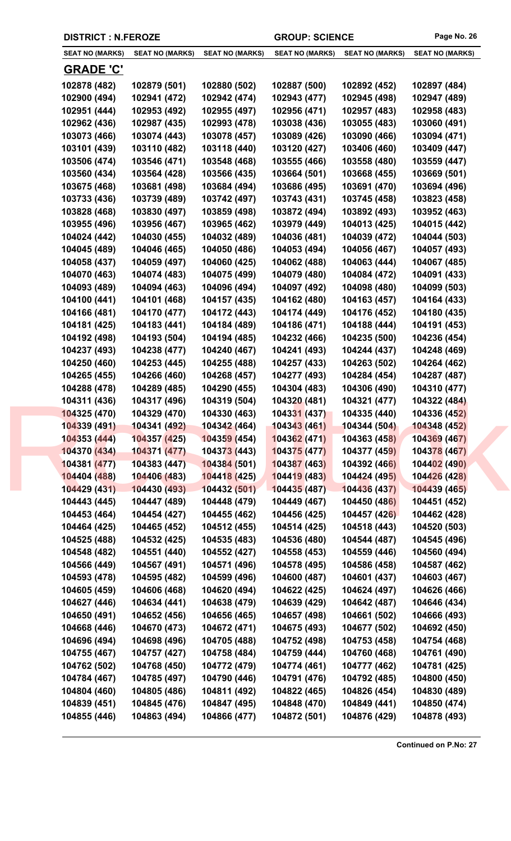| <b>SEAT NO (MARKS)</b> | <b>SEAT NO (MARKS)</b> | <b>SEAT NO (MARKS)</b> | <b>SEAT NO (MARKS)</b> | <b>SEAT NO (MARKS)</b> | <b>SEAT NO (MARKS)</b> |
|------------------------|------------------------|------------------------|------------------------|------------------------|------------------------|
| <b>GRADE 'C'</b>       |                        |                        |                        |                        |                        |
| 102878 (482)           | 102879 (501)           | 102880 (502)           | 102887 (500)           | 102892 (452)           | 102897 (484)           |
| 102900 (494)           | 102941 (472)           | 102942 (474)           | 102943 (477)           | 102945 (498)           | 102947 (489)           |
| 102951 (444)           | 102953 (492)           | 102955 (497)           | 102956 (471)           | 102957 (483)           | 102958 (483)           |
| 102962 (436)           | 102987 (435)           | 102993 (478)           | 103038 (436)           | 103055 (483)           | 103060 (491)           |
| 103073 (466)           | 103074 (443)           | 103078 (457)           | 103089 (426)           | 103090 (466)           | 103094 (471)           |
| 103101 (439)           | 103110 (482)           | 103118 (440)           | 103120 (427)           | 103406 (460)           | 103409 (447)           |
| 103506 (474)           | 103546 (471)           | 103548 (468)           | 103555 (466)           | 103558 (480)           | 103559 (447)           |
| 103560 (434)           | 103564 (428)           | 103566 (435)           | 103664 (501)           | 103668 (455)           | 103669 (501)           |
| 103675 (468)           | 103681 (498)           | 103684 (494)           | 103686 (495)           | 103691 (470)           | 103694 (496)           |
| 103733 (436)           | 103739 (489)           | 103742 (497)           | 103743 (431)           | 103745 (458)           | 103823 (458)           |
| 103828 (468)           | 103830 (497)           | 103859 (498)           | 103872 (494)           | 103892 (493)           | 103952 (463)           |
| 103955 (496)           | 103956 (467)           | 103965 (462)           | 103979 (449)           | 104013 (425)           | 104015 (442)           |
| 104024 (442)           | 104030 (455)           | 104032 (489)           | 104036 (481)           | 104039 (472)           | 104044 (503)           |
| 104045 (489)           | 104046 (465)           | 104050 (486)           | 104053 (494)           | 104056 (467)           | 104057 (493)           |
| 104058 (437)           | 104059 (497)           | 104060 (425)           | 104062 (488)           | 104063 (444)           | 104067 (485)           |
| 104070 (463)           | 104074 (483)           | 104075 (499)           | 104079 (480)           | 104084 (472)           | 104091 (433)           |
| 104093 (489)           | 104094 (463)           | 104096 (494)           | 104097 (492)           | 104098 (480)           | 104099 (503)           |
| 104100 (441)           | 104101 (468)           | 104157 (435)           | 104162 (480)           | 104163 (457)           | 104164 (433)           |
| 104166 (481)           | 104170 (477)           | 104172 (443)           | 104174 (449)           | 104176 (452)           | 104180 (435)           |
| 104181 (425)           | 104183 (441)           | 104184 (489)           | 104186 (471)           | 104188 (444)           | 104191 (453)           |
| 104192 (498)           | 104193 (504)           | 104194 (485)           | 104232 (466)           | 104235 (500)           | 104236 (454)           |
| 104237 (493)           | 104238 (477)           | 104240 (467)           | 104241 (493)           | 104244 (437)           | 104248 (469)           |
| 104250 (460)           | 104253 (445)           | 104255 (488)           | 104257 (433)           | 104263 (502)           | 104264 (462)           |
| 104265 (455)           | 104266 (460)           | 104268 (457)           | 104277 (493)           | 104284 (454)           | 104287 (487)           |
| 104288 (478)           | 104289 (485)           | 104290 (455)           | 104304 (483)           | 104306 (490)           | 104310 (477)           |
| 104311 (436)           | 104317 (496)           | 104319 (504)           | 104320 (481)           | 104321 (477)           | 104322 (484)           |
| 104325 (470)           | 104329 (470)           | 104330 (463)           | 104331 (437)           | 104335 (440)           | 104336 (452)           |
| 104339 (491)           | 104341 (492)           | 104342 (464)           | 104343 (461)           | 104344 (504)           | 104348 (452)           |
| 104353 (444)           | 104357 (425)           | 104359 (454)           | 104362(471)            | 104363 (458)           | 104369 (467)           |
| 104370 (434)           | 104371 (477)           | 104373 (443)           | 104375 (477)           | 104377 (459)           | 104378 (467)           |
| 104381 (477)           | 104383 (447)           | 104384 (501)           | 104387 (463)           | 104392 (466)           | 104402 (490)           |
| 104404 (488)           | 104406 (483)           | 104418 (425)           | 104419 (483)           | 104424 (495)           | 104426 (428)           |
| 104429 (431)           | 104430 (493)           | 104432 (501)           | 104435 (487)           | 104436 (437)           | 104439 (465)           |
| 104443 (445)           | 104447 (489)           | 104448 (479)           | 104449 (467)           | 104450 (486)           | 104451 (452)           |
| 104453 (464)           | 104454 (427)           | 104455 (462)           | 104456 (425)           | 104457 (426)           | 104462 (428)           |
| 104464 (425)           | 104465 (452)           | 104512 (455)           | 104514 (425)           | 104518 (443)           | 104520 (503)           |
| 104525 (488)           | 104532 (425)           | 104535 (483)           | 104536 (480)           | 104544 (487)           | 104545 (496)           |
| 104548 (482)           | 104551 (440)           | 104552 (427)           | 104558 (453)           | 104559 (446)           | 104560 (494)           |
| 104566 (449)           | 104567 (491)           | 104571 (496)           | 104578 (495)           | 104586 (458)           | 104587 (462)           |
| 104593 (478)           | 104595 (482)           | 104599 (496)           | 104600 (487)           | 104601 (437)           | 104603 (467)           |
| 104605 (459)           | 104606 (468)           | 104620 (494)           | 104622 (425)           | 104624 (497)           | 104626 (466)           |
| 104627 (446)           | 104634 (441)           | 104638 (479)           | 104639 (429)           | 104642 (487)           | 104646 (434)           |
| 104650 (491)           | 104652 (456)           | 104656 (465)           | 104657 (498)           | 104661 (502)           | 104666 (493)           |
| 104668 (446)           | 104670 (473)           | 104672 (471)           | 104675 (493)           | 104677 (502)           | 104692 (450)           |
| 104696 (494)           | 104698 (496)           | 104705 (488)           | 104752 (498)           | 104753 (458)           | 104754 (468)           |
| 104755 (467)           | 104757 (427)           | 104758 (484)           | 104759 (444)           | 104760 (468)           | 104761 (490)           |
| 104762 (502)           | 104768 (450)           | 104772 (479)           | 104774 (461)           | 104777 (462)           | 104781 (425)           |
| 104784 (467)           | 104785 (497)           | 104790 (446)           | 104791 (476)           | 104792 (485)           | 104800 (450)           |
| 104804 (460)           | 104805 (486)           | 104811 (492)           | 104822 (465)           | 104826 (454)           | 104830 (489)           |
|                        |                        |                        |                        |                        |                        |
| 104839 (451)           | 104845 (476)           | 104847 (495)           | 104848 (470)           | 104849 (441)           | 104850 (474)           |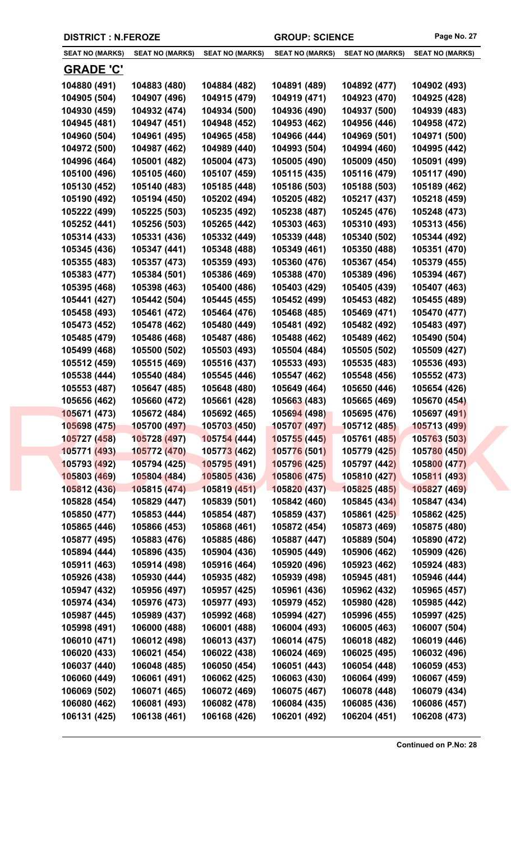|  | <b>DISTRICT : N.FEROZE</b> |
|--|----------------------------|
|--|----------------------------|

| <b>SEAT NO (MARKS)</b> | <b>SEAT NO (MARKS)</b> | <b>SEAT NO (MARKS)</b> | <b>SEAT NO (MARKS)</b> | <b>SEAT NO (MARKS)</b> | <b>SEAT NO (MARKS)</b> |
|------------------------|------------------------|------------------------|------------------------|------------------------|------------------------|
| <u>GRADE 'C'</u>       |                        |                        |                        |                        |                        |
| 104880 (491)           | 104883 (480)           | 104884 (482)           | 104891 (489)           | 104892 (477)           | 104902 (493)           |
| 104905 (504)           | 104907 (496)           | 104915 (479)           | 104919 (471)           | 104923 (470)           | 104925 (428)           |
| 104930 (459)           | 104932 (474)           | 104934 (500)           | 104936 (490)           | 104937 (500)           | 104939 (483)           |
| 104945 (481)           | 104947 (451)           | 104948 (452)           | 104953 (462)           | 104956 (446)           | 104958 (472)           |
| 104960 (504)           | 104961 (495)           | 104965 (458)           | 104966 (444)           | 104969 (501)           | 104971 (500)           |
| 104972 (500)           | 104987 (462)           | 104989 (440)           | 104993 (504)           | 104994 (460)           | 104995 (442)           |
| 104996 (464)           | 105001 (482)           | 105004 (473)           | 105005 (490)           | 105009 (450)           | 105091 (499)           |
| 105100 (496)           | 105105 (460)           | 105107 (459)           | 105115 (435)           | 105116 (479)           | 105117 (490)           |
| 105130 (452)           | 105140 (483)           | 105185 (448)           | 105186 (503)           | 105188 (503)           | 105189 (462)           |
| 105190 (492)           | 105194 (450)           | 105202 (494)           | 105205 (482)           | 105217 (437)           | 105218 (459)           |
| 105222 (499)           | 105225 (503)           | 105235 (492)           | 105238 (487)           | 105245 (476)           | 105248 (473)           |
| 105252 (441)           | 105256 (503)           | 105265 (442)           | 105303 (463)           | 105310 (493)           | 105313 (456)           |
| 105314 (433)           | 105331 (436)           | 105332 (449)           | 105339 (448)           | 105340 (502)           | 105344 (492)           |
| 105345 (436)           | 105347 (441)           | 105348 (488)           | 105349 (461)           | 105350 (488)           | 105351 (470)           |
| 105355 (483)           | 105357 (473)           | 105359 (493)           | 105360 (476)           | 105367 (454)           | 105379 (455)           |
| 105383 (477)           | 105384 (501)           | 105386 (469)           | 105388 (470)           | 105389 (496)           | 105394 (467)           |
| 105395 (468)           | 105398 (463)           | 105400 (486)           | 105403 (429)           | 105405 (439)           | 105407 (463)           |
| 105441 (427)           | 105442 (504)           | 105445 (455)           | 105452 (499)           | 105453 (482)           | 105455 (489)           |
| 105458 (493)           | 105461 (472)           | 105464 (476)           | 105468 (485)           | 105469 (471)           | 105470 (477)           |
| 105473 (452)           | 105478 (462)           | 105480 (449)           | 105481 (492)           | 105482 (492)           | 105483 (497)           |
| 105485 (479)           | 105486 (468)           | 105487 (486)           | 105488 (462)           | 105489 (462)           | 105490 (504)           |
| 105499 (468)           | 105500 (502)           | 105503 (493)           | 105504 (484)           | 105505 (502)           | 105509 (427)           |
| 105512 (459)           | 105515 (469)           | 105516 (437)           | 105533 (493)           | 105535 (483)           | 105536 (493)           |
| 105538 (444)           | 105540 (484)           | 105545 (446)           | 105547 (462)           | 105548 (456)           | 105552 (473)           |
| 105553 (487)           | 105647 (485)           | 105648 (480)           | 105649 (464)           | 105650 (446)           | 105654 (426)           |
| 105656 (462)           | 105660 (472)           | 105661 (428)           | 105663 (483)           | 105665 (469)           | 105670 (454)           |
| 105671 (473)           | 105672 (484)           | 105692 (465)           | 105694 (498)           | 105695 (476)           | 105697 (491)           |
| 105698 (475)           | 105700 (497)           | 105703 (450)           | 105707 (497)           | 105712 (485)           | 105713 (499)           |
| 105727 (458)           | 105728 (497)           | 105754 (444)           | 105755(445)            | 105761 (485)           | 105763 (503)           |
| 105771 (493)           | 105772 (470)           | 105773 (462)           | 105776 (501)           | 105779 (425)           | 105780 (450)           |
| 105793 (492)           | 105794 (425)           | 105795 (491)           | 105796 (425)           | 105797 (442)           | 105800 (477)           |
| 105803 (469)           | 105804 (484)           | 105805 (436)           | 105806 (475)           | 105810 (427)           | 105811 (493)           |
| 105812 (436)           | 105815 (474)           | 105819 (451)           | 105820 (437)           | 105825 (485)           | 105827 (469)           |
| 105828 (454)           | 105829 (447)           | 105839 (501)           | 105842 (460)           | 105845 (434)           | 105847 (434)           |
| 105850 (477)           | 105853 (444)           | 105854 (487)           | 105859 (437)           | 105861 (425)           | 105862 (425)           |
| 105865 (446)           | 105866 (453)           | 105868 (461)           | 105872 (454)           | 105873 (469)           | 105875 (480)           |
| 105877 (495)           | 105883 (476)           | 105885 (486)           | 105887 (447)           | 105889 (504)           | 105890 (472)           |
| 105894 (444)           | 105896 (435)           | 105904 (436)           | 105905 (449)           | 105906 (462)           | 105909 (426)           |
| 105911 (463)           | 105914 (498)           | 105916 (464)           | 105920 (496)           | 105923 (462)           | 105924 (483)           |
| 105926 (438)           | 105930 (444)           | 105935 (482)           | 105939 (498)           | 105945 (481)           | 105946 (444)           |
| 105947 (432)           | 105956 (497)           | 105957 (425)           | 105961 (436)           | 105962 (432)           | 105965 (457)           |
| 105974 (434)           | 105976 (473)           | 105977 (493)           | 105979 (452)           | 105980 (428)           | 105985 (442)           |
| 105987 (445)           | 105989 (437)           | 105992 (468)           | 105994 (427)           | 105996 (455)           | 105997 (425)           |
| 105998 (491)           | 106000 (488)           | 106001 (488)           | 106004 (493)           | 106005 (463)           | 106007 (504)           |
| 106010 (471)           | 106012 (498)           | 106013 (437)           | 106014 (475)           | 106018 (482)           | 106019 (446)           |
| 106020 (433)           | 106021 (454)           | 106022 (438)           | 106024 (469)           | 106025 (495)           | 106032 (496)           |
| 106037 (440)           | 106048 (485)           | 106050 (454)           | 106051 (443)           | 106054 (448)           | 106059 (453)           |
| 106060 (449)           | 106061 (491)           | 106062 (425)           | 106063 (430)           | 106064 (499)           | 106067 (459)           |
| 106069 (502)           | 106071 (465)           | 106072 (469)           | 106075 (467)           | 106078 (448)           | 106079 (434)           |
| 106080 (462)           | 106081 (493)           | 106082 (478)           | 106084 (435)           | 106085 (436)           | 106086 (457)           |
| 106131 (425)           | 106138 (461)           | 106168 (426)           | 106201 (492)           | 106204 (451)           | 106208 (473)           |
|                        |                        |                        |                        |                        |                        |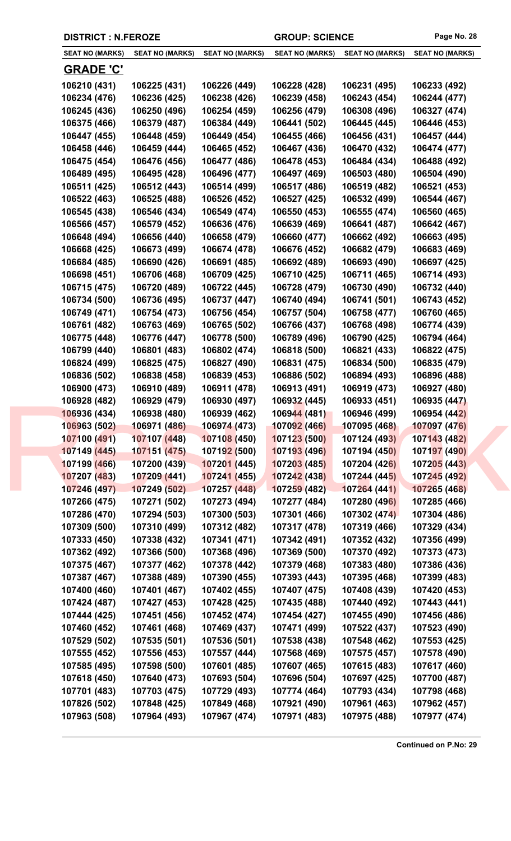|                        | <b>DISTRICT : N.FEROZE</b> |                        |                        | <b>GROUP: SCIENCE</b>  |                        |  |
|------------------------|----------------------------|------------------------|------------------------|------------------------|------------------------|--|
| <b>SEAT NO (MARKS)</b> | <b>SEAT NO (MARKS)</b>     | <b>SEAT NO (MARKS)</b> | <b>SEAT NO (MARKS)</b> | <b>SEAT NO (MARKS)</b> | <b>SEAT NO (MARKS)</b> |  |
| <b>GRADE 'C'</b>       |                            |                        |                        |                        |                        |  |
| 106210 (431)           | 106225 (431)               | 106226 (449)           | 106228 (428)           | 106231 (495)           | 106233 (492)           |  |
| 106234 (476)           | 106236 (425)               | 106238 (426)           | 106239 (458)           | 106243 (454)           | 106244 (477)           |  |
| 106245 (436)           | 106250 (496)               | 106254 (459)           | 106256 (479)           | 106308 (496)           | 106327 (474)           |  |
| 106375 (466)           | 106379 (487)               | 106384 (449)           | 106441 (502)           | 106445 (445)           | 106446 (453)           |  |
| 106447 (455)           | 106448 (459)               | 106449 (454)           | 106455 (466)           | 106456 (431)           | 106457 (444)           |  |
| 106458 (446)           | 106459 (444)               | 106465 (452)           | 106467 (436)           | 106470 (432)           | 106474 (477)           |  |
| 106475 (454)           | 106476 (456)               | 106477 (486)           | 106478 (453)           | 106484 (434)           | 106488 (492)           |  |
| 106489 (495)           | 106495 (428)               | 106496 (477)           | 106497 (469)           | 106503 (480)           | 106504 (490)           |  |
| 106511 (425)           | 106512 (443)               | 106514 (499)           | 106517 (486)           | 106519 (482)           | 106521 (453)           |  |
| 106522 (463)           | 106525 (488)               | 106526 (452)           | 106527 (425)           | 106532 (499)           | 106544 (467)           |  |
| 106545 (438)           | 106546 (434)               | 106549 (474)           | 106550 (453)           | 106555 (474)           | 106560 (465)           |  |
| 106566 (457)           | 106579 (452)               | 106636 (476)           | 106639 (469)           | 106641 (487)           | 106642 (467)           |  |
| 106648 (494)           | 106656 (440)               | 106658 (479)           | 106660 (477)           | 106662 (492)           | 106663 (495)           |  |
| 106668 (425)           | 106673 (499)               | 106674 (478)           | 106676 (452)           | 106682 (479)           | 106683 (469)           |  |
| 106684 (485)           | 106690 (426)               | 106691 (485)           | 106692 (489)           | 106693 (490)           | 106697 (425)           |  |
|                        |                            |                        |                        |                        |                        |  |
| 106698 (451)           | 106706 (468)               | 106709 (425)           | 106710 (425)           | 106711 (465)           | 106714 (493)           |  |
| 106715 (475)           | 106720 (489)               | 106722 (445)           | 106728 (479)           | 106730 (490)           | 106732 (440)           |  |
| 106734 (500)           | 106736 (495)               | 106737 (447)           | 106740 (494)           | 106741 (501)           | 106743 (452)           |  |
| 106749 (471)           | 106754 (473)               | 106756 (454)           | 106757 (504)           | 106758 (477)           | 106760 (465)           |  |
| 106761 (482)           | 106763 (469)               | 106765 (502)           | 106766 (437)           | 106768 (498)           | 106774 (439)           |  |
| 106775 (448)           | 106776 (447)               | 106778 (500)           | 106789 (496)           | 106790 (425)           | 106794 (464)           |  |
| 106799 (440)           | 106801 (483)               | 106802 (474)           | 106818 (500)           | 106821 (433)           | 106822 (475)           |  |
| 106824 (499)           | 106825 (475)               | 106827 (490)           | 106831 (475)           | 106834 (500)           | 106835 (479)           |  |
| 106836 (502)           | 106838 (458)               | 106839 (453)           | 106886 (502)           | 106894 (493)           | 106896 (488)           |  |
| 106900 (473)           | 106910 (489)               | 106911 (478)           | 106913 (491)           | 106919 (473)           | 106927 (480)           |  |
| 106928 (482)           | 106929 (479)               | 106930 (497)           | 106932 (445)           | 106933 (451)           | 106935 (447)           |  |
| 106936 (434)           | 106938 (480)               | 106939 (462)           | 106944 (481)           | 106946 (499)           | 106954 (442)           |  |
| 106963 (502)           | 106971 (486)               | 106974 (473)           | 107092 (466)           | 107095 (468)           | 107097 (476)           |  |
| 107100 (491)           | 107107 (448)               | 107108 (450)           | 107123 (500)           | 107124 (493)           | 107143 (482)           |  |
| 107149 (445)           | 107151 (475)               | 107192 (500)           | 107193 (496)           | 107194 (450)           | 107197 (490)           |  |
| 107199 (466)           | 107200 (439)               | 107201 (445)           | 107203 (485)           | 107204 (426)           | 107205 (443)           |  |
| 107207 (483)           | 107209 (441)               | 107241 (455)           | 107242 (438)           | 107244 (445)           | 107245 (492)           |  |
| 107246 (497)           | 107249 (502)               | 107257 (448)           | 107259 (482)           | 107264 (441)           | 107265 (468)           |  |
| 107266 (475)           | 107271 (502)               | 107273 (494)           | 107277 (484)           | 107280 (496)           | 107285 (466)           |  |
| 107286 (470)           | 107294 (503)               | 107300 (503)           | 107301 (466)           | 107302 (474)           | 107304 (486)           |  |
| 107309 (500)           | 107310 (499)               | 107312 (482)           | 107317 (478)           | 107319 (466)           | 107329 (434)           |  |
| 107333 (450)           | 107338 (432)               | 107341 (471)           | 107342 (491)           | 107352 (432)           | 107356 (499)           |  |
| 107362 (492)           | 107366 (500)               | 107368 (496)           | 107369 (500)           | 107370 (492)           | 107373 (473)           |  |
| 107375 (467)           | 107377 (462)               | 107378 (442)           | 107379 (468)           | 107383 (480)           | 107386 (436)           |  |
| 107387 (467)           | 107388 (489)               | 107390 (455)           | 107393 (443)           | 107395 (468)           | 107399 (483)           |  |
| 107400 (460)           | 107401 (467)               | 107402 (455)           | 107407 (475)           | 107408 (439)           | 107420 (453)           |  |
| 107424 (487)           | 107427 (453)               | 107428 (425)           | 107435 (488)           | 107440 (492)           | 107443 (441)           |  |
| 107444 (425)           | 107451 (456)               | 107452 (474)           | 107454 (427)           | 107455 (490)           | 107456 (486)           |  |
| 107460 (452)           | 107461 (468)               | 107469 (437)           | 107471 (499)           | 107522 (437)           | 107523 (490)           |  |
| 107529 (502)           | 107535 (501)               | 107536 (501)           | 107538 (438)           | 107548 (462)           | 107553 (425)           |  |
| 107555 (452)           | 107556 (453)               | 107557 (444)           | 107568 (469)           | 107575 (457)           | 107578 (490)           |  |
| 107585 (495)           | 107598 (500)               | 107601 (485)           | 107607 (465)           | 107615 (483)           | 107617 (460)           |  |
| 107618 (450)           | 107640 (473)               | 107693 (504)           | 107696 (504)           | 107697 (425)           | 107700 (487)           |  |
| 107701 (483)           | 107703 (475)               | 107729 (493)           | 107774 (464)           | 107793 (434)           | 107798 (468)           |  |
| 107826 (502)           | 107848 (425)               | 107849 (468)           | 107921 (490)           | 107961 (463)           | 107962 (457)           |  |

**107963 (508) 107964 (493) 107967 (474) 107971 (483) 107975 (488) 107977 (474)**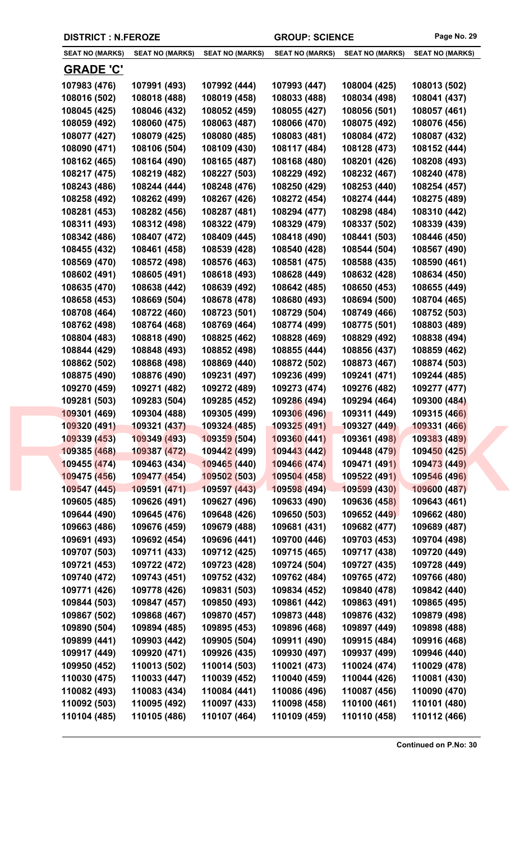|  | <b>DISTRICT : N.FEROZE</b> |
|--|----------------------------|
|--|----------------------------|

| <b>SEAT NO (MARKS)</b> | <b>SEAT NO (MARKS)</b> | <b>SEAT NO (MARKS)</b> | <b>SEAT NO (MARKS)</b> | <b>SEAT NO (MARKS)</b>     | <b>SEAT NO (MARKS)</b>       |
|------------------------|------------------------|------------------------|------------------------|----------------------------|------------------------------|
| <b>GRADE 'C'</b>       |                        |                        |                        |                            |                              |
| 107983 (476)           | 107991 (493)           | 107992 (444)           | 107993 (447)           | 108004 (425)               | 108013 (502)                 |
| 108016 (502)           | 108018 (488)           | 108019 (458)           | 108033 (488)           | 108034 (498)               | 108041 (437)                 |
| 108045 (425)           | 108046 (432)           | 108052 (459)           | 108055 (427)           | 108056 (501)               | 108057 (461)                 |
| 108059 (492)           | 108060 (475)           | 108063 (487)           | 108066 (470)           | 108075 (492)               | 108076 (456)                 |
| 108077 (427)           | 108079 (425)           | 108080 (485)           | 108083 (481)           | 108084 (472)               | 108087 (432)                 |
| 108090 (471)           | 108106 (504)           | 108109 (430)           | 108117 (484)           | 108128 (473)               | 108152 (444)                 |
| 108162 (465)           | 108164 (490)           | 108165 (487)           | 108168 (480)           | 108201 (426)               | 108208 (493)                 |
| 108217 (475)           | 108219 (482)           | 108227 (503)           | 108229 (492)           | 108232 (467)               | 108240 (478)                 |
| 108243 (486)           | 108244 (444)           | 108248 (476)           | 108250 (429)           | 108253 (440)               | 108254 (457)                 |
| 108258 (492)           | 108262 (499)           | 108267 (426)           | 108272 (454)           | 108274 (444)               | 108275 (489)                 |
| 108281 (453)           | 108282 (456)           | 108287 (481)           | 108294 (477)           | 108298 (484)               | 108310 (442)                 |
| 108311 (493)           | 108312 (498)           | 108322 (479)           | 108329 (479)           | 108337 (502)               | 108339 (439)                 |
| 108342 (486)           | 108407 (472)           | 108409 (445)           | 108418 (490)           | 108441 (503)               | 108446 (450)                 |
| 108455 (432)           | 108461 (458)           | 108539 (428)           | 108540 (428)           | 108544 (504)               | 108567 (490)                 |
| 108569 (470)           | 108572 (498)           | 108576 (463)           | 108581 (475)           | 108588 (435)               | 108590 (461)                 |
| 108602 (491)           |                        |                        |                        |                            |                              |
|                        | 108605 (491)           | 108618 (493)           | 108628 (449)           | 108632 (428)               | 108634 (450)<br>108655 (449) |
| 108635 (470)           | 108638 (442)           | 108639 (492)           | 108642 (485)           | 108650 (453)               |                              |
| 108658 (453)           | 108669 (504)           | 108678 (478)           | 108680 (493)           | 108694 (500)               | 108704 (465)                 |
| 108708 (464)           | 108722 (460)           | 108723 (501)           | 108729 (504)           | 108749 (466)               | 108752 (503)                 |
| 108762 (498)           | 108764 (468)           | 108769 (464)           | 108774 (499)           | 108775 (501)               | 108803 (489)                 |
| 108804 (483)           | 108818 (490)           | 108825 (462)           | 108828 (469)           | 108829 (492)               | 108838 (494)                 |
| 108844 (429)           | 108848 (493)           | 108852 (498)           | 108855 (444)           | 108856 (437)               | 108859 (462)                 |
| 108862 (502)           | 108868 (498)           | 108869 (440)           | 108872 (502)           | 108873 (467)               | 108874 (503)                 |
| 108875 (490)           | 108876 (490)           | 109231 (497)           | 109236 (499)           | 109241 (471)               | 109244 (485)                 |
| 109270 (459)           | 109271 (482)           | 109272 (489)           | 109273 (474)           | 109276 (482)               | 109277 (477)                 |
| 109281 (503)           | 109283 (504)           | 109285 (452)           | 109286 (494)           | 109294 (464)               | 109300 (484)                 |
| 109301 (469)           | 109304 (488)           | 109305 (499)           | 109306 (496)           | 109311 (449)               | 109315 (466)                 |
| <u> 109</u> 320 (491)  | 109321 (437)           | 109324 (485)           | <u> 109325 (491)</u>   | 109327 (44 <mark>9)</mark> | <u> 109331 (466)</u>         |
| 109339 (453)           | 109349 (493)           | 109359 (504)           | 109360(441)            | 109361 (498)               | 109383 (489)                 |
| 109385 (468)           | 109387 (472)           | 109442 (499)           | 109443 (442)           | 109448 (479)               | 109450 (425)                 |
| 109455 (474)           | 109463 (434)           | 109465 (440)           | 109466 (474)           | 109471 (491)               | 109473 (449)                 |
| 109475 (456)           | 109477 (454)           | 109502 (503)           | 109504 (458)           | 109522 (491)               | 109546 (496)                 |
| 109547 (445)           | 109591 (471)           | 109597 (443)           | 109598 (494)           | 109599 (430)               | 109600 (487)                 |
| 109605 (485)           | 109626 (491)           | 109627 (496)           | 109633 (490)           | 109636 (458)               | 109643 (461)                 |
| 109644 (490)           | 109645 (476)           | 109648 (426)           | 109650 (503)           | 109652 (449)               | 109662 (480)                 |
| 109663 (486)           | 109676 (459)           | 109679 (488)           | 109681 (431)           | 109682 (477)               | 109689 (487)                 |
| 109691 (493)           | 109692 (454)           | 109696 (441)           | 109700 (446)           | 109703 (453)               | 109704 (498)                 |
| 109707 (503)           | 109711 (433)           | 109712 (425)           | 109715 (465)           | 109717 (438)               | 109720 (449)                 |
| 109721 (453)           | 109722 (472)           | 109723 (428)           | 109724 (504)           | 109727 (435)               | 109728 (449)                 |
| 109740 (472)           | 109743 (451)           | 109752 (432)           | 109762 (484)           | 109765 (472)               | 109766 (480)                 |
| 109771 (426)           | 109778 (426)           | 109831 (503)           | 109834 (452)           | 109840 (478)               | 109842 (440)                 |
| 109844 (503)           | 109847 (457)           | 109850 (493)           | 109861 (442)           | 109863 (491)               | 109865 (495)                 |
| 109867 (502)           | 109868 (467)           | 109870 (457)           | 109873 (448)           | 109876 (432)               | 109879 (498)                 |
| 109890 (504)           | 109894 (485)           | 109895 (453)           | 109896 (468)           | 109897 (449)               | 109898 (488)                 |
| 109899 (441)           | 109903 (442)           | 109905 (504)           | 109911 (490)           | 109915 (484)               | 109916 (468)                 |
| 109917 (449)           | 109920 (471)           | 109926 (435)           | 109930 (497)           | 109937 (499)               | 109946 (440)                 |
| 109950 (452)           | 110013 (502)           | 110014 (503)           | 110021 (473)           | 110024 (474)               | 110029 (478)                 |
| 110030 (475)           | 110033 (447)           | 110039 (452)           | 110040 (459)           | 110044 (426)               | 110081 (430)                 |
| 110082 (493)           | 110083 (434)           | 110084 (441)           | 110086 (496)           | 110087 (456)               | 110090 (470)                 |
| 110092 (503)           | 110095 (492)           | 110097 (433)           | 110098 (458)           | 110100 (461)               | 110101 (480)                 |
| 110104 (485)           | 110105 (486)           | 110107 (464)           | 110109 (459)           | 110110 (458)               | 110112 (466)                 |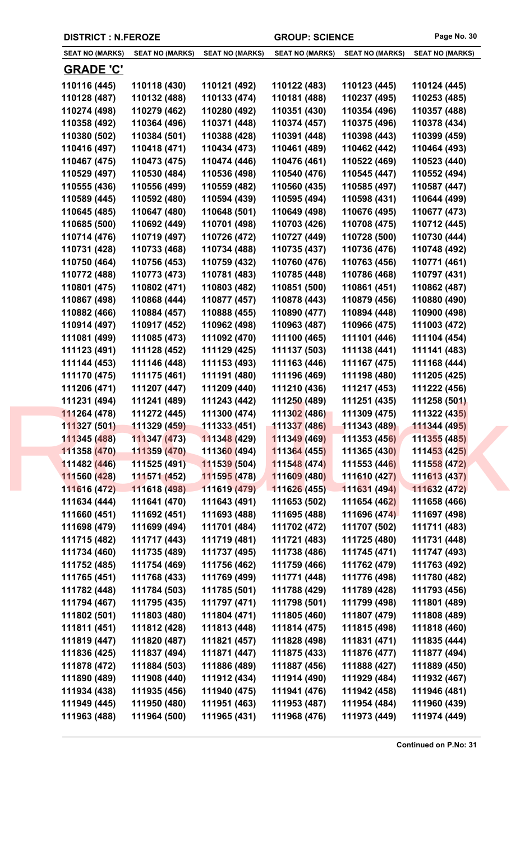|                        | <b>DISTRICT : N.FEROZE</b> |                        |                        | <b>GROUP: SCIENCE</b>  |                        |  |
|------------------------|----------------------------|------------------------|------------------------|------------------------|------------------------|--|
| <b>SEAT NO (MARKS)</b> | <b>SEAT NO (MARKS)</b>     | <b>SEAT NO (MARKS)</b> | <b>SEAT NO (MARKS)</b> | <b>SEAT NO (MARKS)</b> | <b>SEAT NO (MARKS)</b> |  |
| <b>GRADE 'C'</b>       |                            |                        |                        |                        |                        |  |
| 110116 (445)           | 110118 (430)               | 110121 (492)           | 110122 (483)           | 110123 (445)           | 110124 (445)           |  |
| 110128 (487)           | 110132 (488)               | 110133 (474)           | 110181 (488)           | 110237 (495)           | 110253 (485)           |  |
| 110274 (498)           | 110279 (462)               | 110280 (492)           | 110351 (430)           | 110354 (496)           | 110357 (488)           |  |
| 110358 (492)           | 110364 (496)               | 110371 (448)           | 110374 (457)           | 110375 (496)           | 110378 (434)           |  |
| 110380 (502)           | 110384 (501)               | 110388 (428)           | 110391 (448)           | 110398 (443)           | 110399 (459)           |  |
| 110416 (497)           | 110418 (471)               | 110434 (473)           | 110461 (489)           | 110462 (442)           | 110464 (493)           |  |
| 110467 (475)           | 110473 (475)               | 110474 (446)           | 110476 (461)           | 110522 (469)           | 110523 (440)           |  |
| 110529 (497)           | 110530 (484)               | 110536 (498)           | 110540 (476)           | 110545 (447)           | 110552 (494)           |  |
| 110555 (436)           | 110556 (499)               | 110559 (482)           | 110560 (435)           | 110585 (497)           | 110587 (447)           |  |
| 110589 (445)           | 110592 (480)               | 110594 (439)           | 110595 (494)           | 110598 (431)           | 110644 (499)           |  |
| 110645 (485)           | 110647 (480)               | 110648 (501)           | 110649 (498)           | 110676 (495)           | 110677 (473)           |  |
| 110685 (500)           | 110692 (449)               | 110701 (498)           | 110703 (426)           | 110708 (475)           | 110712 (445)           |  |
| 110714 (476)           | 110719 (497)               | 110726 (472)           | 110727 (449)           | 110728 (500)           | 110730 (444)           |  |
| 110731 (428)           | 110733 (468)               | 110734 (488)           | 110735 (437)           | 110736 (476)           | 110748 (492)           |  |
| 110750 (464)           | 110756 (453)               | 110759 (432)           | 110760 (476)           | 110763 (456)           | 110771 (461)           |  |
| 110772 (488)           | 110773 (473)               | 110781 (483)           | 110785 (448)           | 110786 (468)           | 110797 (431)           |  |
| 110801 (475)           | 110802 (471)               | 110803 (482)           | 110851 (500)           | 110861 (451)           | 110862 (487)           |  |
| 110867 (498)           | 110868 (444)               | 110877 (457)           | 110878 (443)           | 110879 (456)           | 110880 (490)           |  |
| 110882 (466)           | 110884 (457)               | 110888 (455)           | 110890 (477)           | 110894 (448)           | 110900 (498)           |  |
| 110914 (497)           | 110917 (452)               | 110962 (498)           | 110963 (487)           | 110966 (475)           | 111003 (472)           |  |
| 111081 (499)           | 111085 (473)               | 111092 (470)           | 111100 (465)           | 111101 (446)           | 111104 (454)           |  |
| 111123 (491)           | 111128 (452)               | 111129 (425)           | 111137 (503)           | 111138 (441)           | 111141 (483)           |  |
| 111144 (453)           | 111146 (448)               | 111153 (493)           | 111163 (446)           | 111167 (475)           | 111168 (444)           |  |
| 111170 (475)           | 111175 (461)               | 111191 (480)           | 111196 (469)           | 111198 (480)           | 111205 (425)           |  |
| 111206 (471)           | 111207 (447)               | 111209 (440)           | 111210 (436)           | 111217 (453)           | 111222 (456)           |  |
| 111231 (494)           | 111241 (489)               | 111243 (442)           | 111250 (489)           | 111251 (435)           | 111258 (501)           |  |
| 111264 (478)           | 111272 (445)               | 111300 (474)           | 111302 (486)           | 111309 (475)           | 111322 (435)           |  |
| 111327 (501)           | 111329 (459)               | 111333 (451)           | 111337 (486)           | 111343 (489)           | 111344 (495)           |  |
| 111345 (488)           | 111347 (473)               | 111348 (429)           | 111349 (469)           | 111353 (456)           | 111355 (485)           |  |
| 111358 (470)           | 111359 (470)               | 111360 (494)           | 111364 (455)           | 111365 (430)           | 111453 (425)           |  |
| 111482 (446)           | 111525 (491)               | 111539 (504)           | 111548 (474)           | 111553 (446)           | 111558 (472)           |  |
| 111560 (428)           | 111571 (452)               | 111595 (478)           | 111609 (480)           | 111610 (427)           | 111613 (437)           |  |
| 111616 (472)           | 111618 (498)               | 111619 (479)           | 111626 (455)           | 111631 (494)           | 111632 (472)           |  |
| 111634 (444)           | 111641 (470)               | 111643 (491)           | 111653 (502)           | 111654 (462)           | 111658 (466)           |  |
| 111660 (451)           | 111692 (451)               | 111693 (488)           | 111695 (488)           | 111696 (474)           | 111697 (498)           |  |
| 111698 (479)           | 111699 (494)               | 111701 (484)           | 111702 (472)           | 111707 (502)           | 111711 (483)           |  |
| 111715 (482)           | 111717 (443)               | 111719 (481)           | 111721 (483)           | 111725 (480)           | 111731 (448)           |  |
| 111734 (460)           | 111735 (489)               | 111737 (495)           | 111738 (486)           | 111745 (471)           | 111747 (493)           |  |
| 111752 (485)           | 111754 (469)               | 111756 (462)           | 111759 (466)           | 111762 (479)           | 111763 (492)           |  |
| 111765 (451)           | 111768 (433)               | 111769 (499)           | 111771 (448)           | 111776 (498)           | 111780 (482)           |  |
| 111782 (448)           | 111784 (503)               | 111785 (501)           | 111788 (429)           | 111789 (428)           | 111793 (456)           |  |
| 111794 (467)           | 111795 (435)               | 111797 (471)           | 111798 (501)           | 111799 (498)           | 111801 (489)           |  |
| 111802 (501)           | 111803 (480)               | 111804 (471)           | 111805 (460)           | 111807 (479)           | 111808 (489)           |  |
| 111811 (451)           | 111812 (428)               | 111813 (448)           | 111814 (475)           | 111815 (498)           | 111818 (460)           |  |
| 111819 (447)           | 111820 (487)               | 111821 (457)           | 111828 (498)           | 111831 (471)           | 111835 (444)           |  |
| 111836 (425)           | 111837 (494)               | 111871 (447)           | 111875 (433)           | 111876 (477)           | 111877 (494)           |  |
| 111878 (472)           | 111884 (503)               | 111886 (489)           | 111887 (456)           | 111888 (427)           | 111889 (450)           |  |
| 111890 (489)           | 111908 (440)               | 111912 (434)           | 111914 (490)           | 111929 (484)           | 111932 (467)           |  |
| 111934 (438)           | 111935 (456)               | 111940 (475)           | 111941 (476)           | 111942 (458)           | 111946 (481)           |  |
| 111949 (445)           | 111950 (480)               | 111951 (463)           | 111953 (487)           | 111954 (484)           | 111960 (439)           |  |

**111963 (488) 111964 (500) 111965 (431) 111968 (476) 111973 (449) 111974 (449)**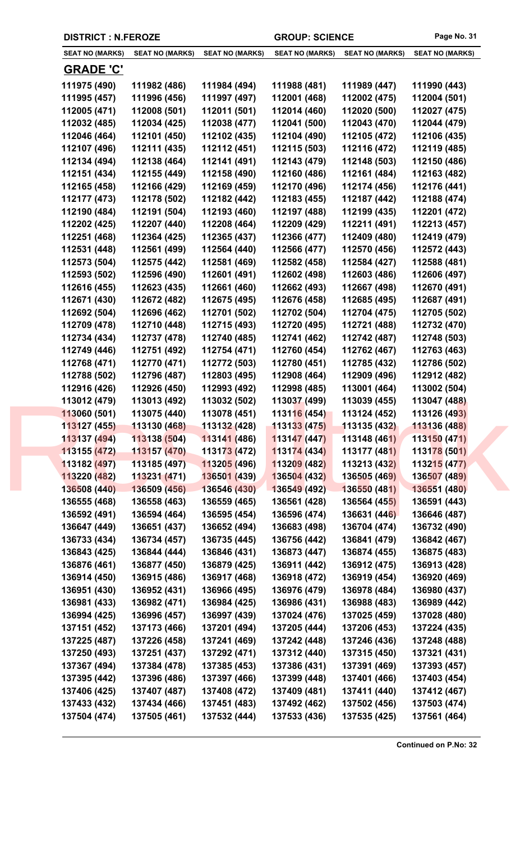| <b>DISTRICT : N.FEROZE</b> |                        |                        | <b>GROUP: SCIENCE</b>  | Page No. 31            |                        |
|----------------------------|------------------------|------------------------|------------------------|------------------------|------------------------|
| <b>SEAT NO (MARKS)</b>     | <b>SEAT NO (MARKS)</b> | <b>SEAT NO (MARKS)</b> | <b>SEAT NO (MARKS)</b> | <b>SEAT NO (MARKS)</b> | <b>SEAT NO (MARKS)</b> |
| <b>GRADE 'C'</b>           |                        |                        |                        |                        |                        |
| 111975 (490)               | 111982 (486)           | 111984 (494)           | 111988 (481)           | 111989 (447)           | 111990 (443)           |
| 111995 (457)               | 111996 (456)           | 111997 (497)           | 112001 (468)           | 112002 (475)           | 112004 (501)           |
| 112005 (471)               | 112008 (501)           | 112011 (501)           | 112014 (460)           | 112020 (500)           | 112027 (475)           |
| 112032 (485)               | 112034 (425)           | 112038 (477)           | 112041 (500)           | 112043 (470)           | 112044 (479)           |
| 112046 (464)               | 112101 (450)           | 112102 (435)           | 112104 (490)           | 112105 (472)           | 112106 (435)           |
| 112107 (496)               | 112111 (435)           | 112112 (451)           | 112115 (503)           | 112116 (472)           | 112119 (485)           |
| 112134 (494)               | 112138 (464)           | 112141 (491)           | 112143 (479)           | 112148 (503)           | 112150 (486)           |
| 112151 (434)               | 112155 (449)           | 112158 (490)           | 112160 (486)           | 112161 (484)           | 112163 (482)           |
| 112165 (458)               | 112166 (429)           | 112169 (459)           | 112170 (496)           | 112174 (456)           | 112176 (441)           |
| 112177 (473)               | 112178 (502)           | 112182 (442)           | 112183 (455)           | 112187 (442)           | 112188 (474)           |
| 112190 (484)               | 112191 (504)           | 112193 (460)           | 112197 (488)           | 112199 (435)           | 112201 (472)           |
| 112202 (425)               | 112207 (440)           | 112208 (464)           | 112209 (429)           | 112211 (491)           | 112213 (457)           |
| 112251 (468)               | 112364 (425)           | 112365 (437)           | 112366 (477)           | 112409 (480)           | 112419 (479)           |
| 112531 (448)               | 112561 (499)           | 112564 (440)           | 112566 (477)           | 112570 (456)           | 112572 (443)           |
| 112573 (504)               | 112575 (442)           | 112581 (469)           | 112582 (458)           | 112584 (427)           | 112588 (481)           |
| 112593 (502)               | 112596 (490)           | 112601 (491)           | 112602 (498)           | 112603 (486)           | 112606 (497)           |
| 112616 (455)               | 112623 (435)           | 112661 (460)           | 112662 (493)           | 112667 (498)           | 112670 (491)           |
| 449074 <i>1</i> 490\       | 440C70 <i>(</i> 400)   | 449075 (405)           | 449676 (420)           | 44960E (40E)           | 449607 (404)           |

**112046 (464) 112101 (450) 112102 (435) 112104 (490) 112105 (472) 112106 (435) 112107 (496) 112111 (435) 112112 (451) 112115 (503) 112116 (472) 112119 (485) 112134 (494) 112138 (464) 112141 (491) 112143 (479) 112148 (503) 112150 (486) 112151 (434) 112155 (449) 112158 (490) 112160 (486) 112161 (484) 112163 (482) 112165 (458) 112166 (429) 112169 (459) 112170 (496) 112174 (456) 112176 (441) 112177 (473) 112178 (502) 112182 (442) 112183 (455) 112187 (442) 112188 (474) 112190 (484) 112191 (504) 112193 (460) 112197 (488) 112199 (435) 112201 (472) 112202 (425) 112207 (440) 112208 (464) 112209 (429) 112211 (491) 112213 (457) 112251 (468) 112364 (425) 112365 (437) 112366 (477) 112409 (480) 112419 (479) 112531 (448) 112561 (499) 112564 (440) 112566 (477) 112570 (456) 112572 (443) 112573 (504) 112575 (442) 112581 (469) 112582 (458) 112584 (427) 112588 (481) 112593 (502) 112596 (490) 112601 (491) 112602 (498) 112603 (486) 112606 (497) 112616 (455) 112623 (435) 112661 (460) 112662 (493) 112667 (498) 112670 (491) 112671 (430) 112672 (482) 112675 (495) 112676 (458) 112685 (495) 112687 (491) 112692 (504) 112696 (462) 112701 (502) 112702 (504) 112704 (475) 112705 (502) 112709 (478) 112710 (448) 112715 (493) 112720 (495) 112721 (488) 112732 (470) 112734 (434) 112737 (478) 112740 (485) 112741 (462) 112742 (487) 112748 (503) 112749 (446) 112751 (492) 112754 (471) 112760 (454) 112762 (467) 112763 (463) 112768 (471) 112770 (471) 112772 (503) 112780 (451) 112785 (432) 112786 (502) 112788 (502) 112796 (487) 112803 (495) 112908 (464) 112909 (496) 112912 (482) 112916 (426) 112926 (450) 112993 (492) 112998 (485) 113001 (464) 113002 (504) 113012 (479) 113013 (492) 113032 (502) 113037 (499) 113039 (455) 113047 (488) 113060 (501) 113075 (440) 113078 (451) 113116 (454) 113124 (452) 113126 (493) 113127 (455) 113130 (468) 113132 (428) 113133 (475) 113135 (432) 113136 (488) 113137 (494) 113138 (504) 113141 (486) 113147 (447) 113148 (461) 113150 (471) 113155 (472) 113157 (470) 113173 (472) 113174 (434) 113177 (481) 113178 (501) 113182 (497) 113185 (497) 113205 (496) 113209 (482) 113213 (432) 113215 (477) 113220 (482) 113231 (471) 136501 (439) 136504 (432) 136505 (469) 136507 (489) 136508 (440) 136509 (456) 136546 (430) 136549 (492) 136550 (481) 136551 (480) 136555 (468) 136558 (463) 136559 (465) 136561 (428) 136564 (455) 136591 (443) 136592 (491) 136594 (464) 136595 (454) 136596 (474) 136631 (446) 136646 (487) 136647 (449) 136651 (437) 136652 (494) 136683 (498) 136704 (474) 136732 (490) 136733 (434) 136734 (457) 136735 (445) 136756 (442) 136841 (479) 136842 (467) 136843 (425) 136844 (444) 136846 (431) 136873 (447) 136874 (455) 136875 (483) 136876 (461) 136877 (450) 136879 (425) 136911 (442) 136912 (475) 136913 (428) 136914 (450) 136915 (486) 136917 (468) 136918 (472) 136919 (454) 136920 (469) 136951 (430) 136952 (431) 136966 (495) 136976 (479) 136978 (484) 136980 (437) 136981 (433) 136982 (471) 136984 (425) 136986 (431) 136988 (483) 136989 (442) 136994 (425) 136996 (457) 136997 (439) 137024 (476) 137025 (459) 137028 (480) 137151 (452) 137173 (466) 137201 (494) 137205 (444) 137206 (453) 137224 (435) 137225 (487) 137226 (458) 137241 (469) 137242 (448) 137246 (436) 137248 (488) 137250 (493) 137251 (437) 137292 (471) 137312 (440) 137315 (450) 137321 (431) 137367 (494) 137384 (478) 137385 (453) 137386 (431) 137391 (469) 137393 (457) 137395 (442) 137396 (486) 137397 (466) 137399 (448) 137401 (466) 137403 (454) 137406 (425) 137407 (487) 137408 (472) 137409 (481) 137411 (440) 137412 (467) 137433 (432) 137434 (466) 137451 (483) 137492 (462) 137502 (456) 137503 (474) 137504 (474) 137505 (461) 137532 (444) 137533 (436) 137535 (425) 137561 (464)**  $113012 (479) 113013 (492) 113032 (502) 113037 (499) 113039 (455) 113047 (488) 113060 (501) 113075 (440) 113078 (451) 113116 (454) 113124 (452) 113126 (493) 113127 (455) 113130 (468) 113122 (428) 113133 (475) 113135 (432) 113136 (488) 1131$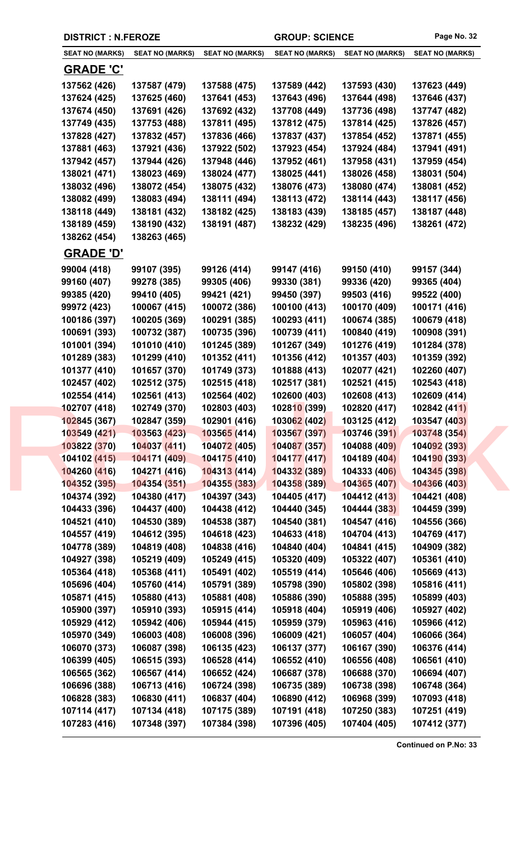|  | <b>DISTRICT : N.FEROZE</b>   |                              |                              | <b>GROUP: SCIENCE</b>                      |                              | Page No. 32                  |
|--|------------------------------|------------------------------|------------------------------|--------------------------------------------|------------------------------|------------------------------|
|  | <b>SEAT NO (MARKS)</b>       | <b>SEAT NO (MARKS)</b>       | <b>SEAT NO (MARKS)</b>       | <b>SEAT NO (MARKS)</b>                     | <b>SEAT NO (MARKS)</b>       | <b>SEAT NO (MARKS)</b>       |
|  | <b>GRADE 'C'</b>             |                              |                              |                                            |                              |                              |
|  | 137562 (426)                 | 137587 (479)                 | 137588 (475)                 | 137589 (442)                               | 137593 (430)                 | 137623 (449)                 |
|  | 137624 (425)                 | 137625 (460)                 | 137641 (453)                 | 137643 (496)                               | 137644 (498)                 | 137646 (437)                 |
|  | 137674 (450)                 | 137691 (426)                 | 137692 (432)                 | 137708 (449)                               | 137736 (498)                 | 137747 (482)                 |
|  | 137749 (435)                 | 137753 (488)                 | 137811 (495)                 | 137812 (475)                               | 137814 (425)                 | 137826 (457)                 |
|  | 137828 (427)                 | 137832 (457)                 | 137836 (466)                 | 137837 (437)                               | 137854 (452)                 | 137871 (455)                 |
|  | 137881 (463)                 | 137921 (436)                 | 137922 (502)                 | 137923 (454)                               | 137924 (484)                 | 137941 (491)                 |
|  | 137942 (457)                 | 137944 (426)                 | 137948 (446)                 | 137952 (461)                               | 137958 (431)                 | 137959 (454)                 |
|  | 138021 (471)                 | 138023 (469)                 | 138024 (477)                 | 138025 (441)                               | 138026 (458)                 | 138031 (504)                 |
|  | 138032 (496)                 | 138072 (454)                 | 138075 (432)                 | 138076 (473)                               | 138080 (474)                 | 138081 (452)                 |
|  | 138082 (499)                 | 138083 (494)                 | 138111 (494)                 | 138113 (472)                               | 138114 (443)                 | 138117 (456)                 |
|  | 138118 (449)                 | 138181 (432)                 | 138182 (425)                 | 138183 (439)                               | 138185 (457)                 | 138187 (448)                 |
|  | 138189 (459)                 | 138190 (432)                 | 138191 (487)                 | 138232 (429)                               | 138235 (496)                 | 138261 (472)                 |
|  | 138262 (454)                 | 138263 (465)                 |                              |                                            |                              |                              |
|  | <b>GRADE 'D'</b>             |                              |                              |                                            |                              |                              |
|  | 99004 (418)                  | 99107 (395)                  | 99126 (414)                  | 99147 (416)                                | 99150 (410)                  | 99157 (344)                  |
|  | 99160 (407)                  | 99278 (385)                  | 99305 (406)                  | 99330 (381)                                | 99336 (420)                  | 99365 (404)                  |
|  | 99385 (420)                  | 99410 (405)                  | 99421 (421)                  | 99450 (397)                                | 99503 (416)                  | 99522 (400)                  |
|  | 99972 (423)                  | 100067 (415)                 | 100072 (386)                 | 100100 (413)                               | 100170 (409)                 | 100171 (416)                 |
|  | 100186 (397)                 | 100205 (369)                 | 100291 (385)                 | 100293 (411)                               | 100674 (385)                 | 100679 (418)                 |
|  | 100691 (393)                 | 100732 (387)                 | 100735 (396)                 | 100739 (411)                               | 100840 (419)                 | 100908 (391)                 |
|  | 101001 (394)                 | 101010 (410)                 | 101245 (389)                 | 101267 (349)                               | 101276 (419)                 | 101284 (378)                 |
|  | 101289 (383)                 | 101299 (410)                 | 101352 (411)                 | 101356 (412)                               | 101357 (403)                 | 101359 (392)                 |
|  | 101377 (410)                 | 101657 (370)                 | 101749 (373)                 | 101888 (413)                               | 102077 (421)                 | 102260 (407)                 |
|  | 102457 (402)                 | 102512 (375)                 | 102515 (418)                 | 102517 (381)                               | 102521 (415)                 | 102543 (418)                 |
|  | 102554 (414)                 | 102561 (413)                 | 102564 (402)                 | 102600 (403)                               | 102608 (413)                 | 102609 (414)<br>102842 (411) |
|  | 102707 (418)<br>102845 (367) | 102749 (370)<br>102847 (359) | 102803 (403)<br>102901 (416) | 1028 <mark>10</mark> (399)<br>103062 (402) | 102820 (417)<br>103125 (412) | 103547 (403)                 |
|  | 103549 (421)                 | 103563 (423)                 | 103565(414)                  | 103567 (397)                               | 103746 (391)                 | 103748 (354)                 |
|  | 103822 (370)                 | 104037 (411)                 | 104072 (405)                 | 104087 (357)                               | 104088 (409)                 | 104092 (393)                 |
|  | 104102 (415)                 | 104171 (409)                 | 104175 (410)                 | 104177 (417)                               | 104189 (404)                 | 104190 (393)                 |
|  | 104260 (416)                 | 104271 (416)                 | 104313 (414)                 | 104332 (389)                               | 104333 (406)                 | 104345 (398)                 |
|  | 104352 (395)                 | 104354 (351)                 | 104355 (383)                 | 104358 (389)                               | 104365 (407)                 | 104366 (403)                 |
|  | 104374 (392)                 | 104380 (417)                 | 104397 (343)                 | 104405 (417)                               | 104412 (413)                 | 104421 (408)                 |
|  | 104433 (396)                 | 104437 (400)                 | 104438 (412)                 | 104440 (345)                               | 104444 (383)                 | 104459 (399)                 |
|  | 104521 (410)                 | 104530 (389)                 | 104538 (387)                 | 104540 (381)                               | 104547 (416)                 | 104556 (366)                 |
|  | 104557 (419)                 | 104612 (395)                 | 104618 (423)                 | 104633 (418)                               | 104704 (413)                 | 104769 (417)                 |
|  | 104778 (389)                 | 104819 (408)                 | 104838 (416)                 | 104840 (404)                               | 104841 (415)                 | 104909 (382)                 |
|  | 104927 (398)                 | 105219 (409)                 | 105249 (415)                 | 105320 (409)                               | 105322 (407)                 | 105361 (410)                 |
|  | 105364 (418)                 | 105368 (411)                 | 105491 (402)                 | 105519 (414)                               | 105646 (406)                 | 105669 (413)                 |
|  | 105696 (404)                 | 105760 (414)                 | 105791 (389)                 | 105798 (390)                               | 105802 (398)                 | 105816 (411)                 |
|  | 105871 (415)                 | 105880 (413)                 | 105881 (408)                 | 105886 (390)                               | 105888 (395)                 | 105899 (403)                 |
|  | 105900 (397)                 | 105910 (393)                 | 105915 (414)                 | 105918 (404)                               | 105919 (406)                 | 105927 (402)                 |
|  | 105929 (412)                 | 105942 (406)                 | 105944 (415)                 | 105959 (379)                               | 105963 (416)                 | 105966 (412)                 |
|  | 105970 (349)                 | 106003 (408)                 | 106008 (396)                 | 106009 (421)                               | 106057 (404)                 | 106066 (364)                 |
|  | 106070 (373)                 | 106087 (398)                 | 106135 (423)                 | 106137 (377)                               | 106167 (390)                 | 106376 (414)                 |
|  | 106399 (405)                 | 106515 (393)                 | 106528 (414)                 | 106552 (410)                               | 106556 (408)                 | 106561 (410)                 |
|  | 106565 (362)                 | 106567 (414)                 | 106652 (424)                 | 106687 (378)                               | 106688 (370)                 | 106694 (407)                 |
|  | 106696 (388)                 | 106713 (416)                 | 106724 (398)                 | 106735 (389)                               | 106738 (398)                 | 106748 (364)                 |
|  | 106828 (383)                 | 106830 (411)                 | 106837 (404)                 | 106890 (412)                               | 106968 (399)                 | 107093 (418)                 |
|  | 107114 (417)                 | 107134 (418)                 | 107175 (389)                 | 107191 (418)                               | 107250 (383)                 | 107251 (419)                 |
|  | 107283 (416)                 | 107348 (397)                 | 107384 (398)                 | 107396 (405)                               | 107404 (405)                 | 107412 (377)                 |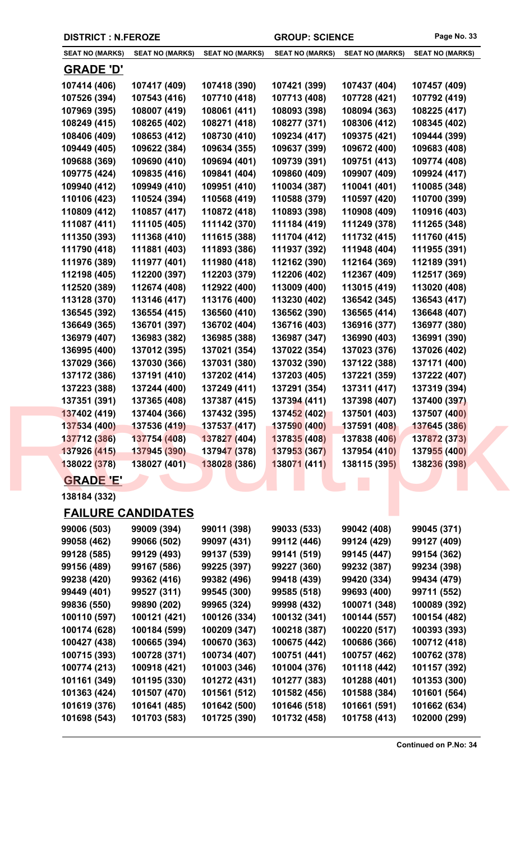| <b>DISTRICT : N.FEROZE</b> |                           | <b>GROUP: SCIENCE</b>  |                        | Page No. 33            |                        |
|----------------------------|---------------------------|------------------------|------------------------|------------------------|------------------------|
| <b>SEAT NO (MARKS)</b>     | <b>SEAT NO (MARKS)</b>    | <b>SEAT NO (MARKS)</b> | <b>SEAT NO (MARKS)</b> | <b>SEAT NO (MARKS)</b> | <b>SEAT NO (MARKS)</b> |
| <u>GRADE 'D'</u>           |                           |                        |                        |                        |                        |
| 107414 (406)               | 107417 (409)              | 107418 (390)           | 107421 (399)           | 107437 (404)           | 107457 (409)           |
| 107526 (394)               | 107543 (416)              | 107710 (418)           | 107713 (408)           | 107728 (421)           | 107792 (419)           |
| 107969 (395)               | 108007 (419)              | 108061 (411)           | 108093 (398)           | 108094 (363)           | 108225 (417)           |
| 108249 (415)               | 108265 (402)              | 108271 (418)           | 108277 (371)           | 108306 (412)           | 108345 (402)           |
| 108406 (409)               | 108653 (412)              | 108730 (410)           | 109234 (417)           | 109375 (421)           | 109444 (399)           |
| 109449 (405)               | 109622 (384)              | 109634 (355)           | 109637 (399)           | 109672 (400)           | 109683 (408)           |
| 109688 (369)               | 109690 (410)              | 109694 (401)           | 109739 (391)           | 109751 (413)           | 109774 (408)           |
| 109775 (424)               | 109835 (416)              | 109841 (404)           | 109860 (409)           | 109907 (409)           | 109924 (417)           |
| 109940 (412)               | 109949 (410)              | 109951 (410)           | 110034 (387)           | 110041 (401)           | 110085 (348)           |
| 110106 (423)               | 110524 (394)              | 110568 (419)           | 110588 (379)           | 110597 (420)           | 110700 (399)           |
| 110809 (412)               | 110857 (417)              | 110872 (418)           | 110893 (398)           | 110908 (409)           | 110916 (403)           |
| 111087 (411)               | 111105 (405)              | 111142 (370)           | 111184 (419)           | 111249 (378)           | 111265 (348)           |
| 111350 (393)               | 111368 (410)              | 111615 (388)           | 111704 (412)           | 111732 (415)           | 111760 (415)           |
| 111790 (418)               | 111881 (403)              | 111893 (386)           | 111937 (392)           | 111948 (404)           | 111955 (391)           |
| 111976 (389)               | 111977 (401)              | 111980 (418)           | 112162 (390)           | 112164 (369)           | 112189 (391)           |
| 112198 (405)               | 112200 (397)              | 112203 (379)           | 112206 (402)           | 112367 (409)           | 112517 (369)           |
| 112520 (389)               | 112674 (408)              | 112922 (400)           | 113009 (400)           | 113015 (419)           | 113020 (408)           |
| 113128 (370)               | 113146 (417)              | 113176 (400)           | 113230 (402)           | 136542 (345)           | 136543 (417)           |
| 136545 (392)               | 136554 (415)              | 136560 (410)           | 136562 (390)           | 136565 (414)           | 136648 (407)           |
| 136649 (365)               | 136701 (397)              | 136702 (404)           | 136716 (403)           | 136916 (377)           | 136977 (380)           |
| 136979 (407)               | 136983 (382)              | 136985 (388)           | 136987 (347)           | 136990 (403)           | 136991 (390)           |
| 136995 (400)               | 137012 (395)              | 137021 (354)           | 137022 (354)           | 137023 (376)           | 137026 (402)           |
| 137029 (366)               | 137030 (366)              | 137031 (380)           | 137032 (390)           | 137122 (388)           | 137171 (400)           |
| 137172 (386)               | 137191 (410)              | 137202 (414)           | 137203 (405)           | 137221 (359)           | 137222 (407)           |
| 137223 (388)               | 137244 (400)              | 137249 (411)           | 137291 (354)           | 137311 (417)           | 137319 (394)           |
| 137351 (391)               | 137365 (408)              | 137387 (415)           | 137394 (411)           | 137398 (407)           | 137400 (397)           |
| 137402 (419)               | 137404 (366)              | 137432 (395)           | 137452 (402)           | 137501 (403)           | 137507 (400)           |
| 137534 (400)               | 137536 (419)              | 137537 (417)           | 137590 (400)           | 137591 (408)           | 137645 (386)           |
| 137712 (386)               | 137754 (408)              | 137827 (404)           | 137835 (408)           | 137838 (406)           | 137872 (373)           |
| 137926 (415)               | 137945 (390)              | 137947 (378)           | 137953 (367)           | 137954 (410)           | 137955 (400)           |
| 138022 (378)               | 138027 (401)              | 138028 (386)           | 138071 (411)           | 138115 (395)           | 138236 (398)           |
| <b>GRADE 'E'</b>           |                           |                        |                        |                        |                        |
| 138184 (332)               |                           |                        |                        |                        |                        |
|                            | <b>FAILURE CANDIDATES</b> |                        |                        |                        |                        |
| 99006 (503)                | 99009 (394)               | 99011 (398)            | 99033 (533)            | 99042 (408)            | 99045 (371)            |
| 99058 (462)                | 99066 (502)               | 99097 (431)            | 99112 (446)            | 99124 (429)            | 99127 (409)            |
| 99128 (585)                | 99129 (493)               | 99137 (539)            | 99141 (519)            | 99145 (447)            | 99154 (362)            |
| 99156 (489)                | 99167 (586)               | 99225 (397)            | 99227 (360)            | 99232 (387)            | 99234 (398)            |
| 99238 (420)                | 99362 (416)               | 99382 (496)            | 99418 (439)            | 99420 (334)            | 99434 (479)            |
| 99449 (401)                | 99527 (311)               | 99545 (300)            | 99585 (518)            | 99693 (400)            | 99711 (552)            |
| 99836 (550)                | 99890 (202)               | 99965 (324)            | 99998 (432)            | 100071 (348)           | 100089 (392)           |
| 100110 (597)               | 100121 (421)              | 100126 (334)           | 100132 (341)           | 100144 (557)           | 100154 (482)           |
| 100174 (628)               | 100184 (599)              | 100209 (347)           | 100218 (387)           | 100220 (517)           | 100393 (393)           |
| 100427 (438)               | 100665 (394)              | 100670 (363)           | 100675 (442)           | 100686 (366)           | 100712 (418)           |
| 100715 (393)               | 100728 (371)              | 100734 (407)           | 100751 (441)           | 100757 (462)           | 100762 (378)           |
| 100774 (213)               | 100918 (421)              | 101003 (346)           | 101004 (376)           | 101118 (442)           | 101157 (392)           |
| 101161 (349)               | 101195 (330)              | 101272 (431)           | 101277 (383)           | 101288 (401)           | 101353 (300)           |
| 101363 (424)               | 101507 (470)              | 101561 (512)           | 101582 (456)           | 101588 (384)           | 101601 (564)           |
| 101619 (376)               | 101641 (485)              | 101642 (500)           | 101646 (518)           | 101661 (591)           | 101662 (634)           |
| 101698 (543)               | 101703 (583)              | 101725 (390)           | 101732 (458)           | 101758 (413)           | 102000 (299)           |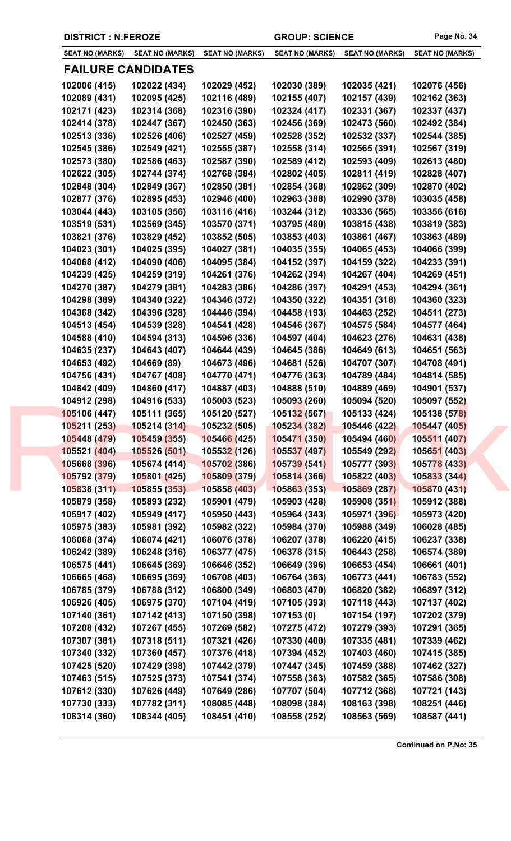**DISTRICT : N.FEROZE GROUP: SCIENCE Page No. 34**

| <b>SEAT NO (MARKS)</b> | <b>SEAT NO (MARKS)</b>    | <b>SEAT NO (MARKS)</b> | <b>SEAT NO (MARKS)</b> | <b>SEAT NO (MARKS)</b> | <b>SEAT NO (MARKS)</b> |
|------------------------|---------------------------|------------------------|------------------------|------------------------|------------------------|
|                        | <b>FAILURE CANDIDATES</b> |                        |                        |                        |                        |
| 102006 (415)           | 102022 (434)              | 102029 (452)           | 102030 (389)           | 102035 (421)           | 102076 (456)           |
| 102089 (431)           | 102095 (425)              | 102116 (489)           | 102155 (407)           | 102157 (439)           | 102162 (363)           |
| 102171 (423)           | 102314 (368)              | 102316 (390)           | 102324 (417)           | 102331 (367)           | 102337 (437)           |
|                        |                           |                        | 102456 (369)           | 102473 (560)           |                        |
| 102414 (378)           | 102447 (367)              | 102450 (363)           |                        |                        | 102492 (384)           |
| 102513 (336)           | 102526 (406)              | 102527 (459)           | 102528 (352)           | 102532 (337)           | 102544 (385)           |
| 102545 (386)           | 102549 (421)              | 102555 (387)           | 102558 (314)           | 102565 (391)           | 102567 (319)           |
| 102573 (380)           | 102586 (463)              | 102587 (390)           | 102589 (412)           | 102593 (409)           | 102613 (480)           |
| 102622 (305)           | 102744 (374)              | 102768 (384)           | 102802 (405)           | 102811 (419)           | 102828 (407)           |
| 102848 (304)           | 102849 (367)              | 102850 (381)           | 102854 (368)           | 102862 (309)           | 102870 (402)           |
| 102877 (376)           | 102895 (453)              | 102946 (400)           | 102963 (388)           | 102990 (378)           | 103035 (458)           |
| 103044 (443)           | 103105 (356)              | 103116 (416)           | 103244 (312)           | 103336 (565)           | 103356 (616)           |
| 103519 (531)           | 103569 (345)              | 103570 (371)           | 103795 (480)           | 103815 (438)           | 103819 (383)           |
| 103821 (376)           | 103829 (452)              | 103852 (505)           | 103853 (403)           | 103861 (467)           | 103863 (489)           |
| 104023 (301)           | 104025 (395)              | 104027 (381)           | 104035 (355)           | 104065 (453)           | 104066 (399)           |
| 104068 (412)           | 104090 (406)              | 104095 (384)           | 104152 (397)           | 104159 (322)           | 104233 (391)           |
| 104239 (425)           | 104259 (319)              | 104261 (376)           | 104262 (394)           | 104267 (404)           | 104269 (451)           |
| 104270 (387)           | 104279 (381)              | 104283 (386)           | 104286 (397)           | 104291 (453)           | 104294 (361)           |
| 104298 (389)           | 104340 (322)              | 104346 (372)           | 104350 (322)           | 104351 (318)           | 104360 (323)           |
| 104368 (342)           | 104396 (328)              | 104446 (394)           | 104458 (193)           | 104463 (252)           | 104511 (273)           |
| 104513 (454)           | 104539 (328)              | 104541 (428)           | 104546 (367)           | 104575 (584)           | 104577 (464)           |
| 104588 (410)           | 104594 (313)              | 104596 (336)           | 104597 (404)           | 104623 (276)           | 104631 (438)           |
| 104635 (237)           | 104643 (407)              | 104644 (439)           | 104645 (386)           | 104649 (613)           | 104651 (563)           |
| 104653 (492)           | 104669 (89)               | 104673 (496)           | 104681 (526)           | 104707 (307)           | 104708 (491)           |
| 104756 (431)           | 104767 (408)              | 104770 (471)           | 104776 (363)           | 104789 (484)           | 104814 (585)           |
| 104842 (409)           | 104860 (417)              | 104887 (403)           | 104888 (510)           | 104889 (469)           | 104901 (537)           |
| 104912 (298)           | 104916 (533)              | 105003 (523)           | 105093 (260)           | 105094 (520)           | 105097 (552)           |
| 105106 (447)           | 105111 (365)              | 105120 (527)           | 105132 (567)           | 105133 (424)           | 105138 (578)           |
| 105211 (253)           | 105214 (314)              | 105232 (505)           | 105234 (382)           | 105446 (422)           | 105447 (405)           |
| 105448 (479)           | 105459 (355)              | 105466 (425)           | 105471 (350)           | 105494 (460)           | 105511 (407)           |
| 105521 (404)           | 105526 (501)              | 105532 (126)           | 105537 (497)           | 105549 (292)           | 105651 (403)           |
| 105668 (396)           | 105674 (414)              | 105702 (386)           | 105739 (541)           | 105777 (393)           | 105778 (433)           |
| 105792 (379)           | 105801 (425)              | 105809 (379)           | 105814 (366)           | 105822 (403)           | 105833 (344)           |
| 105838 (311)           | 105855 (353)              | 105858 (403)           | 105863 (353)           | 105869 (287)           | 105870 (431)           |
| 105879 (358)           | 105893 (232)              | 105901 (479)           | 105903 (428)           | 105908 (351)           | 105912 (388)           |
| 105917 (402)           | 105949 (417)              | 105950 (443)           | 105964 (343)           | 105971 (396)           | 105973 (420)           |
| 105975 (383)           | 105981 (392)              | 105982 (322)           | 105984 (370)           | 105988 (349)           | 106028 (485)           |
| 106068 (374)           | 106074 (421)              | 106076 (378)           | 106207 (378)           | 106220 (415)           | 106237 (338)           |
| 106242 (389)           | 106248 (316)              | 106377 (475)           | 106378 (315)           | 106443 (258)           | 106574 (389)           |
| 106575 (441)           | 106645 (369)              | 106646 (352)           | 106649 (396)           | 106653 (454)           | 106661 (401)           |
| 106665 (468)           | 106695 (369)              | 106708 (403)           | 106764 (363)           | 106773 (441)           | 106783 (552)           |
| 106785 (379)           | 106788 (312)              | 106800 (349)           | 106803 (470)           | 106820 (382)           | 106897 (312)           |
|                        | 106975 (370)              | 107104 (419)           | 107105 (393)           | 107118 (443)           | 107137 (402)           |
| 106926 (405)           |                           |                        |                        |                        |                        |
| 107140 (361)           | 107142 (413)              | 107150 (398)           | 107153(0)              | 107154 (197)           | 107202 (379)           |
| 107208 (432)           | 107267 (455)              | 107269 (582)           | 107275 (472)           | 107279 (393)           | 107291 (365)           |
| 107307 (381)           | 107318 (511)              | 107321 (426)           | 107330 (400)           | 107335 (481)           | 107339 (462)           |
| 107340 (332)           | 107360 (457)              | 107376 (418)           | 107394 (452)           | 107403 (460)           | 107415 (385)           |
| 107425 (520)           | 107429 (398)              | 107442 (379)           | 107447 (345)           | 107459 (388)           | 107462 (327)           |
| 107463 (515)           | 107525 (373)              | 107541 (374)           | 107558 (363)           | 107582 (365)           | 107586 (308)           |
| 107612 (330)           | 107626 (449)              | 107649 (286)           | 107707 (504)           | 107712 (368)           | 107721 (143)           |
| 107730 (333)           | 107782 (311)              | 108085 (448)           | 108098 (384)           | 108163 (398)           | 108251 (446)           |
| 108314 (360)           | 108344 (405)              | 108451 (410)           | 108558 (252)           | 108563 (569)           | 108587 (441)           |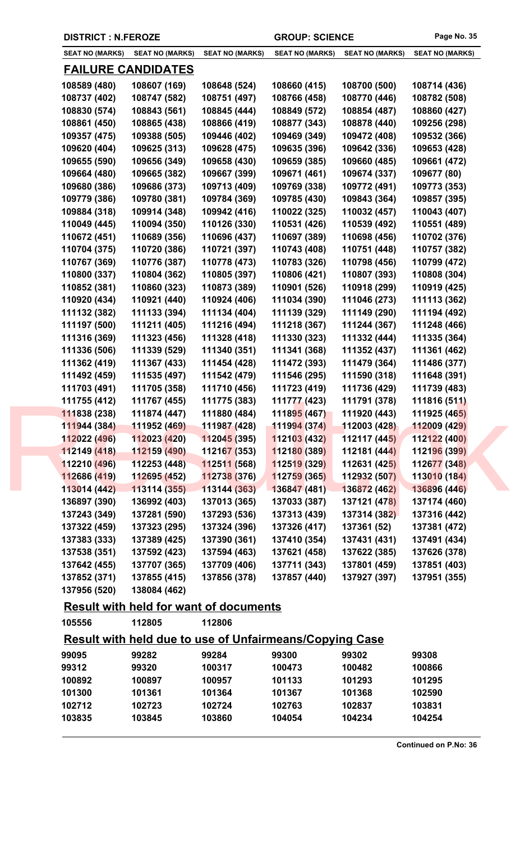| <b>DISTRICT : N.FEROZE</b> |  |  |  |
|----------------------------|--|--|--|
|----------------------------|--|--|--|

| <b>SEAT NO (MARKS)</b> | <b>SEAT NO (MARKS)</b>    | <b>SEAT NO (MARKS)</b>                                        | <b>SEAT NO (MARKS)</b>                                         | <b>SEAT NO (MARKS)</b>      | <b>SEAT NO (MARKS)</b> |
|------------------------|---------------------------|---------------------------------------------------------------|----------------------------------------------------------------|-----------------------------|------------------------|
|                        | <b>FAILURE CANDIDATES</b> |                                                               |                                                                |                             |                        |
| 108589 (480)           | 108607 (169)              | 108648 (524)                                                  | 108660 (415)                                                   | 108700 (500)                | 108714 (436)           |
| 108737 (402)           | 108747 (582)              | 108751 (497)                                                  | 108766 (458)                                                   | 108770 (446)                | 108782 (508)           |
| 108830 (574)           | 108843 (561)              | 108845 (444)                                                  | 108849 (572)                                                   | 108854 (487)                | 108860 (427)           |
| 108861 (450)           | 108865 (438)              | 108866 (419)                                                  | 108877 (343)                                                   | 108878 (440)                | 109256 (298)           |
| 109357 (475)           | 109388 (505)              | 109446 (402)                                                  | 109469 (349)                                                   | 109472 (408)                | 109532 (366)           |
| 109620 (404)           | 109625 (313)              | 109628 (475)                                                  | 109635 (396)                                                   | 109642 (336)                | 109653 (428)           |
| 109655 (590)           | 109656 (349)              | 109658 (430)                                                  | 109659 (385)                                                   | 109660 (485)                | 109661 (472)           |
| 109664 (480)           | 109665 (382)              | 109667 (399)                                                  | 109671 (461)                                                   | 109674 (337)                | 109677 (80)            |
| 109680 (386)           | 109686 (373)              | 109713 (409)                                                  | 109769 (338)                                                   | 109772 (491)                | 109773 (353)           |
| 109779 (386)           | 109780 (381)              | 109784 (369)                                                  | 109785 (430)                                                   | 109843 (364)                | 109857 (395)           |
| 109884 (318)           | 109914 (348)              | 109942 (416)                                                  | 110022 (325)                                                   | 110032 (457)                | 110043 (407)           |
| 110049 (445)           | 110094 (350)              | 110126 (330)                                                  | 110531 (426)                                                   | 110539 (492)                | 110551 (489)           |
| 110672 (451)           | 110689 (356)              | 110696 (437)                                                  | 110697 (389)                                                   | 110698 (456)                | 110702 (376)           |
| 110704 (375)           | 110720 (386)              | 110721 (397)                                                  | 110743 (408)                                                   | 110751 (448)                | 110757 (382)           |
| 110767 (369)           | 110776 (387)              | 110778 (473)                                                  | 110783 (326)                                                   | 110798 (456)                | 110799 (472)           |
| 110800 (337)           | 110804 (362)              | 110805 (397)                                                  | 110806 (421)                                                   | 110807 (393)                | 110808 (304)           |
| 110852 (381)           | 110860 (323)              | 110873 (389)                                                  | 110901 (526)                                                   | 110918 (299)                | 110919 (425)           |
| 110920 (434)           | 110921 (440)              | 110924 (406)                                                  | 111034 (390)                                                   | 111046 (273)                | 111113 (362)           |
| 111132 (382)           | 111133 (394)              | 111134 (404)                                                  | 111139 (329)                                                   | 111149 (290)                | 111194 (492)           |
| 111197 (500)           | 111211 (405)              | 111216 (494)                                                  | 111218 (367)                                                   | 111244 (367)                | 111248 (466)           |
| 111316 (369)           | 111323 (456)              | 111328 (418)                                                  | 111330 (323)                                                   | 111332 (444)                | 111335 (364)           |
| 111336 (506)           | 111339 (529)              | 111340 (351)                                                  | 111341 (368)                                                   | 111352 (437)                | 111361 (462)           |
| 111362 (419)           | 111367 (433)              | 111454 (428)                                                  | 111472 (393)                                                   | 111479 (364)                | 111486 (377)           |
| 111492 (459)           | 111535 (497)              | 111542 (479)                                                  | 111546 (295)                                                   | 111590 (318)                | 111648 (391)           |
| 111703 (491)           | 111705 (358)              | 111710 (456)                                                  | 111723 (419)                                                   | 111736 (429)                | 111739 (483)           |
| 111755 (412)           | 111767 (455)              | 111775 (383)                                                  | 111777 (423)                                                   | 111791 (378)                | 111816 (511)           |
| 111838 (238)           | 111874 (447)              | 111880 (484)                                                  | 111895 (467)                                                   | 111920 (443)                | 111925 (465)           |
|                        |                           | $\frac{111944}{(384)}$ 111952 (469) 111987 (428) 111994 (374) |                                                                | $112003(428)$ $112009(429)$ |                        |
| 112022 (496)           | 112023 (420)              | 112045 (395)                                                  | 112103 (432)                                                   | 112117 (445)                | 112122 (400)           |
| 112149 (418)           | 112159 (490)              | 112167 (353)                                                  | 112180 (389)                                                   | 112181 (444)                | 112196 (399)           |
| 112210 (496)           | 112253(448)               | 112511 (568)                                                  | 112519 (329)                                                   | 112631 (425)                | 112677 (348)           |
| 112686 (419)           | 112695 (452)              | 112738 (376)                                                  | 112759 (365)                                                   | 112932 (507)                | 113010 (184)           |
| 113014 (442)           | 113114 (355)              | 113144 (363)                                                  | 136847 (481)                                                   | 136872 (462)                | 136896 (446)           |
| 136897 (390)           | 136992 (403)              | 137013 (365)                                                  | 137033 (387)                                                   | 137121 (478)                | 137174 (460)           |
| 137243 (349)           | 137281 (590)              | 137293 (536)                                                  | 137313 (439)                                                   | 137314 (382)                | 137316 (442)           |
| 137322 (459)           | 137323 (295)              | 137324 (396)                                                  | 137326 (417)                                                   | 137361 (52)                 | 137381 (472)           |
| 137383 (333)           | 137389 (425)              | 137390 (361)                                                  | 137410 (354)                                                   | 137431 (431)                | 137491 (434)           |
| 137538 (351)           | 137592 (423)              | 137594 (463)                                                  | 137621 (458)                                                   | 137622 (385)                | 137626 (378)           |
| 137642 (455)           | 137707 (365)              | 137709 (406)                                                  | 137711 (343)                                                   | 137801 (459)                | 137851 (403)           |
| 137852 (371)           | 137855 (415)              | 137856 (378)                                                  | 137857 (440)                                                   | 137927 (397)                | 137951 (355)           |
| 137956 (520)           | 138084 (462)              |                                                               |                                                                |                             |                        |
|                        |                           | <b>Result with held for want of documents</b>                 |                                                                |                             |                        |
| 105556                 | 112805                    | 112806                                                        |                                                                |                             |                        |
|                        |                           |                                                               | <b>Result with held due to use of Unfairmeans/Copying Case</b> |                             |                        |
| 99095                  | 99282                     | 99284                                                         | 99300                                                          | 99302                       | 99308                  |
| 99312                  | 99320                     | 100317                                                        | 100473                                                         | 100482                      | 100866                 |
| 100892                 | 100897                    | 100957                                                        | 101133                                                         | 101293                      | 101295                 |
|                        |                           | 101364                                                        | 101367                                                         | 101368                      | 102590                 |
| 101300                 | 101361                    |                                                               |                                                                |                             |                        |
| 102712                 | 102723                    | 102724                                                        | 102763                                                         | 102837                      | 103831                 |